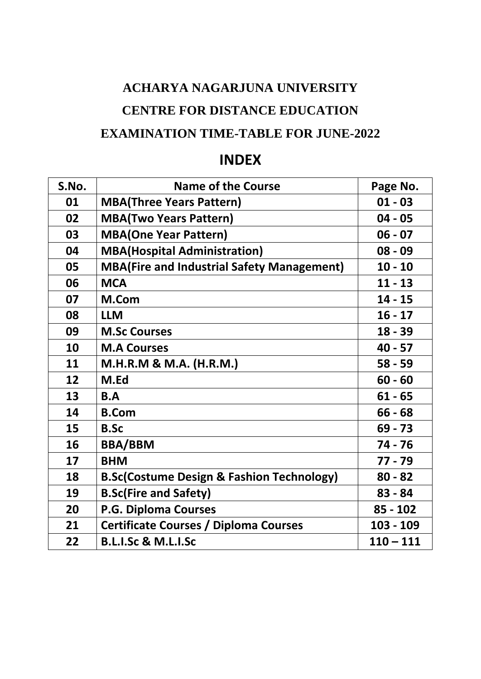# **ACHARYA NAGARJUNA UNIVERSITY CENTRE FOR DISTANCE EDUCATION EXAMINATION TIME-TABLE FOR JUNE-2022**

# **INDEX**

| S.No. | <b>Name of the Course</b>                            | Page No.    |
|-------|------------------------------------------------------|-------------|
| 01    | <b>MBA(Three Years Pattern)</b>                      | $01 - 03$   |
| 02    | <b>MBA(Two Years Pattern)</b>                        | $04 - 05$   |
| 03    | <b>MBA(One Year Pattern)</b>                         | $06 - 07$   |
| 04    | <b>MBA(Hospital Administration)</b>                  | $08 - 09$   |
| 05    | <b>MBA(Fire and Industrial Safety Management)</b>    | $10 - 10$   |
| 06    | <b>MCA</b>                                           | $11 - 13$   |
| 07    | M.Com                                                | $14 - 15$   |
| 08    | <b>LLM</b>                                           | $16 - 17$   |
| 09    | <b>M.Sc Courses</b>                                  | $18 - 39$   |
| 10    | <b>M.A Courses</b>                                   | $40 - 57$   |
| 11    | M.H.R.M & M.A. (H.R.M.)                              | $58 - 59$   |
| 12    | M.Ed                                                 | $60 - 60$   |
| 13    | B.A                                                  | $61 - 65$   |
| 14    | <b>B.Com</b>                                         | $66 - 68$   |
| 15    | <b>B.Sc</b>                                          | $69 - 73$   |
| 16    | <b>BBA/BBM</b>                                       | 74 - 76     |
| 17    | <b>BHM</b>                                           | $77 - 79$   |
| 18    | <b>B.Sc(Costume Design &amp; Fashion Technology)</b> | $80 - 82$   |
| 19    | <b>B.Sc(Fire and Safety)</b>                         | $83 - 84$   |
| 20    | <b>P.G. Diploma Courses</b>                          | $85 - 102$  |
| 21    | <b>Certificate Courses / Diploma Courses</b>         | $103 - 109$ |
| 22    | <b>B.L.I.Sc &amp; M.L.I.Sc</b>                       | $110 - 111$ |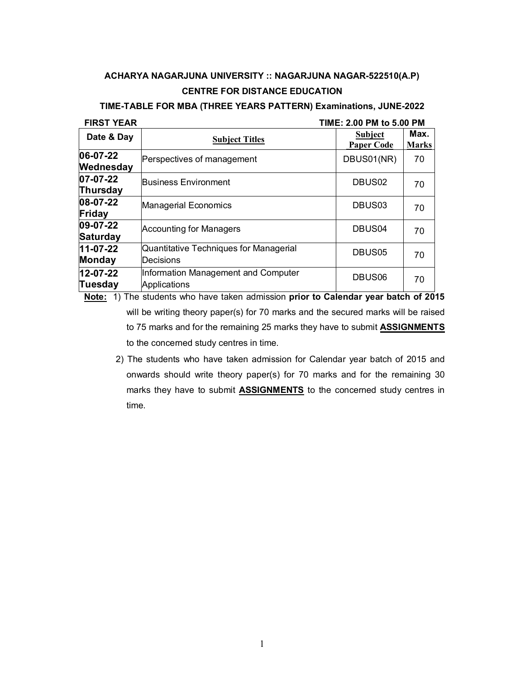**TIME-TABLE FOR MBA (THREE YEARS PATTERN) Examinations, JUNE-2022** 

**FIRST YEAR TIME: 2.00 PM to 5.00 PM** 

| Date & Day                    | <b>Subject Titles</b>                               | <b>Subject</b><br><b>Paper Code</b> | Max.<br><b>Marks</b> |
|-------------------------------|-----------------------------------------------------|-------------------------------------|----------------------|
| 06-07-22<br>Wednesday         | Perspectives of management                          | DBUS01(NR)                          | 70                   |
| 07-07-22<br><b>Thursday</b>   | <b>Business Environment</b>                         | DBUS <sub>02</sub>                  | 70                   |
| 08-07-22<br>Friday            | <b>Managerial Economics</b>                         | DBUS <sub>03</sub>                  | 70                   |
| $09-07-22$<br><b>Saturday</b> | <b>Accounting for Managers</b>                      | DBUS <sub>04</sub>                  | 70                   |
| $11-07-22$<br><b>Monday</b>   | Quantitative Techniques for Managerial<br>Decisions | DBUS <sub>05</sub>                  | 70                   |
| 12-07-22<br><b>Tuesday</b>    | Information Management and Computer<br>Applications | DBUS06                              | 70                   |

**Note:** 1) The students who have taken admission **prior to Calendar year batch of 2015** will be writing theory paper(s) for 70 marks and the secured marks will be raised to 75 marks and for the remaining 25 marks they have to submit **ASSIGNMENTS** to the concerned study centres in time.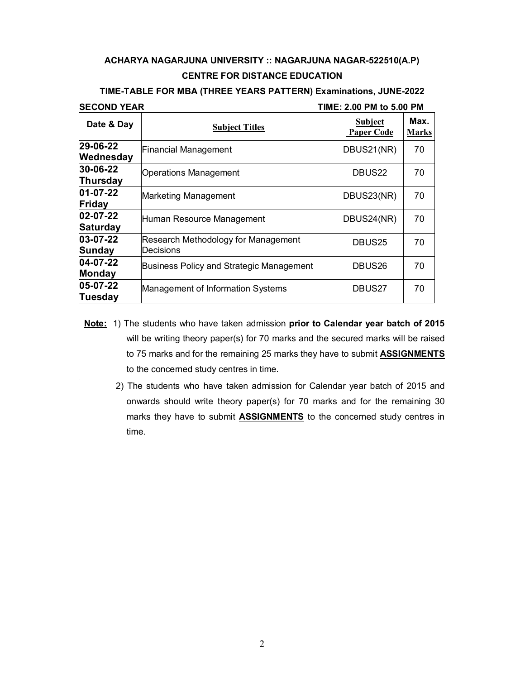| <b>SECOND YEAR</b>                  |                                                  | TIME: 2.00 PM to 5.00 PM            |                      |
|-------------------------------------|--------------------------------------------------|-------------------------------------|----------------------|
| Date & Day                          | <b>Subject Titles</b>                            | <b>Subject</b><br><b>Paper Code</b> | Max.<br><b>Marks</b> |
| 29-06-22<br>Wednesday               | <b>Financial Management</b>                      | DBUS21(NR)                          | 70                   |
| 30-06-22<br>Thursday                | <b>Operations Management</b>                     | DBUS22                              | 70                   |
| $ 01 - 07 - 22 $<br>Friday          | <b>Marketing Management</b>                      | DBUS23(NR)                          | 70                   |
| $ 02 - 07 - 22 $<br><b>Saturday</b> | Human Resource Management                        | DBUS24(NR)                          | 70                   |
| $ 03-07-22 $<br>Sunday              | Research Methodology for Management<br>Decisions | DBUS <sub>25</sub>                  | 70                   |
| $ 04-07-22 $<br><b>Monday</b>       | Business Policy and Strategic Management         | DBUS26                              | 70                   |
| $ 05-07-22 $<br><b>Tuesday</b>      | Management of Information Systems                | DBUS27                              | 70                   |

#### **TIME-TABLE FOR MBA (THREE YEARS PATTERN) Examinations, JUNE-2022**

- **Note:** 1) The students who have taken admission **prior to Calendar year batch of 2015** will be writing theory paper(s) for 70 marks and the secured marks will be raised to 75 marks and for the remaining 25 marks they have to submit **ASSIGNMENTS** to the concerned study centres in time.
	- 2) The students who have taken admission for Calendar year batch of 2015 and onwards should write theory paper(s) for 70 marks and for the remaining 30 marks they have to submit **ASSIGNMENTS** to the concerned study centres in time.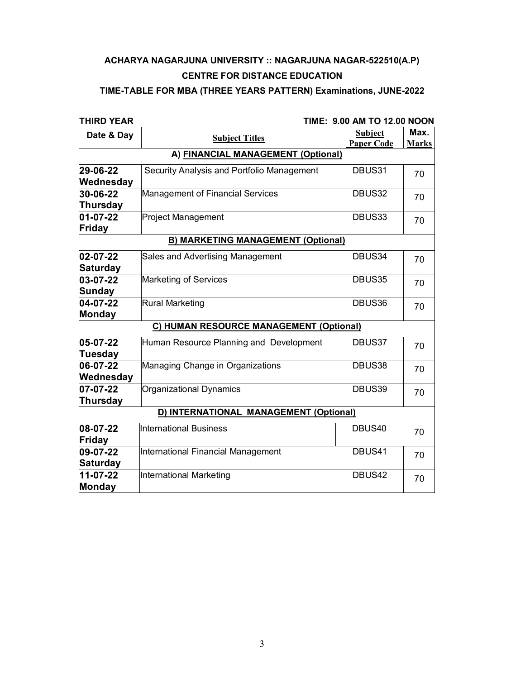# **TIME-TABLE FOR MBA (THREE YEARS PATTERN) Examinations, JUNE-2022**

| <b>THIRD YEAR</b>           | TIME: 9.00 AM TO 12.00 NOON                |        |                      |  |
|-----------------------------|--------------------------------------------|--------|----------------------|--|
| Date & Day                  | <b>Subject Titles</b>                      |        | Max.<br><b>Marks</b> |  |
|                             | A) FINANCIAL MANAGEMENT (Optional)         |        |                      |  |
| 29-06-22<br>Wednesday       | Security Analysis and Portfolio Management | DBUS31 | 70                   |  |
| 30-06-22<br>Thursday        | <b>Management of Financial Services</b>    | DBUS32 | 70                   |  |
| 01-07-22<br><b>Friday</b>   | <b>Project Management</b>                  | DBUS33 | 70                   |  |
|                             | <b>B) MARKETING MANAGEMENT (Optional)</b>  |        |                      |  |
| 02-07-22<br><b>Saturday</b> | Sales and Advertising Management           | DBUS34 | 70                   |  |
| 03-07-22<br><b>Sunday</b>   | <b>Marketing of Services</b>               | DBUS35 | 70                   |  |
| 04-07-22<br><b>Monday</b>   | <b>Rural Marketing</b>                     | DBUS36 | 70                   |  |
|                             | C) HUMAN RESOURCE MANAGEMENT (Optional)    |        |                      |  |
| 05-07-22<br>Tuesday         | Human Resource Planning and Development    | DBUS37 | 70                   |  |
| 06-07-22<br>Wednesday       | Managing Change in Organizations           | DBUS38 | 70                   |  |
| 07-07-22<br>Thursday        | Organizational Dynamics                    | DBUS39 | 70                   |  |
|                             | D) INTERNATIONAL MANAGEMENT (Optional)     |        |                      |  |
| 08-07-22<br><b>Friday</b>   | International Business                     | DBUS40 | 70                   |  |
| 09-07-22<br><b>Saturday</b> | International Financial Management         | DBUS41 | 70                   |  |
| 11-07-22<br><b>Monday</b>   | International Marketing                    | DBUS42 | 70                   |  |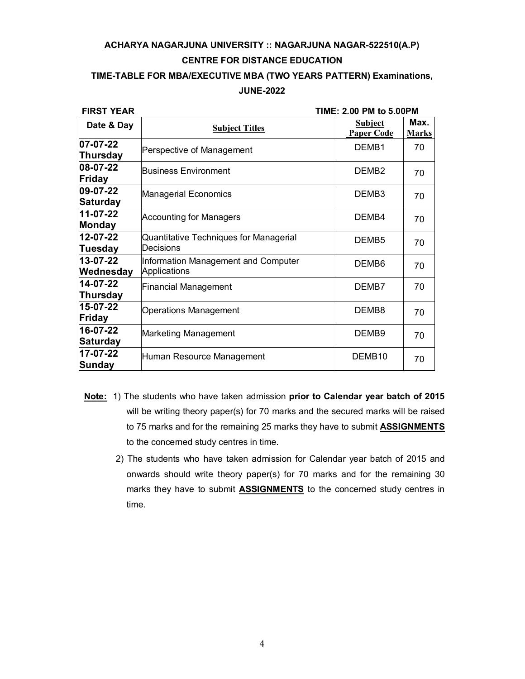# **TIME-TABLE FOR MBA/EXECUTIVE MBA (TWO YEARS PATTERN) Examinations, JUNE-2022**

| <b>FIRST YEAR</b>           | TIME: 2.00 PM to 5.00PM                             |                                     |                      |  |
|-----------------------------|-----------------------------------------------------|-------------------------------------|----------------------|--|
| Date & Day                  | <b>Subject Titles</b>                               | <b>Subject</b><br><b>Paper Code</b> | Max.<br><b>Marks</b> |  |
| $ 07-07-22 $<br>Thursday    | Perspective of Management                           | DEMB <sub>1</sub>                   | 70                   |  |
| $ 08-07-22 $<br>Friday      | Business Environment                                | DEMB <sub>2</sub>                   | 70                   |  |
| 09-07-22<br><b>Saturday</b> | Managerial Economics                                | DEMB <sub>3</sub>                   | 70                   |  |
| 11-07-22<br>Monday          | <b>Accounting for Managers</b>                      | DEMB4                               | 70                   |  |
| 12-07-22<br>Tuesday         | Quantitative Techniques for Managerial<br>Decisions | DEMB <sub>5</sub>                   | 70                   |  |
| 13-07-22<br>Wednesday       | Information Management and Computer<br>Applications | DEMB <sub>6</sub>                   | 70                   |  |
| 14-07-22<br><b>Thursday</b> | Financial Management                                | DEMB7                               | 70                   |  |
| 15-07-22<br>Friday          | <b>Operations Management</b>                        | DEMB8                               | 70                   |  |
| 16-07-22<br><b>Saturday</b> | Marketing Management                                | DEMB <sub>9</sub>                   | 70                   |  |
| 17-07-22<br>Sunday          | Human Resource Management                           | DEMB <sub>10</sub>                  | 70                   |  |

- **Note:** 1) The students who have taken admission **prior to Calendar year batch of 2015** will be writing theory paper(s) for 70 marks and the secured marks will be raised to 75 marks and for the remaining 25 marks they have to submit **ASSIGNMENTS** to the concerned study centres in time.
	- 2) The students who have taken admission for Calendar year batch of 2015 and onwards should write theory paper(s) for 70 marks and for the remaining 30 marks they have to submit **ASSIGNMENTS** to the concerned study centres in time.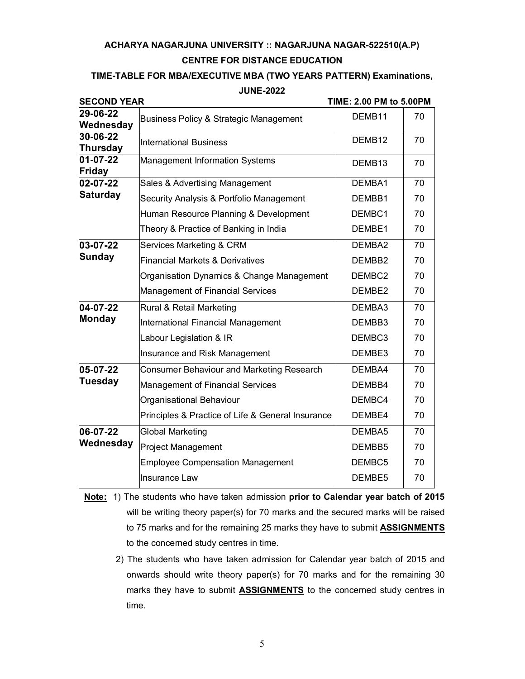### **TIME-TABLE FOR MBA/EXECUTIVE MBA (TWO YEARS PATTERN) Examinations,**

| <b>JUNE-2022</b> |
|------------------|
|------------------|

| <b>SECOND YEAR</b>       | TIME: 2.00 PM to 5.00PM                           |                    |    |
|--------------------------|---------------------------------------------------|--------------------|----|
| 29-06-22<br>Wednesday    | Business Policy & Strategic Management            | DEMB11             | 70 |
| 30-06-22<br>Thursday     | International Business                            | DEMB12             | 70 |
| $01 - 07 - 22$<br>Friday | Management Information Systems                    | DEMB <sub>13</sub> | 70 |
| $02 - 07 - 22$           | Sales & Advertising Management                    | DEMBA1             | 70 |
| <b>Saturday</b>          | Security Analysis & Portfolio Management          | DEMBB1             | 70 |
|                          | Human Resource Planning & Development             | DEMBC1             | 70 |
|                          | Theory & Practice of Banking in India             | DEMBE1             | 70 |
| $ 03-07-22 $             | Services Marketing & CRM                          | DEMBA2             | 70 |
| <b>Sunday</b>            | Financial Markets & Derivatives                   | DEMBB2             | 70 |
|                          | Organisation Dynamics & Change Management         | DEMBC2             | 70 |
|                          | Management of Financial Services                  | DEMBE2             | 70 |
| $04 - 07 - 22$           | Rural & Retail Marketing                          | DEMBA3             | 70 |
| Monday                   | International Financial Management                | DEMBB3             | 70 |
|                          | Labour Legislation & IR                           | DEMBC3             | 70 |
|                          | Insurance and Risk Management                     | DEMBE3             | 70 |
| 05-07-22                 | <b>Consumer Behaviour and Marketing Research</b>  | DEMBA4             | 70 |
| <b>Tuesday</b>           | Management of Financial Services                  | DEMBB4             | 70 |
|                          | Organisational Behaviour                          | DEMBC4             | 70 |
|                          | Principles & Practice of Life & General Insurance | DEMBE4             | 70 |
| 06-07-22                 | Global Marketing                                  | DEMBA5             | 70 |
| Wednesday                | <b>Project Management</b>                         | DEMBB5             | 70 |
|                          | <b>Employee Compensation Management</b>           | DEMBC5             | 70 |
|                          | Insurance Law                                     | DEMBE5             | 70 |

**Note:** 1) The students who have taken admission **prior to Calendar year batch of 2015** will be writing theory paper(s) for 70 marks and the secured marks will be raised to 75 marks and for the remaining 25 marks they have to submit **ASSIGNMENTS** to the concerned study centres in time.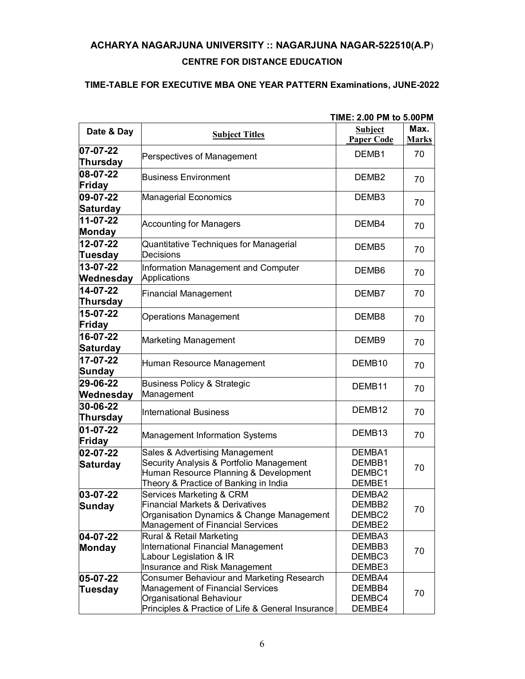#### **TIME-TABLE FOR EXECUTIVE MBA ONE YEAR PATTERN Examinations, JUNE-2022**

|                               |                                                                                                                                                                | TIME: 2.00 PM to 5.00PM              |                      |
|-------------------------------|----------------------------------------------------------------------------------------------------------------------------------------------------------------|--------------------------------------|----------------------|
| Date & Day                    | <b>Subject Titles</b>                                                                                                                                          | <b>Subject</b><br><b>Paper Code</b>  | Max.<br><b>Marks</b> |
| 07-07-22<br><b>Thursday</b>   | Perspectives of Management                                                                                                                                     | DEMB <sub>1</sub>                    | 70                   |
| 08-07-22<br>Friday            | <b>Business Environment</b>                                                                                                                                    | DEMB <sub>2</sub>                    | 70                   |
| 09-07-22<br><b>Saturday</b>   | <b>Managerial Economics</b>                                                                                                                                    | DEMB <sub>3</sub>                    | 70                   |
| 11-07-22<br>Monday            | <b>Accounting for Managers</b>                                                                                                                                 | DEMB4                                | 70                   |
| 12-07-22<br><b>Tuesday</b>    | Quantitative Techniques for Managerial<br>Decisions                                                                                                            | DEMB <sub>5</sub>                    | 70                   |
| 13-07-22<br>Wednesday         | Information Management and Computer<br>Applications                                                                                                            | DEMB <sub>6</sub>                    | 70                   |
| 14-07-22<br>Thursday          | <b>Financial Management</b>                                                                                                                                    | DEMB7                                | 70                   |
| 15-07-22<br>Friday            | <b>Operations Management</b>                                                                                                                                   | DEMB <sub>8</sub>                    | 70                   |
| 16-07-22<br><b>Saturday</b>   | Marketing Management                                                                                                                                           | DEMB <sub>9</sub>                    | 70                   |
| 17-07-22<br>Sunday            | Human Resource Management                                                                                                                                      | DEMB <sub>10</sub>                   | 70                   |
| 29-06-22<br>Wednesday         | Business Policy & Strategic<br>Management                                                                                                                      | DEMB <sub>11</sub>                   | 70                   |
| 30-06-22<br>Thursday          | International Business                                                                                                                                         | DEMB <sub>12</sub>                   | 70                   |
| $01 - 07 - 22$<br>Friday      | Management Information Systems                                                                                                                                 | DEMB13                               | 70                   |
| 02-07-22<br><b>Saturday</b>   | Sales & Advertising Management<br>Security Analysis & Portfolio Management<br>Human Resource Planning & Development<br>Theory & Practice of Banking in India   | DEMBA1<br>DEMBB1<br>DEMBC1<br>DEMBE1 | 70                   |
| $ 03-07-22 $<br><b>Sunday</b> | Services Marketing & CRM<br><b>Financial Markets &amp; Derivatives</b><br>Organisation Dynamics & Change Management<br>Management of Financial Services        | DEMBA2<br>DEMBB2<br>DEMBC2<br>DEMBE2 | 70                   |
| $04 - 07 - 22$<br>Monday      | Rural & Retail Marketing<br>International Financial Management<br>Labour Legislation & IR<br>Insurance and Risk Management                                     | DEMBA3<br>DEMBB3<br>DEMBC3<br>DEMBE3 | 70                   |
| 05-07-22<br><b>Tuesday</b>    | Consumer Behaviour and Marketing Research<br>Management of Financial Services<br>Organisational Behaviour<br>Principles & Practice of Life & General Insurance | DEMBA4<br>DEMBB4<br>DEMBC4<br>DEMBE4 | 70                   |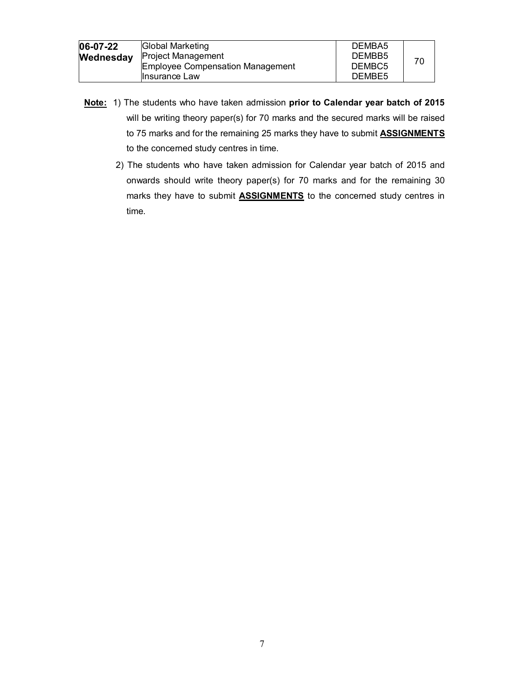| $ 06-07-22 $ | Global Marketing                 | DEMBA5             |    |
|--------------|----------------------------------|--------------------|----|
| Wednesday    | <b>Project Management</b>        | DEMBB5             | 70 |
|              | Employee Compensation Management | DEMBC <sub>5</sub> |    |
|              | llnsurance Law                   | DEMBE5             |    |

- **Note:** 1) The students who have taken admission **prior to Calendar year batch of 2015** will be writing theory paper(s) for 70 marks and the secured marks will be raised to 75 marks and for the remaining 25 marks they have to submit **ASSIGNMENTS** to the concerned study centres in time.
	- 2) The students who have taken admission for Calendar year batch of 2015 and onwards should write theory paper(s) for 70 marks and for the remaining 30 marks they have to submit **ASSIGNMENTS** to the concerned study centres in time.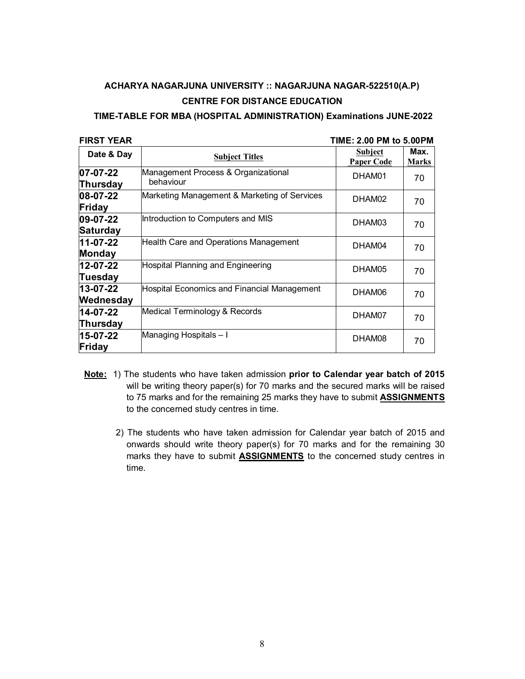#### **TIME-TABLE FOR MBA (HOSPITAL ADMINISTRATION) Examinations JUNE-2022**

| <b>FIRST YEAR</b>               |                                                  | TIME: 2.00 PM to 5.00PM             |                      |
|---------------------------------|--------------------------------------------------|-------------------------------------|----------------------|
| Date & Day                      | <b>Subject Titles</b>                            | <b>Subject</b><br><b>Paper Code</b> | Max.<br><b>Marks</b> |
| 107-07-22<br><b>Thursday</b>    | Management Process & Organizational<br>behaviour | DHAM01                              | 70                   |
| $ 08-07-22 $<br>Friday          | Marketing Management & Marketing of Services     | DHAM02                              | 70                   |
| 09-07-22<br><b>Saturday</b>     | Introduction to Computers and MIS                | DHAM03                              | 70                   |
| $11 - 07 - 22$<br><b>Monday</b> | Health Care and Operations Management            | DHAM04                              | 70                   |
| 12-07-22<br>Tuesday             | Hospital Planning and Engineering                | DHAM05                              | 70                   |
| 13-07-22<br>Wednesday           | Hospital Economics and Financial Management      | DHAM06                              | 70                   |
| 14-07-22<br>Thursday            | Medical Terminology & Records                    | DHAM07                              | 70                   |
| 15-07-22<br>Friday              | Managing Hospitals - I                           | DHAM08                              | 70                   |

- **Note:** 1) The students who have taken admission **prior to Calendar year batch of 2015** will be writing theory paper(s) for 70 marks and the secured marks will be raised to 75 marks and for the remaining 25 marks they have to submit **ASSIGNMENTS** to the concerned study centres in time.
	- 2) The students who have taken admission for Calendar year batch of 2015 and onwards should write theory paper(s) for 70 marks and for the remaining 30 marks they have to submit **ASSIGNMENTS** to the concerned study centres in time.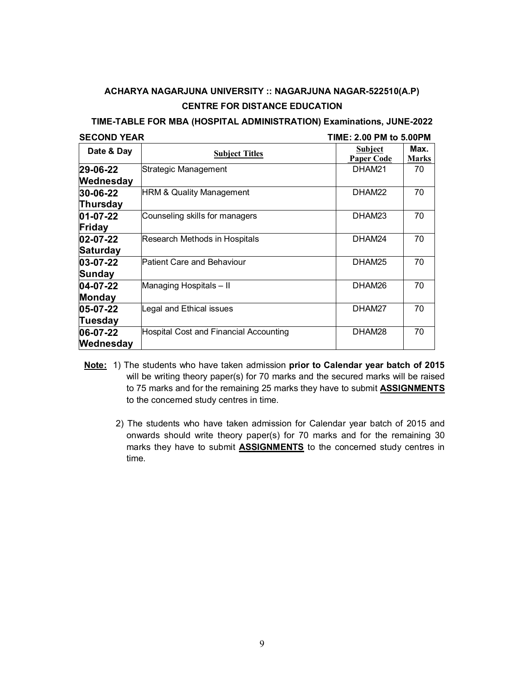| TIME-TABLE FOR MBA (HOSPITAL ADMINISTRATION) Examinations, JUNE-2022 |  |  |  |  |
|----------------------------------------------------------------------|--|--|--|--|
|----------------------------------------------------------------------|--|--|--|--|

| <b>SECOND YEAR</b> |                                        | TIME: 2.00 PM to 5.00PM      |                      |
|--------------------|----------------------------------------|------------------------------|----------------------|
| Date & Day         | <b>Subject Titles</b>                  | Subject<br><b>Paper Code</b> | Max.<br><b>Marks</b> |
| 29-06-22           | Strategic Management                   | DHAM21                       | 70                   |
| Wednesday          |                                        |                              |                      |
| 30-06-22           | <b>HRM &amp; Quality Management</b>    | DHAM22                       | 70                   |
| Thursday           |                                        |                              |                      |
| $ 01 - 07 - 22 $   | Counseling skills for managers         | DHAM23                       | 70                   |
| Friday             |                                        |                              |                      |
| 02-07-22           | Research Methods in Hospitals          | DHAM24                       | 70                   |
| Saturday           |                                        |                              |                      |
| $ 03-07-22 $       | <b>Patient Care and Behaviour</b>      | DHAM25                       | 70                   |
| Sunday             |                                        |                              |                      |
| $ 04-07-22 $       | Managing Hospitals - II                | DHAM26                       | 70                   |
| <b>Monday</b>      |                                        |                              |                      |
| 05-07-22           | Legal and Ethical issues               | DHAM27                       | 70                   |
| Tuesday            |                                        |                              |                      |
| $ 06-07-22 $       | Hospital Cost and Financial Accounting | DHAM28                       | 70                   |
| Wednesday          |                                        |                              |                      |

- **Note:** 1) The students who have taken admission **prior to Calendar year batch of 2015** will be writing theory paper(s) for 70 marks and the secured marks will be raised to 75 marks and for the remaining 25 marks they have to submit **ASSIGNMENTS** to the concerned study centres in time.
	- 2) The students who have taken admission for Calendar year batch of 2015 and onwards should write theory paper(s) for 70 marks and for the remaining 30 marks they have to submit **ASSIGNMENTS** to the concerned study centres in time.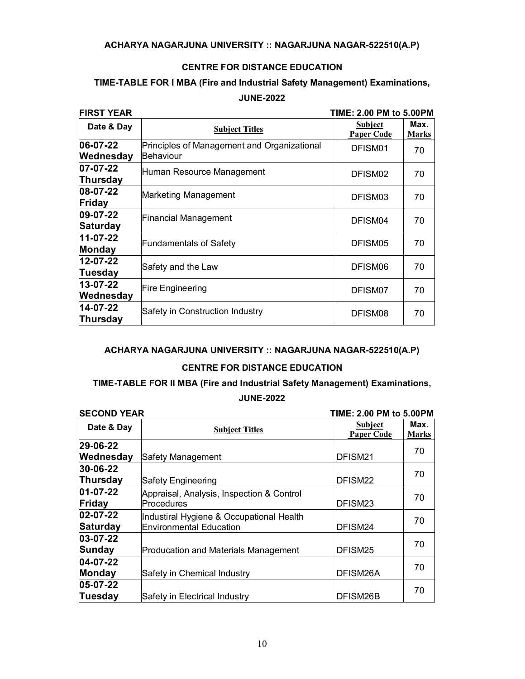### **ACHARYA NAGARJUNA UNIVERSITY :: NAGARJUNA NAGAR-522510(A.P)**

#### **CENTRE FOR DISTANCE EDUCATION**

### **TIME-TABLE FOR I MBA (Fire and Industrial Safety Management) Examinations, JUNE-2022**

| <b>FIRST YEAR</b>          |                                                          | TIME: 2.00 PM to 5.00PM             |                      |
|----------------------------|----------------------------------------------------------|-------------------------------------|----------------------|
| Date & Day                 | <b>Subject Titles</b>                                    | <b>Subject</b><br><b>Paper Code</b> | Max.<br><b>Marks</b> |
| 06-07-22<br>Wednesday      | Principles of Management and Organizational<br>Behaviour | DFISM01                             | 70                   |
| 07-07-22<br>Thursday       | Human Resource Management                                | DFISM <sub>02</sub>                 | 70                   |
| $ 08-07-22 $<br>Friday     | Marketing Management                                     | DFISM03                             | 70                   |
| 09-07-22<br>Saturday       | <b>Financial Management</b>                              | DFISM04                             | 70                   |
| 11-07-22<br>Monday         | <b>Fundamentals of Safety</b>                            | DFISM05                             | 70                   |
| 12-07-22<br><b>Tuesday</b> | Safety and the Law                                       | DFISM06                             | 70                   |
| 13-07-22<br>Wednesday      | Fire Engineering                                         | DFISM07                             | 70                   |
| 14-07-22<br>Thursday       | Safety in Construction Industry                          | DFISM08                             | 70                   |

### **ACHARYA NAGARJUNA UNIVERSITY :: NAGARJUNA NAGAR-522510(A.P)**

#### **CENTRE FOR DISTANCE EDUCATION**

# **TIME-TABLE FOR II MBA (Fire and Industrial Safety Management) Examinations, JUNE-2022**

| <b>SECOND YEAR</b>           |                                                                     | TIME: 2.00 PM to 5.00PM      |                      |
|------------------------------|---------------------------------------------------------------------|------------------------------|----------------------|
| Date & Day                   | <b>Subject Titles</b>                                               | Subject<br><b>Paper Code</b> | Max.<br><b>Marks</b> |
| 29-06-22<br>Wednesday        | Safety Management                                                   | DFISM21                      | 70                   |
| 30-06-22<br>Thursday         | Safety Engineering                                                  | DFISM22                      | 70                   |
| $01 - 07 - 22$<br>Friday     | Appraisal, Analysis, Inspection & Control<br>Procedures             | DFISM23                      | 70                   |
| $ 02 - 07 - 22 $<br>Saturday | Industiral Hygiene & Occupational Health<br>Environmental Education | DFISM24                      | 70                   |
| $ 03-07-22 $<br>Sunday       | <b>Producation and Materials Management</b>                         | DFISM25                      | 70                   |
| $ 04-07-22 $<br>Monday       | Safety in Chemical Industry                                         | DFISM26A                     | 70                   |
| $ 05-07-22 $<br>Tuesday      | Safety in Electrical Industry                                       | DFISM26B                     | 70                   |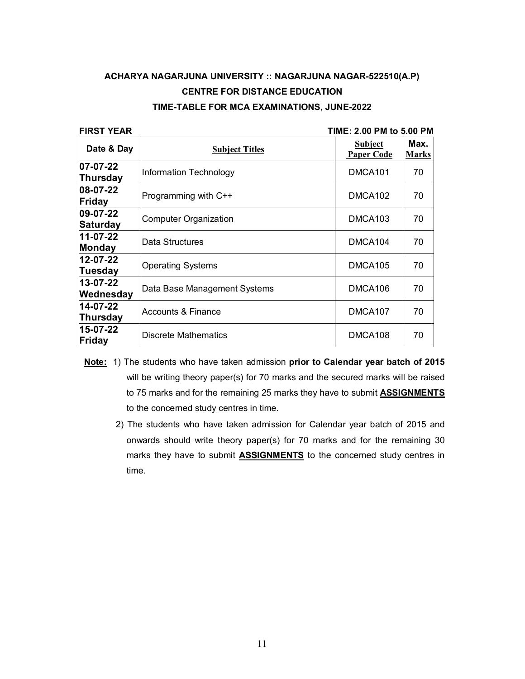# **ACHARYA NAGARJUNA UNIVERSITY :: NAGARJUNA NAGAR-522510(A.P) CENTRE FOR DISTANCE EDUCATION TIME-TABLE FOR MCA EXAMINATIONS, JUNE-2022**

| <b>FIRST YEAR</b>               |                              | TIME: 2.00 PM to 5.00 PM            |                      |
|---------------------------------|------------------------------|-------------------------------------|----------------------|
| Date & Day                      | <b>Subject Titles</b>        | <b>Subject</b><br><b>Paper Code</b> | Max.<br><b>Marks</b> |
| 07-07-22<br>Thursday            | Information Technology       | DMCA <sub>101</sub>                 | 70                   |
| $ 08-07-22 $<br>Friday          | Programming with C++         | DMCA102                             | 70                   |
| $ 09-07-22 $<br><b>Saturday</b> | <b>Computer Organization</b> | DMCA103                             | 70                   |
| $11 - 07 - 22$<br><b>Monday</b> | Data Structures              | DMCA104                             | 70                   |
| 12-07-22<br>Tuesday             | <b>Operating Systems</b>     | DMCA <sub>105</sub>                 | 70                   |
| 13-07-22<br>Wednesday           | Data Base Management Systems | DMCA106                             | 70                   |
| 14-07-22<br>Thursday            | Accounts & Finance           | DMCA107                             | 70                   |
| 15-07-22<br>Friday              | Discrete Mathematics         | DMCA108                             | 70                   |

- **Note:** 1) The students who have taken admission **prior to Calendar year batch of 2015** will be writing theory paper(s) for 70 marks and the secured marks will be raised to 75 marks and for the remaining 25 marks they have to submit **ASSIGNMENTS** to the concerned study centres in time.
	- 2) The students who have taken admission for Calendar year batch of 2015 and onwards should write theory paper(s) for 70 marks and for the remaining 30 marks they have to submit **ASSIGNMENTS** to the concerned study centres in time.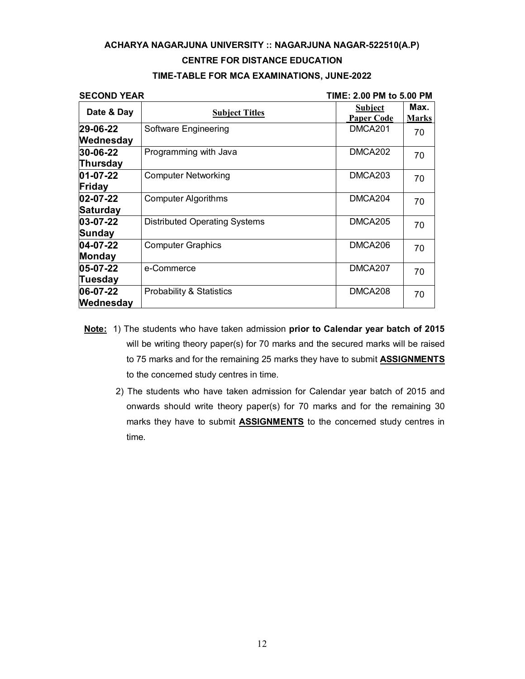| <b>SECOND YEAR</b>          | TIME: 2.00 PM to 5.00 PM             |                                     |                      |
|-----------------------------|--------------------------------------|-------------------------------------|----------------------|
| Date & Day                  | <b>Subject Titles</b>                | <b>Subject</b><br><b>Paper Code</b> | Max.<br><b>Marks</b> |
| 29-06-22<br>Wednesday       | Software Engineering                 | DMCA201                             | 70                   |
| 30-06-22<br><b>Thursday</b> | Programming with Java                | DMCA202                             | 70                   |
| $01-07-22$<br>Friday        | <b>Computer Networking</b>           | DMCA203                             | 70                   |
| 02-07-22<br><b>Saturday</b> | <b>Computer Algorithms</b>           | DMCA204                             | 70                   |
| 03-07-22<br><b>Sunday</b>   | <b>Distributed Operating Systems</b> | DMCA205                             | 70                   |
| 04-07-22<br>Monday          | <b>Computer Graphics</b>             | DMCA206                             | 70                   |
| 05-07-22<br>Tuesday         | e-Commerce                           | DMCA207                             | 70                   |
| 06-07-22<br>Wednesday       | <b>Probability &amp; Statistics</b>  | DMCA208                             | 70                   |

- **Note:** 1) The students who have taken admission **prior to Calendar year batch of 2015** will be writing theory paper(s) for 70 marks and the secured marks will be raised to 75 marks and for the remaining 25 marks they have to submit **ASSIGNMENTS** to the concerned study centres in time.
	- 2) The students who have taken admission for Calendar year batch of 2015 and onwards should write theory paper(s) for 70 marks and for the remaining 30 marks they have to submit **ASSIGNMENTS** to the concerned study centres in time.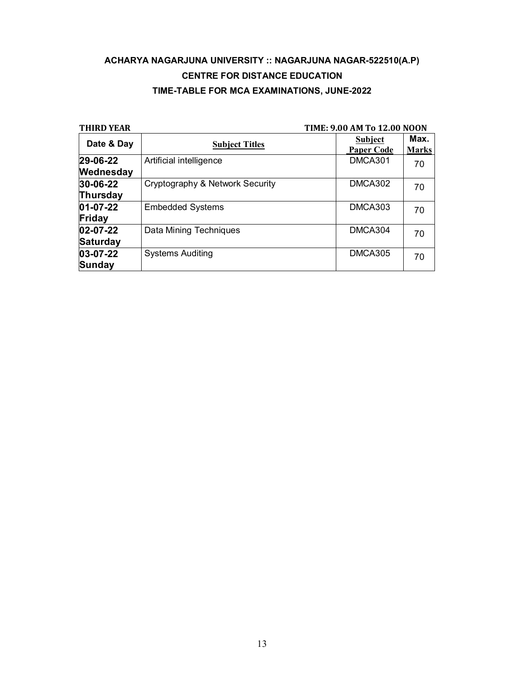# **ACHARYA NAGARJUNA UNIVERSITY :: NAGARJUNA NAGAR-522510(A.P) CENTRE FOR DISTANCE EDUCATION TIME-TABLE FOR MCA EXAMINATIONS, JUNE-2022**

| <b>THIRD YEAR</b>           |                                 | TIME: 9.00 AM To 12.00 NOON         |                      |
|-----------------------------|---------------------------------|-------------------------------------|----------------------|
| Date & Day                  | <b>Subject Titles</b>           | <b>Subject</b><br><b>Paper Code</b> | Max.<br><b>Marks</b> |
| 29-06-22<br>Wednesday       | Artificial intelligence         | DMCA301                             | 70                   |
| 30-06-22<br><b>Thursday</b> | Cryptography & Network Security | DMCA302                             | 70                   |
| $01-07-22$<br>Friday        | <b>Embedded Systems</b>         | DMCA303                             | 70                   |
| 02-07-22<br><b>Saturday</b> | Data Mining Techniques          | DMCA304                             | 70                   |
| 03-07-22<br><b>Sunday</b>   | <b>Systems Auditing</b>         | DMCA305                             | 70                   |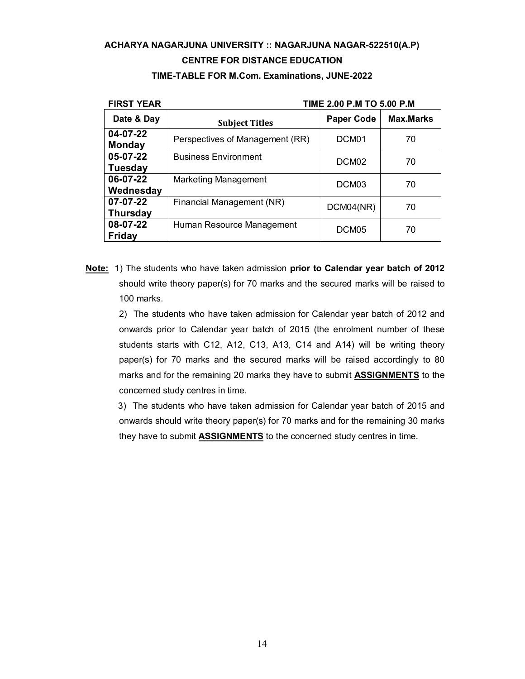# **ACHARYA NAGARJUNA UNIVERSITY :: NAGARJUNA NAGAR-522510(A.P) CENTRE FOR DISTANCE EDUCATION TIME-TABLE FOR M.Com. Examinations, JUNE-2022**

| <b>FIRST YEAR</b>           |                                 | TIME 2.00 P.M TO 5.00 P.M |                  |  |
|-----------------------------|---------------------------------|---------------------------|------------------|--|
| Date & Day                  | <b>Subject Titles</b>           | <b>Paper Code</b>         | <b>Max.Marks</b> |  |
| 04-07-22<br><b>Monday</b>   | Perspectives of Management (RR) | DCM <sub>01</sub>         | 70               |  |
| 05-07-22<br>Tuesday         | <b>Business Environment</b>     | DCM <sub>02</sub>         | 70               |  |
| 06-07-22<br>Wednesday       | <b>Marketing Management</b>     | DCM <sub>03</sub>         | 70               |  |
| 07-07-22<br><b>Thursday</b> | Financial Management (NR)       | DCM04(NR)                 | 70               |  |
| 08-07-22<br><b>Friday</b>   | Human Resource Management       | DCM <sub>05</sub>         | 70               |  |

 **Note:** 1) The students who have taken admission **prior to Calendar year batch of 2012** should write theory paper(s) for 70 marks and the secured marks will be raised to 100 marks.

2) The students who have taken admission for Calendar year batch of 2012 and onwards prior to Calendar year batch of 2015 (the enrolment number of these students starts with C12, A12, C13, A13, C14 and A14) will be writing theory paper(s) for 70 marks and the secured marks will be raised accordingly to 80 marks and for the remaining 20 marks they have to submit **ASSIGNMENTS** to the concerned study centres in time.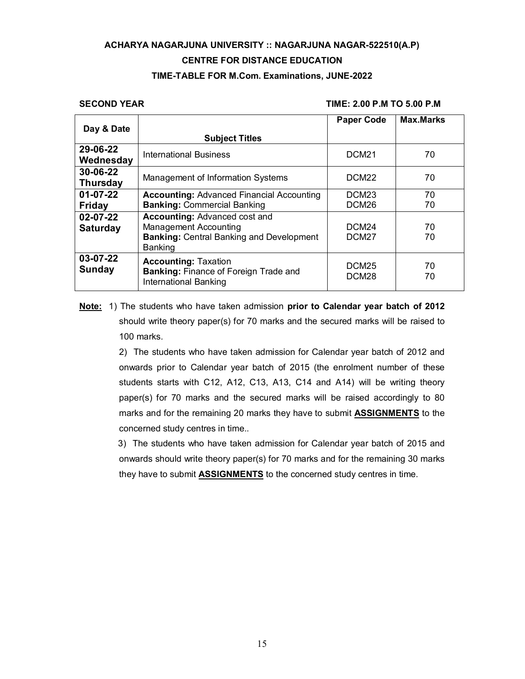#### **TIME-TABLE FOR M.Com. Examinations, JUNE-2022**

**SECOND YEAR TIME: 2.00 P.M TO 5.00 P.M** 

|                                   |                                                                                                                                    | <b>Paper Code</b>                      | <b>Max.Marks</b> |
|-----------------------------------|------------------------------------------------------------------------------------------------------------------------------------|----------------------------------------|------------------|
| Day & Date                        | <b>Subject Titles</b>                                                                                                              |                                        |                  |
| 29-06-22<br>Wednesday             | <b>International Business</b>                                                                                                      | DCM <sub>21</sub>                      | 70               |
| 30-06-22<br><b>Thursday</b>       | Management of Information Systems                                                                                                  | DCM <sub>22</sub>                      | 70               |
| $01 - 07 - 22$<br><b>Friday</b>   | <b>Accounting: Advanced Financial Accounting</b><br><b>Banking: Commercial Banking</b>                                             | DCM <sub>23</sub><br>DCM <sub>26</sub> | 70<br>70         |
| $02 - 07 - 22$<br><b>Saturday</b> | <b>Accounting: Advanced cost and</b><br><b>Management Accounting</b><br><b>Banking: Central Banking and Development</b><br>Banking | DCM <sub>24</sub><br>DCM <sub>27</sub> | 70<br>70         |
| 03-07-22<br>Sunday                | <b>Accounting: Taxation</b><br><b>Banking: Finance of Foreign Trade and</b><br>International Banking                               | DCM <sub>25</sub><br>DCM <sub>28</sub> | 70<br>70         |

**Note:** 1) The students who have taken admission **prior to Calendar year batch of 2012** should write theory paper(s) for 70 marks and the secured marks will be raised to 100 marks.

> 2) The students who have taken admission for Calendar year batch of 2012 and onwards prior to Calendar year batch of 2015 (the enrolment number of these students starts with C12, A12, C13, A13, C14 and A14) will be writing theory paper(s) for 70 marks and the secured marks will be raised accordingly to 80 marks and for the remaining 20 marks they have to submit **ASSIGNMENTS** to the concerned study centres in time..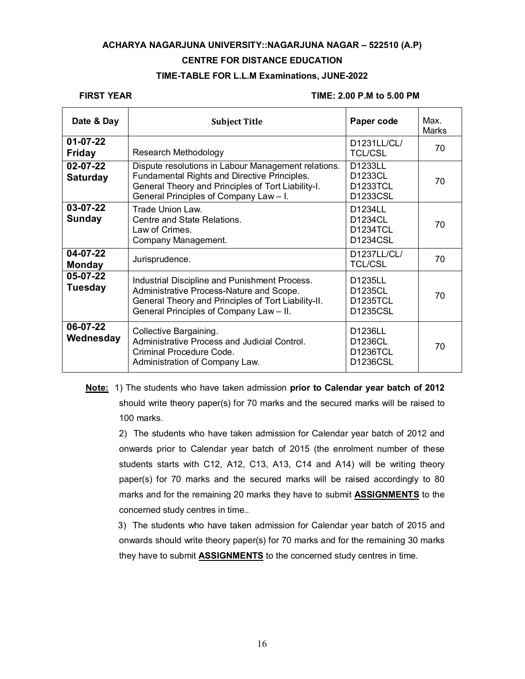#### **TIME-TABLE FOR L.L.M Examinations, JUNE-2022**

**FIRST YEAR TIME: 2.00 P.M to 5.00 PM** 

| Date & Day                      | <b>Subject Title</b>                                                                                                                                                                                | Paper code                                               | Max.<br><b>Marks</b> |
|---------------------------------|-----------------------------------------------------------------------------------------------------------------------------------------------------------------------------------------------------|----------------------------------------------------------|----------------------|
| $01 - 07 - 22$<br><b>Friday</b> | Research Methodology                                                                                                                                                                                | D1231LL/CL/<br><b>TCL/CSL</b>                            | 70                   |
| 02-07-22<br><b>Saturday</b>     | Dispute resolutions in Labour Management relations.<br>Fundamental Rights and Directive Principles.<br>General Theory and Principles of Tort Liability-I.<br>General Principles of Company Law - I. | D1233LL<br>D1233CL<br><b>D1233TCL</b><br><b>D1233CSL</b> | 70                   |
| 03-07-22<br><b>Sunday</b>       | Trade Union Law.<br>Centre and State Relations.<br>Law of Crimes.<br>Company Management.                                                                                                            | D1234LL<br>D1234CL<br><b>D1234TCL</b><br><b>D1234CSL</b> | 70                   |
| 04-07-22<br><b>Monday</b>       | Jurisprudence.                                                                                                                                                                                      | D1237LL/CL/<br><b>TCL/CSL</b>                            | 70                   |
| 05-07-22<br><b>Tuesday</b>      | Industrial Discipline and Punishment Process.<br>Administrative Process-Nature and Scope.<br>General Theory and Principles of Tort Liability-II.<br>General Principles of Company Law - II.         | D1235LL<br>D1235CL<br><b>D1235TCL</b><br><b>D1235CSL</b> | 70                   |
| 06-07-22<br>Wednesday           | Collective Bargaining.<br>Administrative Process and Judicial Control.<br>Criminal Procedure Code.<br>Administration of Company Law.                                                                | D1236LL<br>D1236CL<br><b>D1236TCL</b><br>D1236CSL        | 70                   |

 **Note:** 1) The students who have taken admission **prior to Calendar year batch of 2012** should write theory paper(s) for 70 marks and the secured marks will be raised to 100 marks.

2) The students who have taken admission for Calendar year batch of 2012 and onwards prior to Calendar year batch of 2015 (the enrolment number of these students starts with C12, A12, C13, A13, C14 and A14) will be writing theory paper(s) for 70 marks and the secured marks will be raised accordingly to 80 marks and for the remaining 20 marks they have to submit **ASSIGNMENTS** to the concerned study centres in time..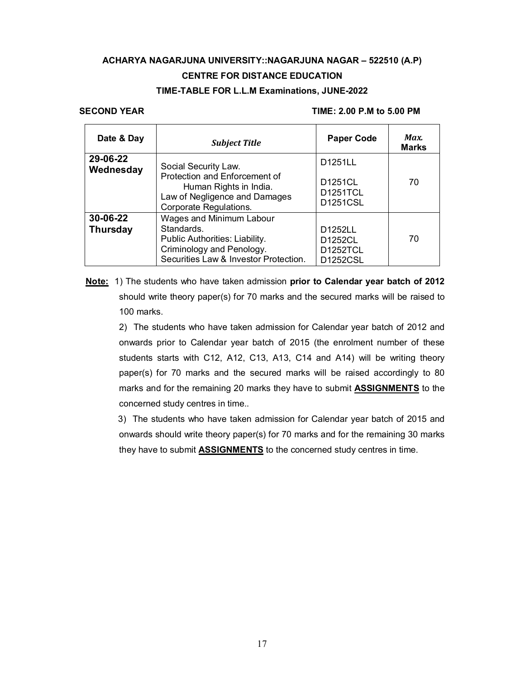# **ACHARYA NAGARJUNA UNIVERSITY::NAGARJUNA NAGAR – 522510 (A.P) CENTRE FOR DISTANCE EDUCATION TIME-TABLE FOR L.L.M Examinations, JUNE-2022**

#### **SECOND YEAR TIME: 2.00 P.M to 5.00 PM**

| Date & Day            | <b>Subject Title</b>                                                                                               | <b>Paper Code</b>                                 | Max.<br><b>Marks</b> |
|-----------------------|--------------------------------------------------------------------------------------------------------------------|---------------------------------------------------|----------------------|
| 29-06-22<br>Wednesday | Social Security Law.                                                                                               | D <sub>1251</sub> LL                              |                      |
|                       | Protection and Enforcement of<br>Human Rights in India.<br>Law of Negligence and Damages<br>Corporate Regulations. | D1251CL<br>D1251TCL<br><b>D1251CSL</b>            | 70                   |
| 30-06-22              | Wages and Minimum Labour                                                                                           |                                                   |                      |
| <b>Thursday</b>       | Standards.<br>Public Authorities: Liability.<br>Criminology and Penology.<br>Securities Law & Investor Protection. | D1252LL<br>D1252CL<br><b>D1252TCL</b><br>D1252CSL | 70                   |

 **Note:** 1) The students who have taken admission **prior to Calendar year batch of 2012** should write theory paper(s) for 70 marks and the secured marks will be raised to 100 marks.

2) The students who have taken admission for Calendar year batch of 2012 and onwards prior to Calendar year batch of 2015 (the enrolment number of these students starts with C12, A12, C13, A13, C14 and A14) will be writing theory paper(s) for 70 marks and the secured marks will be raised accordingly to 80 marks and for the remaining 20 marks they have to submit **ASSIGNMENTS** to the concerned study centres in time..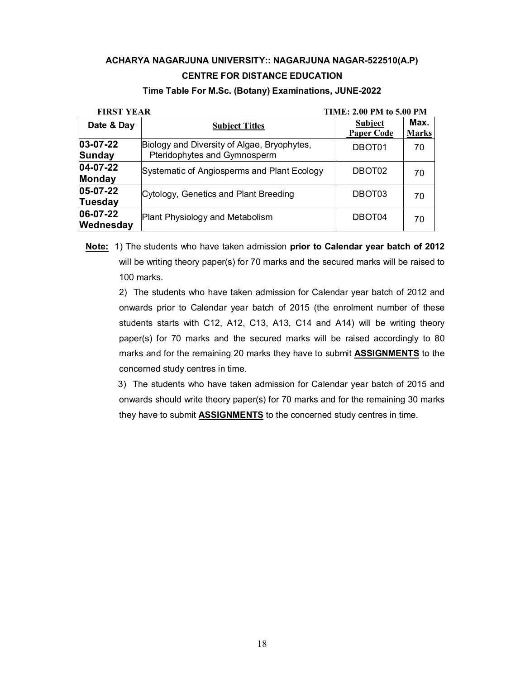| <b>TIME: 2.00 PM to 5.00 PM</b><br><b>FIRST YEAR</b> |                                                                             |                                     |                      |
|------------------------------------------------------|-----------------------------------------------------------------------------|-------------------------------------|----------------------|
| Date & Day                                           | <b>Subject Titles</b>                                                       | <b>Subject</b><br><b>Paper Code</b> | Max.<br><b>Marks</b> |
| $ 03-07-22 $<br>Sunday                               | Biology and Diversity of Algae, Bryophytes,<br>Pteridophytes and Gymnosperm | DBOT01                              | 70                   |
| 04-07-22<br><b>Monday</b>                            | Systematic of Angiosperms and Plant Ecology                                 | DBOT02                              | 70                   |
| 05-07-22<br>Tuesday                                  | Cytology, Genetics and Plant Breeding                                       | DBOT <sub>03</sub>                  | 70                   |
| 06-07-22<br>Wednesday                                | Plant Physiology and Metabolism                                             | DBOT04                              | 70                   |

**Time Table For M.Sc. (Botany) Examinations, JUNE-2022** 

 **Note:** 1) The students who have taken admission **prior to Calendar year batch of 2012** will be writing theory paper(s) for 70 marks and the secured marks will be raised to 100 marks.

2) The students who have taken admission for Calendar year batch of 2012 and onwards prior to Calendar year batch of 2015 (the enrolment number of these students starts with C12, A12, C13, A13, C14 and A14) will be writing theory paper(s) for 70 marks and the secured marks will be raised accordingly to 80 marks and for the remaining 20 marks they have to submit **ASSIGNMENTS** to the concerned study centres in time.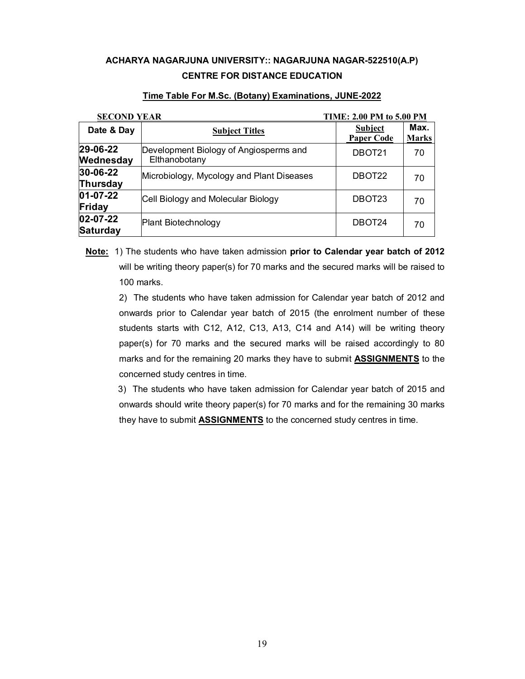| <b>SECOND YEAR</b>          |                                                         | <b>TIME: 2.00 PM to 5.00 PM</b>     |                      |
|-----------------------------|---------------------------------------------------------|-------------------------------------|----------------------|
| Date & Day                  | <b>Subject Titles</b>                                   | <b>Subject</b><br><b>Paper Code</b> | Max.<br><b>Marks</b> |
| 29-06-22<br>Wednesday       | Development Biology of Angiosperms and<br>Elthanobotany | DBOT21                              | 70                   |
| 30-06-22<br><b>Thursday</b> | Microbiology, Mycology and Plant Diseases               | DBOT22                              | 70                   |
| $01 - 07 - 22$<br>Friday    | Cell Biology and Molecular Biology                      | DBOT <sub>23</sub>                  | 70                   |
| 02-07-22<br><b>Saturday</b> | Plant Biotechnology                                     | DBOT24                              | 70                   |

#### **Time Table For M.Sc. (Botany) Examinations, JUNE-2022**

 **Note:** 1) The students who have taken admission **prior to Calendar year batch of 2012** will be writing theory paper(s) for 70 marks and the secured marks will be raised to 100 marks.

2) The students who have taken admission for Calendar year batch of 2012 and onwards prior to Calendar year batch of 2015 (the enrolment number of these students starts with C12, A12, C13, A13, C14 and A14) will be writing theory paper(s) for 70 marks and the secured marks will be raised accordingly to 80 marks and for the remaining 20 marks they have to submit **ASSIGNMENTS** to the concerned study centres in time.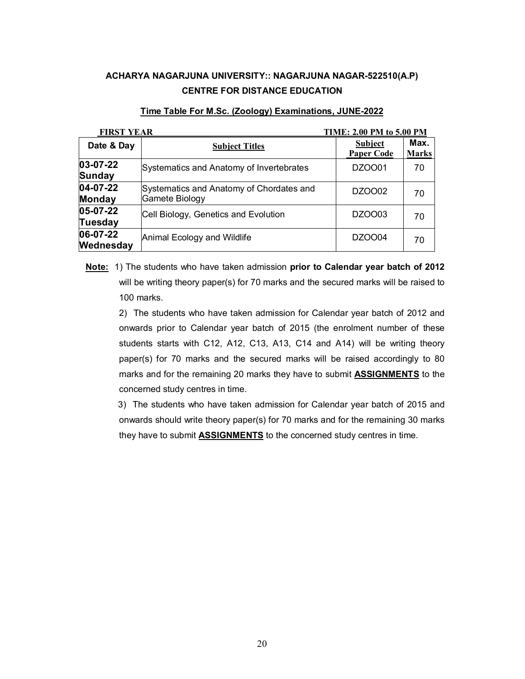| <b>FIRST YEAR</b>              |                                                            | <b>TIME: 2.00 PM to 5.00 PM</b>     |                      |
|--------------------------------|------------------------------------------------------------|-------------------------------------|----------------------|
| Date & Day                     | <b>Subject Titles</b>                                      | <b>Subject</b><br><b>Paper Code</b> | Max.<br><b>Marks</b> |
| $ 03-07-22 $<br>Sunday         | Systematics and Anatomy of Invertebrates                   | DZO001                              | 70                   |
| $ 04-07-22 $<br>Monday         | Systematics and Anatomy of Chordates and<br>Gamete Biology | DZOO02                              | 70                   |
| $ 05-07-22 $<br><b>Tuesday</b> | Cell Biology, Genetics and Evolution                       | DZOO03                              | 70                   |
| 06-07-22<br>Wednesday          | Animal Ecology and Wildlife                                | DZOO04                              | 70                   |

#### **Time Table For M.Sc. (Zoology) Examinations, JUNE-2022**

 **Note:** 1) The students who have taken admission **prior to Calendar year batch of 2012** will be writing theory paper(s) for 70 marks and the secured marks will be raised to 100 marks.

2) The students who have taken admission for Calendar year batch of 2012 and onwards prior to Calendar year batch of 2015 (the enrolment number of these students starts with C12, A12, C13, A13, C14 and A14) will be writing theory paper(s) for 70 marks and the secured marks will be raised accordingly to 80 marks and for the remaining 20 marks they have to submit **ASSIGNMENTS** to the concerned study centres in time.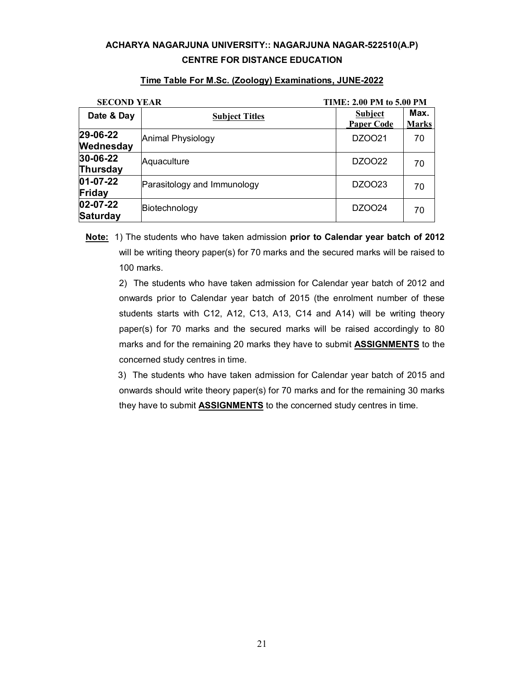| <b>SECOND YEAR</b>          |                             | <b>TIME: 2.00 PM to 5.00 PM</b>     |                      |
|-----------------------------|-----------------------------|-------------------------------------|----------------------|
| Date & Day                  | <b>Subject Titles</b>       | <b>Subject</b><br><b>Paper Code</b> | Max.<br><b>Marks</b> |
| 29-06-22<br>Wednesday       | Animal Physiology           | DZO <sub>O21</sub>                  | 70                   |
| 30-06-22<br><b>Thursday</b> | Aquaculture                 | DZO022                              | 70                   |
| $ 01-07-22 $<br>Friday      | Parasitology and Immunology | DZO023                              | 70                   |
| 02-07-22<br>Saturday        | Biotechnology               | DZO024                              | 70                   |

#### **Time Table For M.Sc. (Zoology) Examinations, JUNE-2022**

 **Note:** 1) The students who have taken admission **prior to Calendar year batch of 2012** will be writing theory paper(s) for 70 marks and the secured marks will be raised to 100 marks.

2) The students who have taken admission for Calendar year batch of 2012 and onwards prior to Calendar year batch of 2015 (the enrolment number of these students starts with C12, A12, C13, A13, C14 and A14) will be writing theory paper(s) for 70 marks and the secured marks will be raised accordingly to 80 marks and for the remaining 20 marks they have to submit **ASSIGNMENTS** to the concerned study centres in time.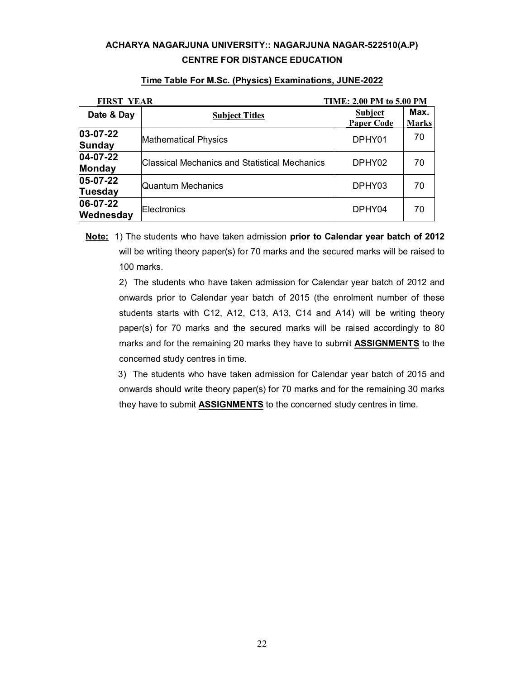| <b>FIRST YEAR</b>             |                                               | <b>TIME: 2.00 PM to 5.00 PM</b>     |                      |
|-------------------------------|-----------------------------------------------|-------------------------------------|----------------------|
| Date & Day                    | <b>Subject Titles</b>                         | <b>Subject</b><br><b>Paper Code</b> | Max.<br><b>Marks</b> |
| $ 03-07-22 $<br><b>Sunday</b> | <b>Mathematical Physics</b>                   | DPHY01                              | 70                   |
| $04-07-22$<br>Monday          | Classical Mechanics and Statistical Mechanics | DPHY02                              | 70                   |
| 05-07-22<br><b>Tuesday</b>    | Quantum Mechanics                             | DPHY03                              | 70                   |
| 06-07-22<br>Wednesday         | Electronics                                   | DPHY04                              | 70                   |

#### **Time Table For M.Sc. (Physics) Examinations, JUNE-2022**

 **Note:** 1) The students who have taken admission **prior to Calendar year batch of 2012** will be writing theory paper(s) for 70 marks and the secured marks will be raised to 100 marks.

2) The students who have taken admission for Calendar year batch of 2012 and onwards prior to Calendar year batch of 2015 (the enrolment number of these students starts with C12, A12, C13, A13, C14 and A14) will be writing theory paper(s) for 70 marks and the secured marks will be raised accordingly to 80 marks and for the remaining 20 marks they have to submit **ASSIGNMENTS** to the concerned study centres in time.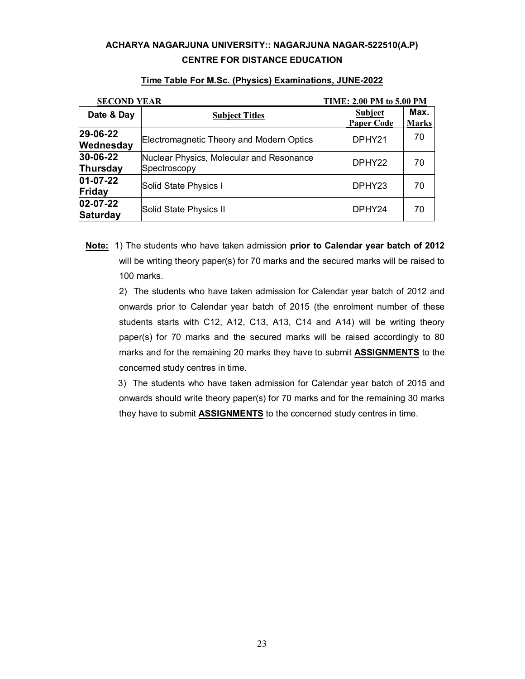| <b>SECOND YEAR</b>                |                                                          | <b>TIME: 2.00 PM to 5.00 PM</b>     |                      |
|-----------------------------------|----------------------------------------------------------|-------------------------------------|----------------------|
| Date & Day                        | <b>Subject Titles</b>                                    | <b>Subject</b><br><b>Paper Code</b> | Max.<br><b>Marks</b> |
| 29-06-22<br>Wednesday             | Electromagnetic Theory and Modern Optics                 | DPHY21                              | 70                   |
| 30-06-22<br><b>Thursday</b>       | Nuclear Physics, Molecular and Resonance<br>Spectroscopy | DPHY22                              | 70                   |
| $01 - 07 - 22$<br>Friday          | Solid State Physics I                                    | DPHY <sub>23</sub>                  | 70                   |
| $02 - 07 - 22$<br><b>Saturday</b> | Solid State Physics II                                   | DPHY24                              | 70                   |

#### **Time Table For M.Sc. (Physics) Examinations, JUNE-2022**

 **Note:** 1) The students who have taken admission **prior to Calendar year batch of 2012** will be writing theory paper(s) for 70 marks and the secured marks will be raised to 100 marks.

2) The students who have taken admission for Calendar year batch of 2012 and onwards prior to Calendar year batch of 2015 (the enrolment number of these students starts with C12, A12, C13, A13, C14 and A14) will be writing theory paper(s) for 70 marks and the secured marks will be raised accordingly to 80 marks and for the remaining 20 marks they have to submit **ASSIGNMENTS** to the concerned study centres in time.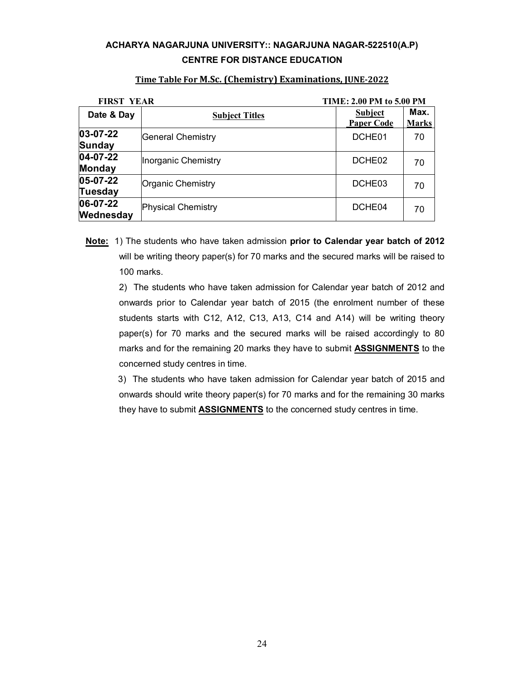| <b>FIRST YEAR</b>         |                           | <b>TIME: 2.00 PM to 5.00 PM</b>     |                      |
|---------------------------|---------------------------|-------------------------------------|----------------------|
| Date & Day                | <b>Subject Titles</b>     | <b>Subject</b><br><b>Paper Code</b> | Max.<br><b>Marks</b> |
| 03-07-22<br>Sunday        | <b>General Chemistry</b>  | DCHE01                              | 70                   |
| 04-07-22<br>Monday        | Inorganic Chemistry       | DCHE02                              | 70                   |
| 05-07-22<br>Tuesday       | Organic Chemistry         | DCHE03                              | 70                   |
| $ 06-07-22 $<br>Wednesday | <b>Physical Chemistry</b> | DCHE04                              | 70                   |

#### **Time Table For M.Sc. (Chemistry) Examinations, JUNE-2022**

 **Note:** 1) The students who have taken admission **prior to Calendar year batch of 2012** will be writing theory paper(s) for 70 marks and the secured marks will be raised to 100 marks.

2) The students who have taken admission for Calendar year batch of 2012 and onwards prior to Calendar year batch of 2015 (the enrolment number of these students starts with C12, A12, C13, A13, C14 and A14) will be writing theory paper(s) for 70 marks and the secured marks will be raised accordingly to 80 marks and for the remaining 20 marks they have to submit **ASSIGNMENTS** to the concerned study centres in time.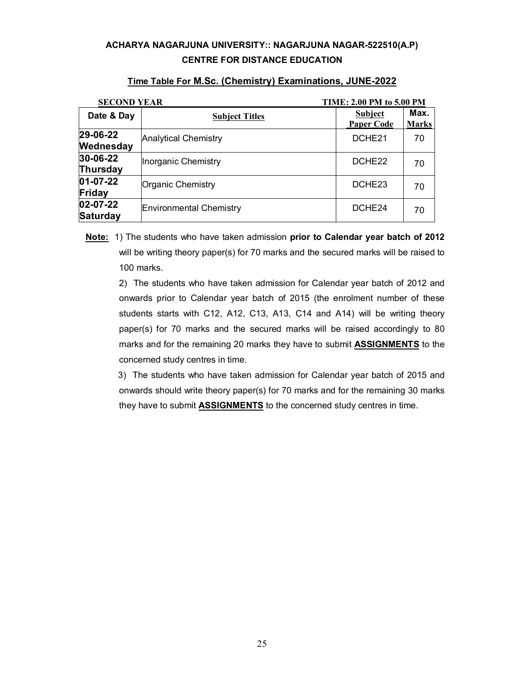| <b>SECOND YEAR</b>          |                             | TIME: 2.00 PM to 5.00 PM            |                      |
|-----------------------------|-----------------------------|-------------------------------------|----------------------|
| Date & Day                  | <b>Subject Titles</b>       | <b>Subject</b><br><b>Paper Code</b> | Max.<br><b>Marks</b> |
| 29-06-22<br>Wednesday       | <b>Analytical Chemistry</b> | DCHE <sub>21</sub>                  | 70                   |
| 30-06-22<br>Thursday        | Inorganic Chemistry         | DCHE22                              | 70                   |
| $ 01-07-22 $<br>Friday      | Organic Chemistry           | DCHE23                              | 70                   |
| 02-07-22<br><b>Saturday</b> | Environmental Chemistry     | DCHE24                              | 70                   |

#### **Time Table For M.Sc. (Chemistry) Examinations, JUNE-2022**

 **Note:** 1) The students who have taken admission **prior to Calendar year batch of 2012** will be writing theory paper(s) for 70 marks and the secured marks will be raised to 100 marks.

2) The students who have taken admission for Calendar year batch of 2012 and onwards prior to Calendar year batch of 2015 (the enrolment number of these students starts with C12, A12, C13, A13, C14 and A14) will be writing theory paper(s) for 70 marks and the secured marks will be raised accordingly to 80 marks and for the remaining 20 marks they have to submit **ASSIGNMENTS** to the concerned study centres in time.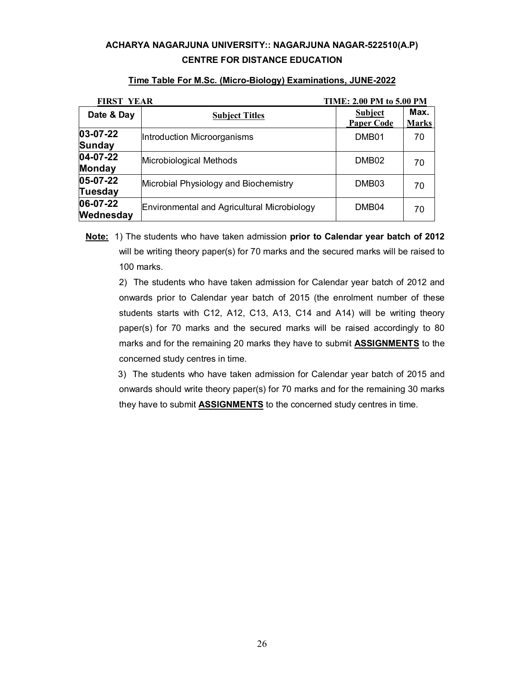| <b>FIRST YEAR</b>             |                                             | <b>TIME: 2.00 PM to 5.00 PM</b>     |                      |
|-------------------------------|---------------------------------------------|-------------------------------------|----------------------|
| Date & Day                    | <b>Subject Titles</b>                       | <b>Subject</b><br><b>Paper Code</b> | Max.<br><b>Marks</b> |
| $ 03-07-22 $<br><b>Sunday</b> | Introduction Microorganisms                 | DMB <sub>01</sub>                   | 70                   |
| 04-07-22<br><b>Monday</b>     | Microbiological Methods                     | DMB <sub>02</sub>                   | 70                   |
| 05-07-22<br><b>Tuesday</b>    | Microbial Physiology and Biochemistry       | DMB <sub>03</sub>                   | 70                   |
| 06-07-22<br>Wednesday         | Environmental and Agricultural Microbiology | DMB <sub>04</sub>                   | 70                   |

#### **Time Table For M.Sc. (Micro-Biology) Examinations, JUNE-2022**

 **Note:** 1) The students who have taken admission **prior to Calendar year batch of 2012** will be writing theory paper(s) for 70 marks and the secured marks will be raised to 100 marks.

2) The students who have taken admission for Calendar year batch of 2012 and onwards prior to Calendar year batch of 2015 (the enrolment number of these students starts with C12, A12, C13, A13, C14 and A14) will be writing theory paper(s) for 70 marks and the secured marks will be raised accordingly to 80 marks and for the remaining 20 marks they have to submit **ASSIGNMENTS** to the concerned study centres in time.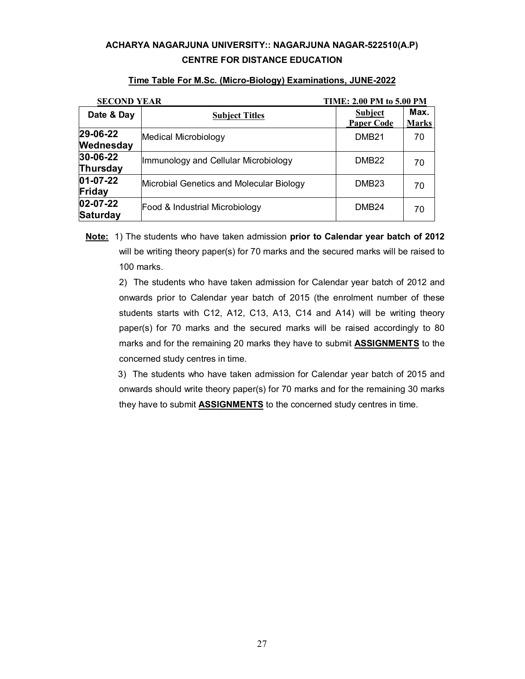| <b>SECOND YEAR</b>          |                                          | TIME: 2.00 PM to 5.00 PM            |                      |
|-----------------------------|------------------------------------------|-------------------------------------|----------------------|
| Date & Day                  | <b>Subject Titles</b>                    | <b>Subject</b><br><b>Paper Code</b> | Max.<br><b>Marks</b> |
| 29-06-22<br>Wednesday       | Medical Microbiology                     | DMB <sub>21</sub>                   | 70                   |
| 30-06-22<br>Thursday        | Immunology and Cellular Microbiology     | DMB <sub>22</sub>                   | 70                   |
| $ 01-07-22 $<br>Friday      | Microbial Genetics and Molecular Biology | DMB <sub>23</sub>                   | 70                   |
| 02-07-22<br><b>Saturday</b> | Food & Industrial Microbiology           | DMB <sub>24</sub>                   | 70                   |

#### **Time Table For M.Sc. (Micro-Biology) Examinations, JUNE-2022**

 **Note:** 1) The students who have taken admission **prior to Calendar year batch of 2012** will be writing theory paper(s) for 70 marks and the secured marks will be raised to 100 marks.

2) The students who have taken admission for Calendar year batch of 2012 and onwards prior to Calendar year batch of 2015 (the enrolment number of these students starts with C12, A12, C13, A13, C14 and A14) will be writing theory paper(s) for 70 marks and the secured marks will be raised accordingly to 80 marks and for the remaining 20 marks they have to submit **ASSIGNMENTS** to the concerned study centres in time.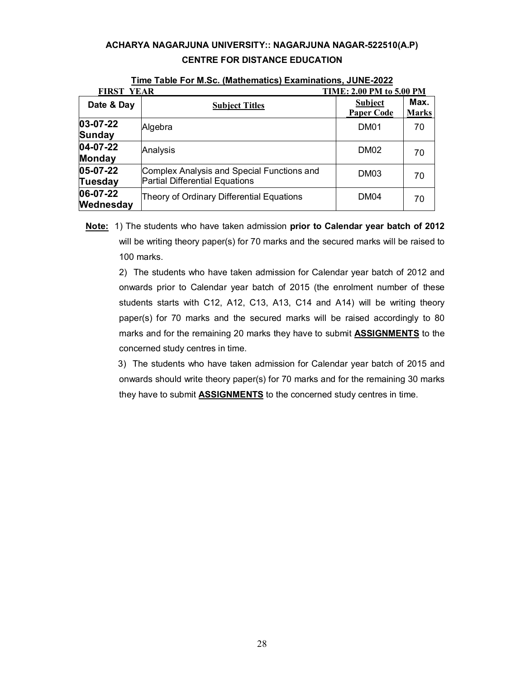| <b>FIRST YEAR</b>          |                                                                                     | <b>TIME: 2.00 PM to 5.00 PM</b>     |                      |
|----------------------------|-------------------------------------------------------------------------------------|-------------------------------------|----------------------|
| Date & Day                 | <b>Subject Titles</b>                                                               | <b>Subject</b><br><b>Paper Code</b> | Max.<br><b>Marks</b> |
| 03-07-22<br>Sunday         | Algebra                                                                             | DM <sub>01</sub>                    | 70                   |
| 04-07-22<br><b>Monday</b>  | Analysis                                                                            | DM <sub>02</sub>                    | 70                   |
| 05-07-22<br><b>Tuesday</b> | Complex Analysis and Special Functions and<br><b>Partial Differential Equations</b> | DM03                                | 70                   |
| 06-07-22<br>Wednesday      | Theory of Ordinary Differential Equations                                           | DM04                                | 70                   |

#### **Time Table For M.Sc. (Mathematics) Examinations, JUNE-2022**

 **Note:** 1) The students who have taken admission **prior to Calendar year batch of 2012** will be writing theory paper(s) for 70 marks and the secured marks will be raised to 100 marks.

2) The students who have taken admission for Calendar year batch of 2012 and onwards prior to Calendar year batch of 2015 (the enrolment number of these students starts with C12, A12, C13, A13, C14 and A14) will be writing theory paper(s) for 70 marks and the secured marks will be raised accordingly to 80 marks and for the remaining 20 marks they have to submit **ASSIGNMENTS** to the concerned study centres in time.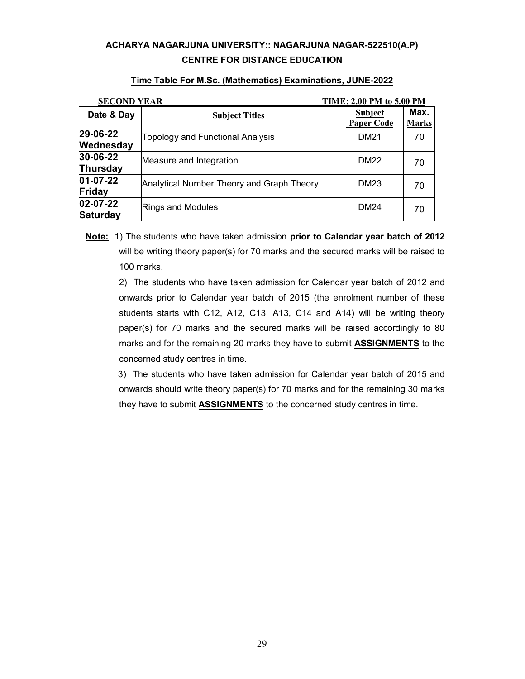| <b>SECOND YEAR</b>                |                                           | TIME: 2.00 PM to 5.00 PM            |                      |
|-----------------------------------|-------------------------------------------|-------------------------------------|----------------------|
| Date & Day                        | <b>Subject Titles</b>                     | <b>Subject</b><br><b>Paper Code</b> | Max.<br><b>Marks</b> |
| 29-06-22<br>Wednesday             | Topology and Functional Analysis          | DM21                                | 70                   |
| 30-06-22<br>Thursday              | Measure and Integration                   | <b>DM22</b>                         | 70                   |
| $ 01-07-22 $<br>Friday            | Analytical Number Theory and Graph Theory | DM23                                | 70                   |
| $02 - 07 - 22$<br><b>Saturday</b> | <b>Rings and Modules</b>                  | <b>DM24</b>                         | 70                   |

#### **Time Table For M.Sc. (Mathematics) Examinations, JUNE-2022**

 **Note:** 1) The students who have taken admission **prior to Calendar year batch of 2012** will be writing theory paper(s) for 70 marks and the secured marks will be raised to 100 marks.

2) The students who have taken admission for Calendar year batch of 2012 and onwards prior to Calendar year batch of 2015 (the enrolment number of these students starts with C12, A12, C13, A13, C14 and A14) will be writing theory paper(s) for 70 marks and the secured marks will be raised accordingly to 80 marks and for the remaining 20 marks they have to submit **ASSIGNMENTS** to the concerned study centres in time.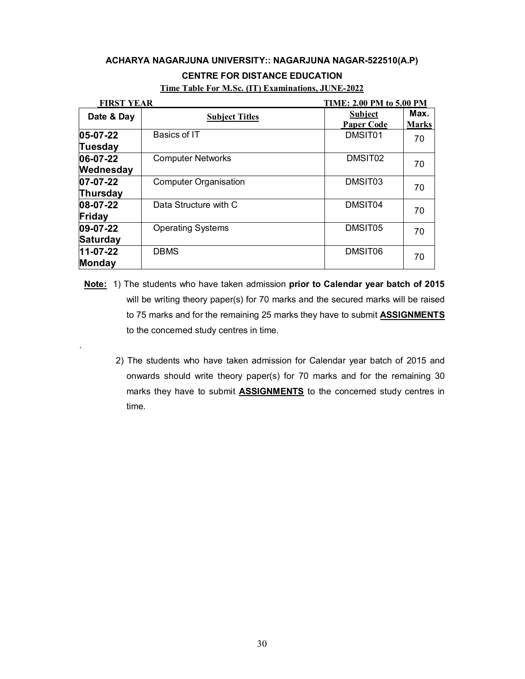| <b>FIRST YEAR</b>     |                              | <b>TIME: 2.00 PM to 5.00 PM</b>     |                      |
|-----------------------|------------------------------|-------------------------------------|----------------------|
| Date & Day            | <b>Subject Titles</b>        | <b>Subject</b><br><b>Paper Code</b> | Max.<br><b>Marks</b> |
| 05-07-22<br>Tuesday   | Basics of IT                 | DMSIT01                             | 70                   |
| 06-07-22<br>Wednesday | <b>Computer Networks</b>     | DMSIT <sub>02</sub>                 | 70                   |
| 07-07-22<br>Thursday  | <b>Computer Organisation</b> | DMSIT03                             | 70                   |
| 08-07-22<br>Friday    | Data Structure with C        | DMSIT04                             | 70                   |
| 09-07-22<br>Saturday  | <b>Operating Systems</b>     | DMSIT05                             | 70                   |
| $11-07-22$<br>Monday  | <b>DBMS</b>                  | DMSIT06                             | 70                   |

**Time Table For M.Sc. (IT) Examinations, JUNE-2022**

**Note:** 1) The students who have taken admission **prior to Calendar year batch of 2015** will be writing theory paper(s) for 70 marks and the secured marks will be raised to 75 marks and for the remaining 25 marks they have to submit **ASSIGNMENTS** to the concerned study centres in time.

.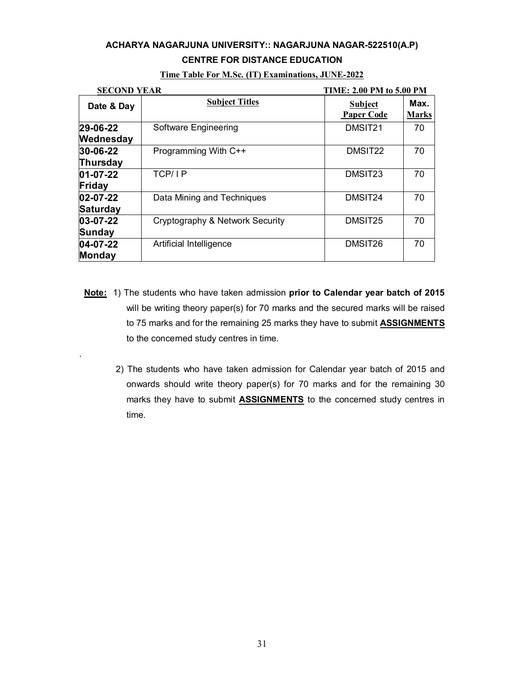| <b>SECOND YEAR</b>                |                                 | <b>TIME: 2.00 PM to 5.00 PM</b>     |                      |
|-----------------------------------|---------------------------------|-------------------------------------|----------------------|
| Date & Day                        | <b>Subject Titles</b>           | <b>Subject</b><br><b>Paper Code</b> | Max.<br><b>Marks</b> |
| 29-06-22                          | Software Engineering            | DMSIT <sub>21</sub>                 | 70                   |
| Wednesday                         |                                 |                                     |                      |
| 30-06-22                          | Programming With C++            | DMSIT <sub>22</sub>                 | 70                   |
| Thursday                          |                                 |                                     |                      |
| $01-07-22$<br>Friday              | TCP/IP                          | DMSIT <sub>23</sub>                 | 70                   |
| $02 - 07 - 22$<br><b>Saturday</b> | Data Mining and Techniques      | DMSIT24                             | 70                   |
| $ 03-07-22 $<br><b>Sunday</b>     | Cryptography & Network Security | DMSIT <sub>25</sub>                 | 70                   |
| 04-07-22<br>Monday                | Artificial Intelligence         | DMSIT26                             | 70                   |

**Time Table For M.Sc. (IT) Examinations, JUNE-2022**

**Note:** 1) The students who have taken admission **prior to Calendar year batch of 2015** will be writing theory paper(s) for 70 marks and the secured marks will be raised to 75 marks and for the remaining 25 marks they have to submit **ASSIGNMENTS** to the concerned study centres in time.

.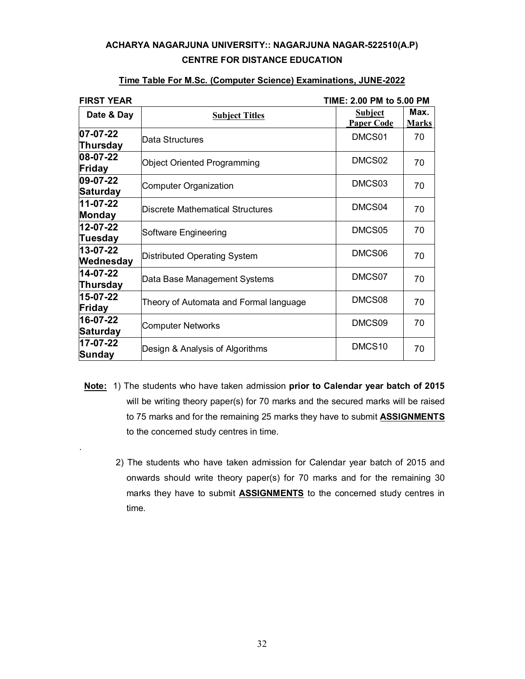| <b>FIRST YEAR</b>           | TIME: 2.00 PM to 5.00 PM               |                                     |                      |
|-----------------------------|----------------------------------------|-------------------------------------|----------------------|
| Date & Day                  | <b>Subject Titles</b>                  | <b>Subject</b><br><b>Paper Code</b> | Max.<br><b>Marks</b> |
| 07-07-22<br>Thursday        | Data Structures                        | DMCS01                              | 70                   |
| 08-07-22<br><b>Friday</b>   | <b>Object Oriented Programming</b>     | DMCS <sub>02</sub>                  | 70                   |
| 09-07-22<br><b>Saturday</b> | <b>Computer Organization</b>           | DMCS03                              | 70                   |
| 11-07-22<br>Monday          | Discrete Mathematical Structures       | DMCS04                              | 70                   |
| 12-07-22<br>Tuesday         | Software Engineering                   | DMCS05                              | 70                   |
| 13-07-22<br>Wednesday       | <b>Distributed Operating System</b>    | DMCS06                              | 70                   |
| 14-07-22<br>Thursday        | Data Base Management Systems           | DMCS07                              | 70                   |
| 15-07-22<br><b>Friday</b>   | Theory of Automata and Formal language | DMCS08                              | 70                   |
| 16-07-22<br><b>Saturday</b> | <b>Computer Networks</b>               | DMCS09                              | 70                   |
| 17-07-22<br><b>Sunday</b>   | Design & Analysis of Algorithms        | DMCS <sub>10</sub>                  | 70                   |

#### **Time Table For M.Sc. (Computer Science) Examinations, JUNE-2022**

**Note:** 1) The students who have taken admission **prior to Calendar year batch of 2015** will be writing theory paper(s) for 70 marks and the secured marks will be raised to 75 marks and for the remaining 25 marks they have to submit **ASSIGNMENTS** to the concerned study centres in time.

.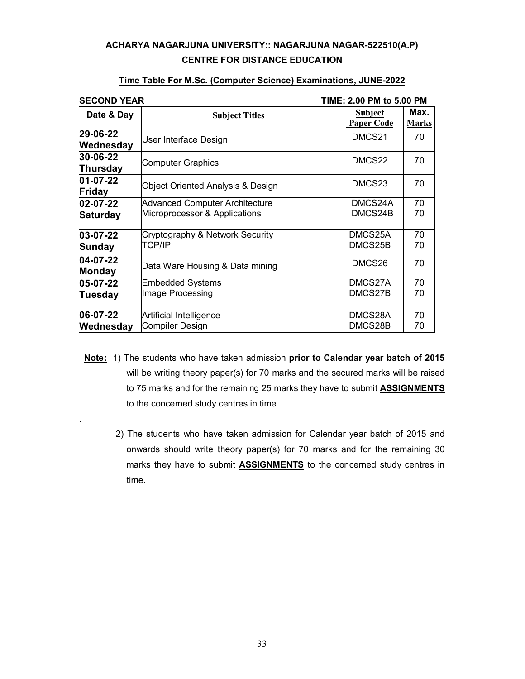| <b>SECOND YEAR</b>             |                                                                        | TIME: 2.00 PM to 5.00 PM            |                      |
|--------------------------------|------------------------------------------------------------------------|-------------------------------------|----------------------|
| Date & Day                     | <b>Subject Titles</b>                                                  | <b>Subject</b><br><b>Paper Code</b> | Max.<br><b>Marks</b> |
| 29-06-22<br>Wednesday          | User Interface Design                                                  | DMCS21                              | 70                   |
| 30-06-22<br><b>Thursday</b>    | <b>Computer Graphics</b>                                               | DMCS22                              | 70                   |
| $ 01 - 07 - 22 $<br>Friday     | Object Oriented Analysis & Design                                      | DMCS <sub>23</sub>                  | 70                   |
| $ 02 - 07 - 22 $<br>Saturday   | <b>Advanced Computer Architecture</b><br>Microprocessor & Applications | DMCS24A<br>DMCS24B                  | 70<br>70             |
| $ 03-07-22 $<br>Sunday         | Cryptography & Network Security<br>TCP/IP                              | DMCS25A<br>DMCS25B                  | 70<br>70             |
| $04 - 07 - 22$<br>Monday       | Data Ware Housing & Data mining                                        | DMCS <sub>26</sub>                  | 70                   |
| $ 05-07-22 $<br><b>Tuesday</b> | <b>Embedded Systems</b><br>Image Processing                            | DMCS27A<br>DMCS27B                  | 70<br>70             |
| 06-07-22<br>Wednesday          | Artificial Intelligence<br>Compiler Design                             | DMCS28A<br>DMCS28B                  | 70<br>70             |

#### **Time Table For M.Sc. (Computer Science) Examinations, JUNE-2022**

**Note:** 1) The students who have taken admission **prior to Calendar year batch of 2015** will be writing theory paper(s) for 70 marks and the secured marks will be raised to 75 marks and for the remaining 25 marks they have to submit **ASSIGNMENTS** to the concerned study centres in time.

.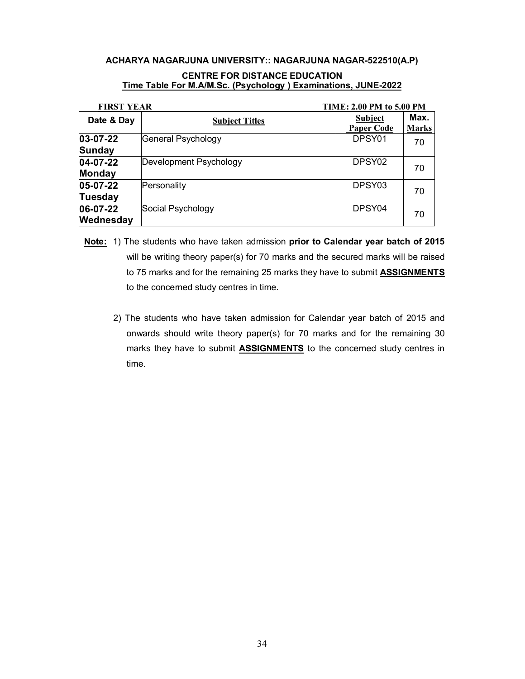#### **ACHARYA NAGARJUNA UNIVERSITY:: NAGARJUNA NAGAR-522510(A.P) CENTRE FOR DISTANCE EDUCATION Time Table For M.A/M.Sc. (Psychology ) Examinations, JUNE-2022**

| <b>FIRST YEAR</b>             |                        | <b>TIME: 2.00 PM to 5.00 PM</b>     |                      |
|-------------------------------|------------------------|-------------------------------------|----------------------|
| Date & Day                    | <b>Subject Titles</b>  | <b>Subject</b><br><b>Paper Code</b> | Max.<br><b>Marks</b> |
| $ 03-07-22 $<br><b>Sunday</b> | General Psychology     | DPSY01                              | 70                   |
| $ 04-07-22 $<br>Monday        | Development Psychology | DPSY <sub>02</sub>                  | 70                   |
| $ 05-07-22 $<br>Tuesday       | Personality            | DPSY03                              | 70                   |
| 06-07-22<br>Wednesday         | Social Psychology      | DPSY04                              | 70                   |

- **Note:** 1) The students who have taken admission **prior to Calendar year batch of 2015** will be writing theory paper(s) for 70 marks and the secured marks will be raised to 75 marks and for the remaining 25 marks they have to submit **ASSIGNMENTS** to the concerned study centres in time.
	- 2) The students who have taken admission for Calendar year batch of 2015 and onwards should write theory paper(s) for 70 marks and for the remaining 30 marks they have to submit **ASSIGNMENTS** to the concerned study centres in time.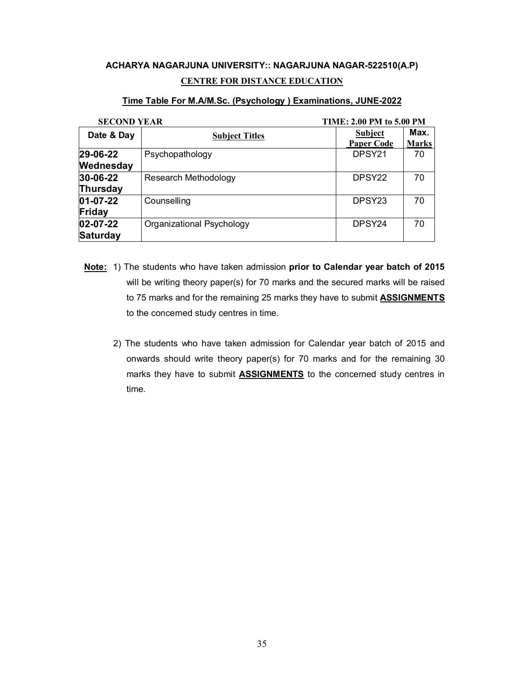| <b>SECOND YEAR</b>          |                           | <b>TIME: 2.00 PM to 5.00 PM</b>     |                      |
|-----------------------------|---------------------------|-------------------------------------|----------------------|
| Date & Day                  | <b>Subject Titles</b>     | <b>Subject</b><br><b>Paper Code</b> | Max.<br><b>Marks</b> |
| 29-06-22<br>Wednesday       | Psychopathology           | DPSY <sub>21</sub>                  | 70                   |
| 30-06-22<br>Thursday        | Research Methodology      | DPSY22                              | 70                   |
| $01 - 07 - 22$<br>Friday    | Counselling               | DPSY <sub>23</sub>                  | 70                   |
| 02-07-22<br><b>Saturday</b> | Organizational Psychology | DPSY <sub>24</sub>                  | 70                   |

#### **Time Table For M.A/M.Sc. (Psychology ) Examinations, JUNE-2022**

- **Note:** 1) The students who have taken admission **prior to Calendar year batch of 2015** will be writing theory paper(s) for 70 marks and the secured marks will be raised to 75 marks and for the remaining 25 marks they have to submit **ASSIGNMENTS** to the concerned study centres in time.
	- 2) The students who have taken admission for Calendar year batch of 2015 and onwards should write theory paper(s) for 70 marks and for the remaining 30 marks they have to submit **ASSIGNMENTS** to the concerned study centres in time.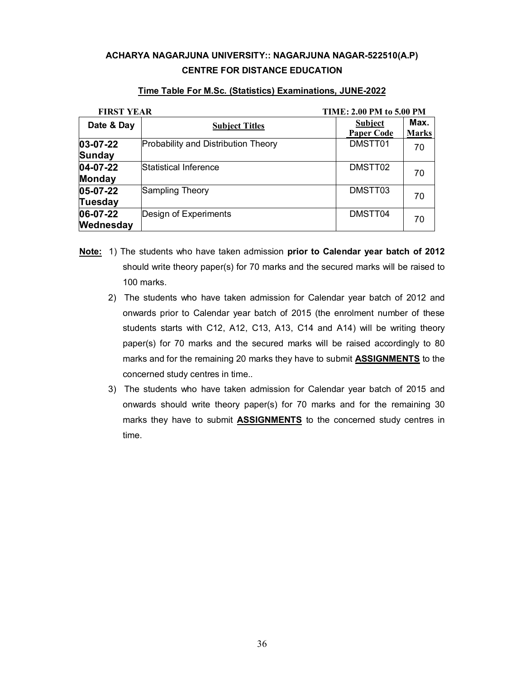| <b>FIRST YEAR</b>          |                                     | <b>TIME: 2.00 PM to 5.00 PM</b>     |                      |
|----------------------------|-------------------------------------|-------------------------------------|----------------------|
| Date & Day                 | <b>Subject Titles</b>               | <b>Subject</b><br><b>Paper Code</b> | Max.<br><b>Marks</b> |
| 03-07-22<br>Sunday         | Probability and Distribution Theory | DMSTT01                             | 70                   |
| 04-07-22<br>Monday         | Statistical Inference               | DMSTT02                             | 70                   |
| 05-07-22<br><b>Tuesday</b> | Sampling Theory                     | DMSTT03                             | 70                   |
| 06-07-22<br>Wednesday      | Design of Experiments               | DMSTT04                             | 70                   |

#### **Time Table For M.Sc. (Statistics) Examinations, JUNE-2022**

- **Note:** 1) The students who have taken admission **prior to Calendar year batch of 2012** should write theory paper(s) for 70 marks and the secured marks will be raised to 100 marks.
	- 2) The students who have taken admission for Calendar year batch of 2012 and onwards prior to Calendar year batch of 2015 (the enrolment number of these students starts with C12, A12, C13, A13, C14 and A14) will be writing theory paper(s) for 70 marks and the secured marks will be raised accordingly to 80 marks and for the remaining 20 marks they have to submit **ASSIGNMENTS** to the concerned study centres in time..
	- 3) The students who have taken admission for Calendar year batch of 2015 and onwards should write theory paper(s) for 70 marks and for the remaining 30 marks they have to submit **ASSIGNMENTS** to the concerned study centres in time.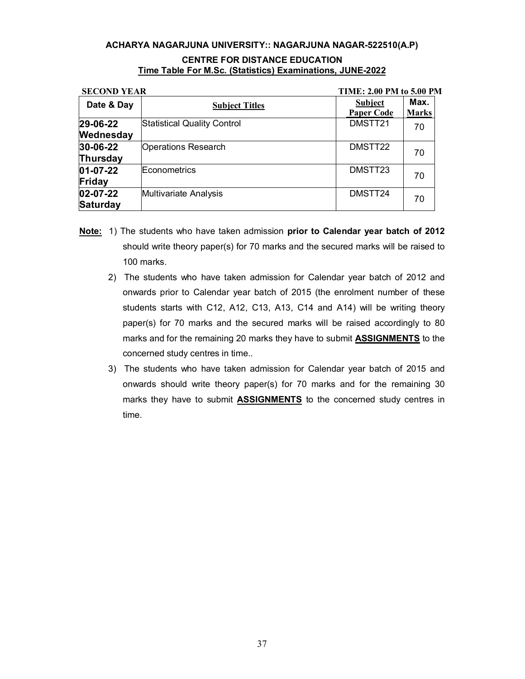## **ACHARYA NAGARJUNA UNIVERSITY:: NAGARJUNA NAGAR-522510(A.P) CENTRE FOR DISTANCE EDUCATION Time Table For M.Sc. (Statistics) Examinations, JUNE-2022**

| <b>SECOND YEAR</b>                |                                    | <b>TIME: 2.00 PM to 5.00 PM</b>     |                      |
|-----------------------------------|------------------------------------|-------------------------------------|----------------------|
| Date & Day                        | <b>Subject Titles</b>              | <b>Subject</b><br><b>Paper Code</b> | Max.<br><b>Marks</b> |
| 29-06-22<br>Wednesday             | <b>Statistical Quality Control</b> | DMSTT21                             | 70                   |
| 30-06-22<br>Thursday              | <b>Operations Research</b>         | DMSTT22                             | 70                   |
| $01-07-22$<br>Friday              | <b>IEconometrics</b>               | DMSTT23                             | 70                   |
| $02 - 07 - 22$<br><b>Saturday</b> | Multivariate Analysis              | DMSTT24                             | 70                   |

- **Note:** 1) The students who have taken admission **prior to Calendar year batch of 2012** should write theory paper(s) for 70 marks and the secured marks will be raised to 100 marks.
	- 2) The students who have taken admission for Calendar year batch of 2012 and onwards prior to Calendar year batch of 2015 (the enrolment number of these students starts with C12, A12, C13, A13, C14 and A14) will be writing theory paper(s) for 70 marks and the secured marks will be raised accordingly to 80 marks and for the remaining 20 marks they have to submit **ASSIGNMENTS** to the concerned study centres in time..
	- 3) The students who have taken admission for Calendar year batch of 2015 and onwards should write theory paper(s) for 70 marks and for the remaining 30 marks they have to submit **ASSIGNMENTS** to the concerned study centres in time.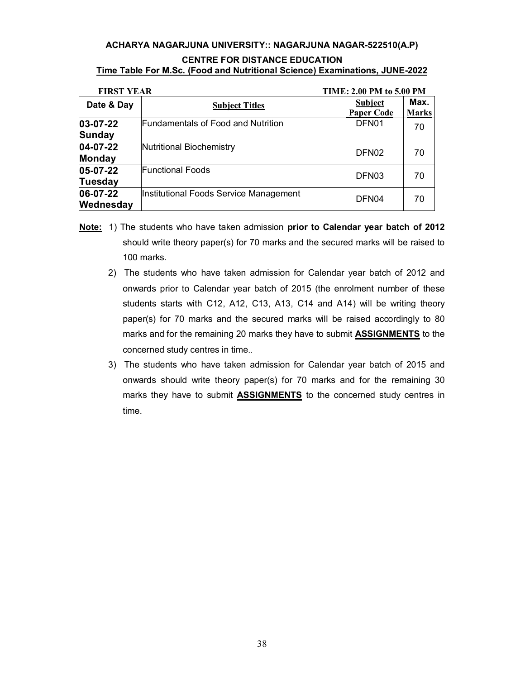## **ACHARYA NAGARJUNA UNIVERSITY:: NAGARJUNA NAGAR-522510(A.P) CENTRE FOR DISTANCE EDUCATION Time Table For M.Sc. (Food and Nutritional Science) Examinations, JUNE-2022**

| <b>FIRST YEAR</b>       |                                           | <b>TIME: 2.00 PM to 5.00 PM</b>     |                      |
|-------------------------|-------------------------------------------|-------------------------------------|----------------------|
| Date & Day              | <b>Subject Titles</b>                     | <b>Subject</b><br><b>Paper Code</b> | Max.<br><b>Marks</b> |
| 03-07-22<br>Sunday      | <b>Fundamentals of Food and Nutrition</b> | DFN01                               | 70                   |
| 04-07-22<br>Monday      | Nutritional Biochemistry                  | DFN <sub>02</sub>                   | 70                   |
| $ 05-07-22 $<br>Tuesday | lFunctional Foods                         | DFN <sub>03</sub>                   | 70                   |
| 06-07-22<br>Wednesday   | Institutional Foods Service Management    | DFN <sub>04</sub>                   | 70                   |

**Note:** 1) The students who have taken admission **prior to Calendar year batch of 2012** should write theory paper(s) for 70 marks and the secured marks will be raised to 100 marks.

- 2) The students who have taken admission for Calendar year batch of 2012 and onwards prior to Calendar year batch of 2015 (the enrolment number of these students starts with C12, A12, C13, A13, C14 and A14) will be writing theory paper(s) for 70 marks and the secured marks will be raised accordingly to 80 marks and for the remaining 20 marks they have to submit **ASSIGNMENTS** to the concerned study centres in time..
- 3) The students who have taken admission for Calendar year batch of 2015 and onwards should write theory paper(s) for 70 marks and for the remaining 30 marks they have to submit **ASSIGNMENTS** to the concerned study centres in time.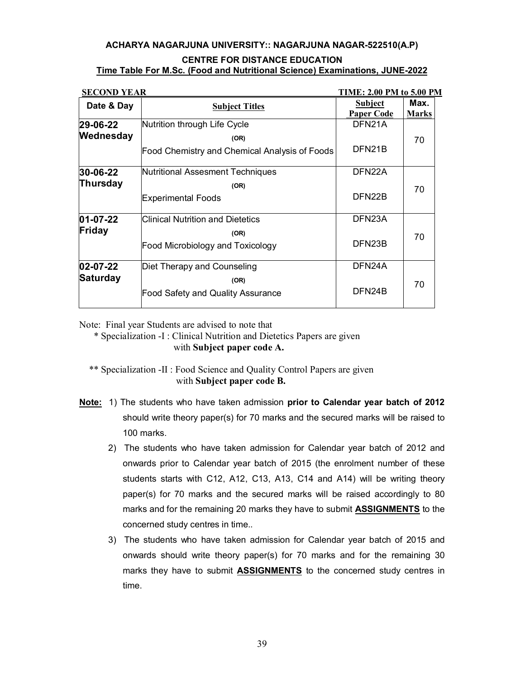#### **ACHARYA NAGARJUNA UNIVERSITY:: NAGARJUNA NAGAR-522510(A.P)**

#### **CENTRE FOR DISTANCE EDUCATION Time Table For M.Sc. (Food and Nutritional Science) Examinations, JUNE-2022**

| <b>SECOND YEAR</b>           |                                                                                       | TIME: 2.00 PM to 5.00 PM            |                      |
|------------------------------|---------------------------------------------------------------------------------------|-------------------------------------|----------------------|
| Date & Day                   | <b>Subject Titles</b>                                                                 | <b>Subject</b><br><b>Paper Code</b> | Max.<br><b>Marks</b> |
| 29-06-22<br>Wednesday        | Nutrition through Life Cycle<br>(OR)<br>Food Chemistry and Chemical Analysis of Foods | DFN21A<br>DFN21B                    | 70                   |
| 30-06-22<br>Thursday         | Nutritional Assesment Techniques<br>(OR)<br><b>Experimental Foods</b>                 | DFN22A<br>DFN22B                    | 70                   |
| $ 01-07-22 $<br>Friday       | Clinical Nutrition and Dietetics<br>(OR)<br>Food Microbiology and Toxicology          | DFN23A<br>DFN23B                    | 70                   |
| $ 02 - 07 - 22 $<br>Saturday | Diet Therapy and Counseling<br>(OR)<br><b>Food Safety and Quality Assurance</b>       | DFN24A<br>DFN24B                    | 70                   |

Note: Final year Students are advised to note that

\* Specialization -I : Clinical Nutrition and Dietetics Papers are given with **Subject paper code A.** 

 \*\* Specialization -II : Food Science and Quality Control Papers are given with **Subject paper code B.**

- **Note:** 1) The students who have taken admission **prior to Calendar year batch of 2012** should write theory paper(s) for 70 marks and the secured marks will be raised to 100 marks.
	- 2) The students who have taken admission for Calendar year batch of 2012 and onwards prior to Calendar year batch of 2015 (the enrolment number of these students starts with C12, A12, C13, A13, C14 and A14) will be writing theory paper(s) for 70 marks and the secured marks will be raised accordingly to 80 marks and for the remaining 20 marks they have to submit **ASSIGNMENTS** to the concerned study centres in time..
	- 3) The students who have taken admission for Calendar year batch of 2015 and onwards should write theory paper(s) for 70 marks and for the remaining 30 marks they have to submit **ASSIGNMENTS** to the concerned study centres in time.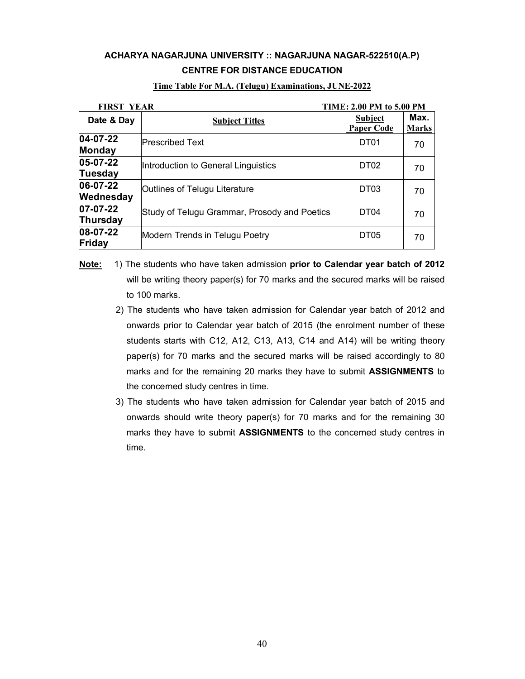| <b>FIRST YEAR</b>          |                                              | TIME: 2.00 PM to 5.00 PM            |                      |
|----------------------------|----------------------------------------------|-------------------------------------|----------------------|
| Date & Day                 | <b>Subject Titles</b>                        | <b>Subject</b><br><b>Paper Code</b> | Max.<br><b>Marks</b> |
| 04-07-22<br><b>Monday</b>  | <b>Prescribed Text</b>                       | DT <sub>01</sub>                    | 70                   |
| 05-07-22<br><b>Tuesday</b> | Introduction to General Linguistics          | DT <sub>02</sub>                    | 70                   |
| 06-07-22<br>Wednesday      | Outlines of Telugu Literature                | DT <sub>03</sub>                    | 70                   |
| $07 - 07 - 22$<br>Thursday | Study of Telugu Grammar, Prosody and Poetics | DT <sub>04</sub>                    | 70                   |
| 08-07-22<br>Friday         | Modern Trends in Telugu Poetry               | DT <sub>05</sub>                    | 70                   |

#### **Time Table For M.A. (Telugu) Examinations, JUNE-2022**

- **Note:** 1) The students who have taken admission **prior to Calendar year batch of 2012** will be writing theory paper(s) for 70 marks and the secured marks will be raised to 100 marks.
	- 2) The students who have taken admission for Calendar year batch of 2012 and onwards prior to Calendar year batch of 2015 (the enrolment number of these students starts with C12, A12, C13, A13, C14 and A14) will be writing theory paper(s) for 70 marks and the secured marks will be raised accordingly to 80 marks and for the remaining 20 marks they have to submit **ASSIGNMENTS** to the concerned study centres in time.
	- 3) The students who have taken admission for Calendar year batch of 2015 and onwards should write theory paper(s) for 70 marks and for the remaining 30 marks they have to submit **ASSIGNMENTS** to the concerned study centres in time.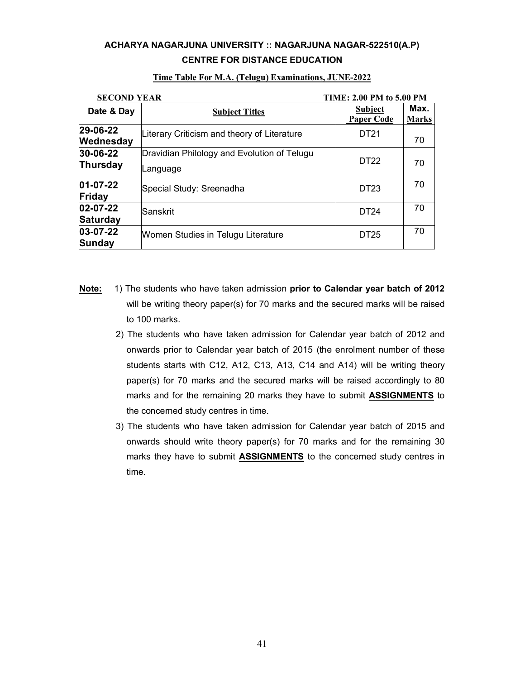| <b>SECOND YEAR</b>                |                                                         | <b>TIME: 2.00 PM to 5.00 PM</b>     |                      |
|-----------------------------------|---------------------------------------------------------|-------------------------------------|----------------------|
| Date & Day                        | <b>Subject Titles</b>                                   | <b>Subject</b><br><b>Paper Code</b> | Max.<br><b>Marks</b> |
| 29-06-22<br>Wednesday             | Literary Criticism and theory of Literature             | <b>DT21</b>                         | 70                   |
| 30-06-22<br>Thursday              | Dravidian Philology and Evolution of Telugu<br>Language | DT22                                | 70                   |
| $01-07-22$<br>Friday              | Special Study: Sreenadha                                | DT <sub>23</sub>                    | 70                   |
| $02 - 07 - 22$<br><b>Saturday</b> | lSanskrit                                               | DT <sub>24</sub>                    | 70                   |
| 03-07-22<br><b>Sunday</b>         | Women Studies in Telugu Literature                      | DT25                                | 70                   |

#### **Time Table For M.A. (Telugu) Examinations, JUNE-2022**

- **Note:** 1) The students who have taken admission **prior to Calendar year batch of 2012** will be writing theory paper(s) for 70 marks and the secured marks will be raised to 100 marks.
	- 2) The students who have taken admission for Calendar year batch of 2012 and onwards prior to Calendar year batch of 2015 (the enrolment number of these students starts with C12, A12, C13, A13, C14 and A14) will be writing theory paper(s) for 70 marks and the secured marks will be raised accordingly to 80 marks and for the remaining 20 marks they have to submit **ASSIGNMENTS** to the concerned study centres in time.
	- 3) The students who have taken admission for Calendar year batch of 2015 and onwards should write theory paper(s) for 70 marks and for the remaining 30 marks they have to submit **ASSIGNMENTS** to the concerned study centres in time.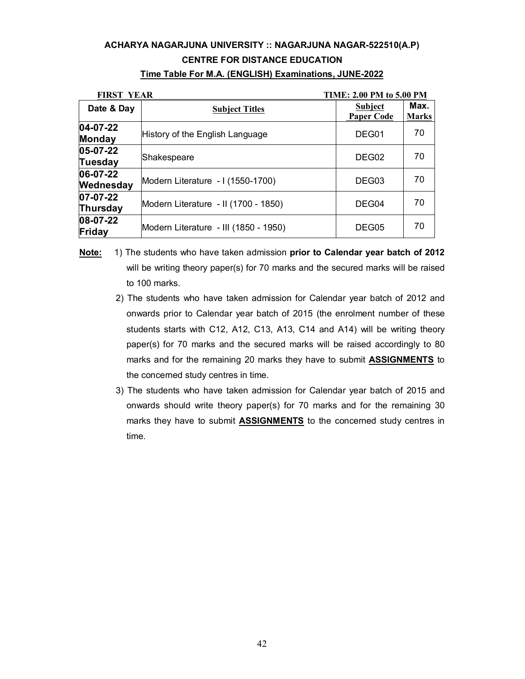## **ACHARYA NAGARJUNA UNIVERSITY :: NAGARJUNA NAGAR-522510(A.P) CENTRE FOR DISTANCE EDUCATION Time Table For M.A. (ENGLISH) Examinations, JUNE-2022**

| <b>FIRST YEAR</b>           |                                       | <b>TIME: 2.00 PM to 5.00 PM</b>     |                      |
|-----------------------------|---------------------------------------|-------------------------------------|----------------------|
| Date & Day                  | <b>Subject Titles</b>                 | <b>Subject</b><br><b>Paper Code</b> | Max.<br><b>Marks</b> |
| $04-07-22$<br><b>Monday</b> | History of the English Language       | DEG01                               | 70                   |
| 05-07-22<br><b>Tuesday</b>  | Shakespeare                           | DEG02                               | 70                   |
| 06-07-22<br>Wednesday       | Modern Literature - I (1550-1700)     | DEG03                               | 70                   |
| $ 07-07-22 $<br>Thursday    | Modern Literature - II (1700 - 1850)  | DEG04                               | 70                   |
| 08-07-22<br>Friday          | Modern Literature - III (1850 - 1950) | DEG05                               | 70                   |

- **Note:** 1) The students who have taken admission **prior to Calendar year batch of 2012** will be writing theory paper(s) for 70 marks and the secured marks will be raised to 100 marks.
	- 2) The students who have taken admission for Calendar year batch of 2012 and onwards prior to Calendar year batch of 2015 (the enrolment number of these students starts with C12, A12, C13, A13, C14 and A14) will be writing theory paper(s) for 70 marks and the secured marks will be raised accordingly to 80 marks and for the remaining 20 marks they have to submit **ASSIGNMENTS** to the concerned study centres in time.
	- 3) The students who have taken admission for Calendar year batch of 2015 and onwards should write theory paper(s) for 70 marks and for the remaining 30 marks they have to submit **ASSIGNMENTS** to the concerned study centres in time.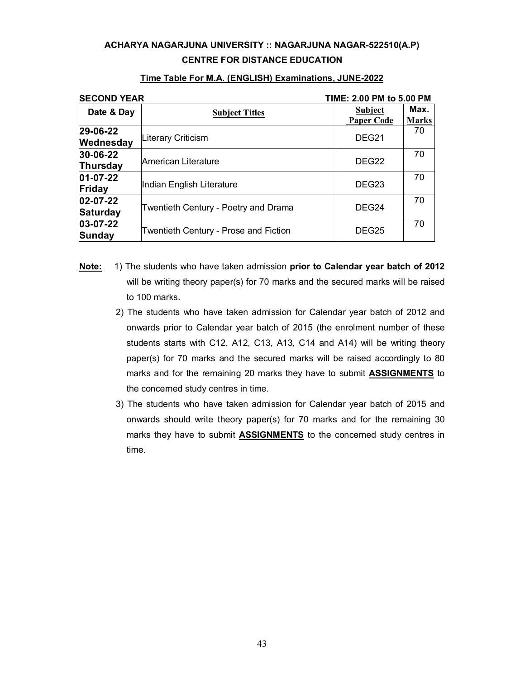| <b>SECOND YEAR</b>          |                                       | TIME: 2.00 PM to 5.00 PM            |                      |
|-----------------------------|---------------------------------------|-------------------------------------|----------------------|
| Date & Day                  | <b>Subject Titles</b>                 | <b>Subject</b><br><b>Paper Code</b> | Max.<br><b>Marks</b> |
| 29-06-22<br>Wednesday       | Literary Criticism                    | DEG <sub>21</sub>                   | 70                   |
| 30-06-22<br>Thursday        | American Literature                   | DEG <sub>22</sub>                   | 70                   |
| $01 - 07 - 22$<br>Friday    | Indian English Literature             | DEG <sub>23</sub>                   | 70                   |
| 02-07-22<br><b>Saturday</b> | Twentieth Century - Poetry and Drama  | DEG <sub>24</sub>                   | 70                   |
| 03-07-22<br>Sunday          | Twentieth Century - Prose and Fiction | DEG <sub>25</sub>                   | 70                   |

## **Time Table For M.A. (ENGLISH) Examinations, JUNE-2022**

- **Note:** 1) The students who have taken admission **prior to Calendar year batch of 2012** will be writing theory paper(s) for 70 marks and the secured marks will be raised to 100 marks.
	- 2) The students who have taken admission for Calendar year batch of 2012 and onwards prior to Calendar year batch of 2015 (the enrolment number of these students starts with C12, A12, C13, A13, C14 and A14) will be writing theory paper(s) for 70 marks and the secured marks will be raised accordingly to 80 marks and for the remaining 20 marks they have to submit **ASSIGNMENTS** to the concerned study centres in time.
	- 3) The students who have taken admission for Calendar year batch of 2015 and onwards should write theory paper(s) for 70 marks and for the remaining 30 marks they have to submit **ASSIGNMENTS** to the concerned study centres in time.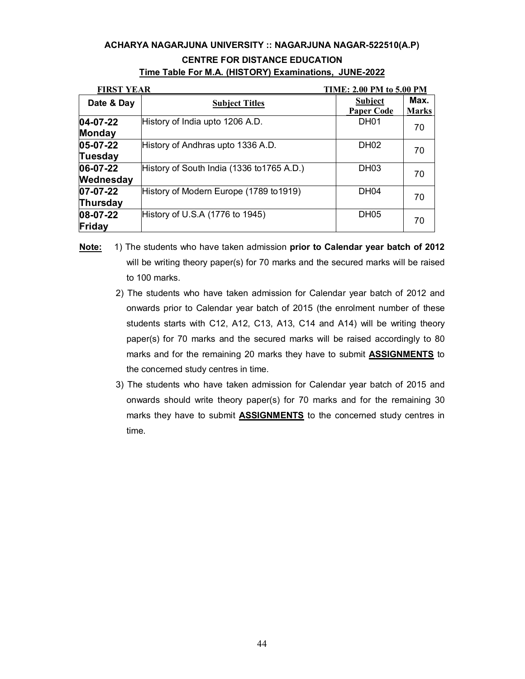## **ACHARYA NAGARJUNA UNIVERSITY :: NAGARJUNA NAGAR-522510(A.P) CENTRE FOR DISTANCE EDUCATION Time Table For M.A. (HISTORY) Examinations, JUNE-2022**

| <b>FIRST YEAR</b>               |                                            | <b>TIME: 2.00 PM to 5.00 PM</b>     |                      |
|---------------------------------|--------------------------------------------|-------------------------------------|----------------------|
| Date & Day                      | <b>Subject Titles</b>                      | <b>Subject</b><br><b>Paper Code</b> | Max.<br><b>Marks</b> |
| $04 - 07 - 22$<br><b>Monday</b> | History of India upto 1206 A.D.            | DH <sub>01</sub>                    | 70                   |
| $ 05-07-22 $<br><b>Tuesday</b>  | History of Andhras upto 1336 A.D.          | DH <sub>02</sub>                    | 70                   |
| 06-07-22<br>Wednesday           | History of South India (1336 to 1765 A.D.) | DH <sub>03</sub>                    | 70                   |
| $ 07-07-22 $<br><b>Thursday</b> | History of Modern Europe (1789 to 1919)    | DH <sub>04</sub>                    | 70                   |
| 08-07-22<br>Friday              | History of U.S.A (1776 to 1945)            | DH <sub>05</sub>                    | 70                   |

- **Note:** 1) The students who have taken admission **prior to Calendar year batch of 2012** will be writing theory paper(s) for 70 marks and the secured marks will be raised to 100 marks.
	- 2) The students who have taken admission for Calendar year batch of 2012 and onwards prior to Calendar year batch of 2015 (the enrolment number of these students starts with C12, A12, C13, A13, C14 and A14) will be writing theory paper(s) for 70 marks and the secured marks will be raised accordingly to 80 marks and for the remaining 20 marks they have to submit **ASSIGNMENTS** to the concerned study centres in time.
	- 3) The students who have taken admission for Calendar year batch of 2015 and onwards should write theory paper(s) for 70 marks and for the remaining 30 marks they have to submit **ASSIGNMENTS** to the concerned study centres in time.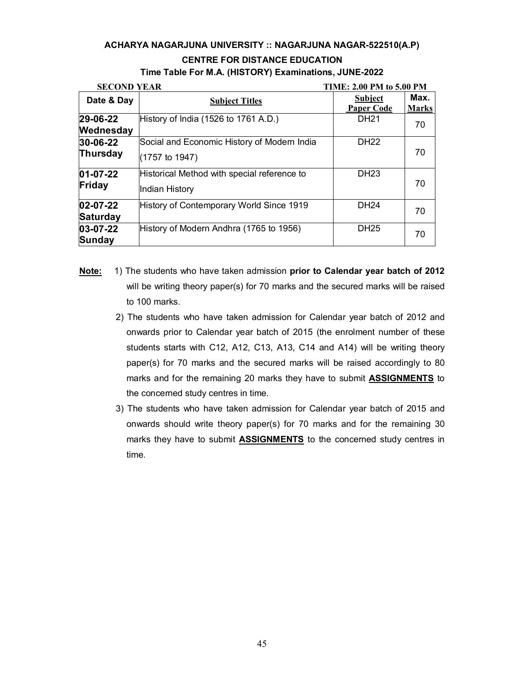## **ACHARYA NAGARJUNA UNIVERSITY :: NAGARJUNA NAGAR-522510(A.P) CENTRE FOR DISTANCE EDUCATION Time Table For M.A. (HISTORY) Examinations, JUNE-2022**

| <b>SECOND YEAR</b>    |                                                               | <b>TIME: 2.00 PM to 5.00 PM</b>     |                      |
|-----------------------|---------------------------------------------------------------|-------------------------------------|----------------------|
| Date & Day            | <b>Subject Titles</b>                                         | <b>Subject</b><br><b>Paper Code</b> | Max.<br><b>Marks</b> |
| 29-06-22<br>Wednesday | History of India (1526 to 1761 A.D.)                          | DH <sub>21</sub>                    | 70                   |
| 30-06-22<br>Thursday  | Social and Economic History of Modern India<br>(1757 to 1947) | <b>DH22</b>                         | 70                   |
| $01-07-22$<br>Friday  | Historical Method with special reference to<br>Indian History | DH <sub>23</sub>                    | 70                   |
| 02-07-22<br>Saturday  | History of Contemporary World Since 1919                      | DH <sub>24</sub>                    | 70                   |
| 03-07-22<br>Sunday    | History of Modern Andhra (1765 to 1956)                       | <b>DH25</b>                         | 70                   |

- **Note:** 1) The students who have taken admission **prior to Calendar year batch of 2012** will be writing theory paper(s) for 70 marks and the secured marks will be raised to 100 marks.
	- 2) The students who have taken admission for Calendar year batch of 2012 and onwards prior to Calendar year batch of 2015 (the enrolment number of these students starts with C12, A12, C13, A13, C14 and A14) will be writing theory paper(s) for 70 marks and the secured marks will be raised accordingly to 80 marks and for the remaining 20 marks they have to submit **ASSIGNMENTS** to the concerned study centres in time.
	- 3) The students who have taken admission for Calendar year batch of 2015 and onwards should write theory paper(s) for 70 marks and for the remaining 30 marks they have to submit **ASSIGNMENTS** to the concerned study centres in time.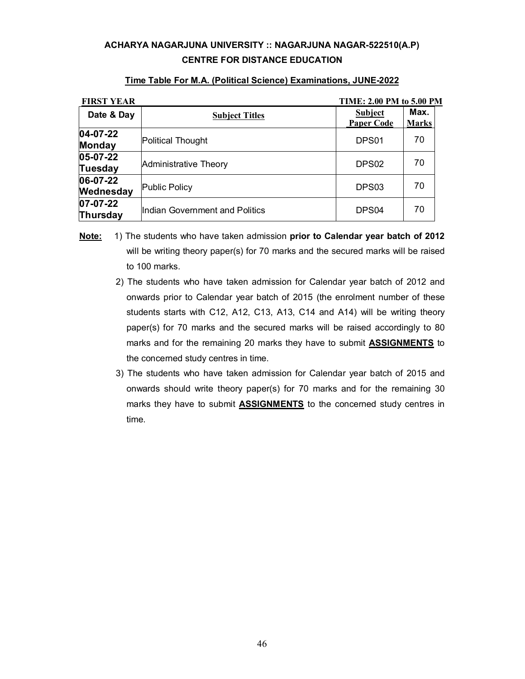| <b>FIRST YEAR</b><br>TIME: 2.00 PM to 5.00 PM |                                |                                     |                      |
|-----------------------------------------------|--------------------------------|-------------------------------------|----------------------|
| Date & Day                                    | <b>Subject Titles</b>          | <b>Subject</b><br><b>Paper Code</b> | Max.<br><b>Marks</b> |
| $ 04-07-22 $<br><b>Monday</b>                 | Political Thought              | DPS01                               | 70                   |
| 05-07-22<br><b>Tuesday</b>                    | Administrative Theory          | DPS <sub>02</sub>                   | 70                   |
| 06-07-22<br>Wednesday                         | <b>Public Policy</b>           | DPS03                               | 70                   |
| 07-07-22<br><b>Thursday</b>                   | Indian Government and Politics | DPS04                               | 70                   |

## **Time Table For M.A. (Political Science) Examinations, JUNE-2022**

**Note:** 1) The students who have taken admission **prior to Calendar year batch of 2012** will be writing theory paper(s) for 70 marks and the secured marks will be raised to 100 marks.

- 2) The students who have taken admission for Calendar year batch of 2012 and onwards prior to Calendar year batch of 2015 (the enrolment number of these students starts with C12, A12, C13, A13, C14 and A14) will be writing theory paper(s) for 70 marks and the secured marks will be raised accordingly to 80 marks and for the remaining 20 marks they have to submit **ASSIGNMENTS** to the concerned study centres in time.
- 3) The students who have taken admission for Calendar year batch of 2015 and onwards should write theory paper(s) for 70 marks and for the remaining 30 marks they have to submit **ASSIGNMENTS** to the concerned study centres in time.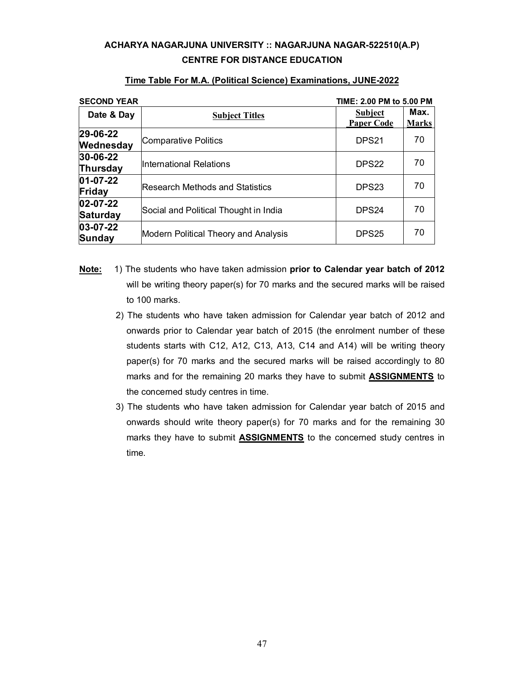| <b>SECOND YEAR</b>                |                                        | TIME: 2.00 PM to 5.00 PM            |                      |
|-----------------------------------|----------------------------------------|-------------------------------------|----------------------|
| Date & Day                        | <b>Subject Titles</b>                  | <b>Subject</b><br><b>Paper Code</b> | Max.<br><b>Marks</b> |
| 29-06-22<br>Wednesday             | Comparative Politics                   | DPS <sub>21</sub>                   | 70                   |
| 30-06-22<br><b>Thursday</b>       | IInternational Relations               | DPS <sub>22</sub>                   | 70                   |
| $01 - 07 - 22$<br>Friday          | <b>Research Methods and Statistics</b> | DPS <sub>23</sub>                   | 70                   |
| $02 - 07 - 22$<br><b>Saturday</b> | Social and Political Thought in India  | DPS <sub>24</sub>                   | 70                   |
| 03-07-22<br>Sunday                | Modern Political Theory and Analysis   | DPS <sub>25</sub>                   | 70                   |

#### **Time Table For M.A. (Political Science) Examinations, JUNE-2022**

- **Note:** 1) The students who have taken admission **prior to Calendar year batch of 2012** will be writing theory paper(s) for 70 marks and the secured marks will be raised to 100 marks.
	- 2) The students who have taken admission for Calendar year batch of 2012 and onwards prior to Calendar year batch of 2015 (the enrolment number of these students starts with C12, A12, C13, A13, C14 and A14) will be writing theory paper(s) for 70 marks and the secured marks will be raised accordingly to 80 marks and for the remaining 20 marks they have to submit **ASSIGNMENTS** to the concerned study centres in time.
	- 3) The students who have taken admission for Calendar year batch of 2015 and onwards should write theory paper(s) for 70 marks and for the remaining 30 marks they have to submit **ASSIGNMENTS** to the concerned study centres in time.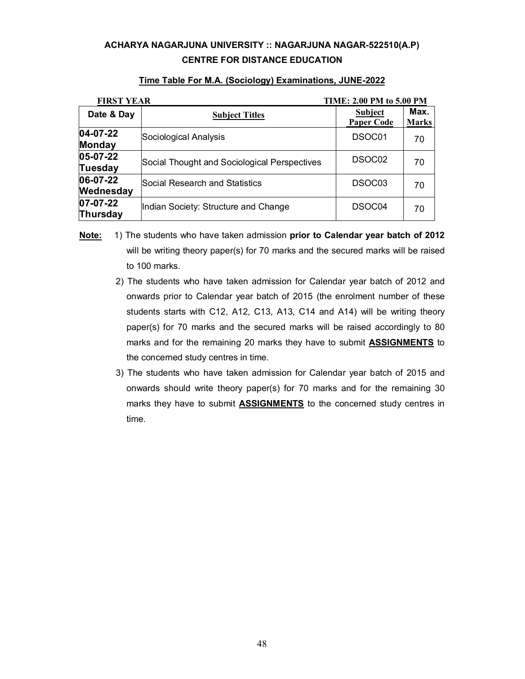| <b>FIRST YEAR</b><br><b>TIME: 2.00 PM to 5.00 PM</b> |                                              |                                     |                      |
|------------------------------------------------------|----------------------------------------------|-------------------------------------|----------------------|
| Date & Day                                           | <b>Subject Titles</b>                        | <b>Subject</b><br><b>Paper Code</b> | Max.<br><b>Marks</b> |
| 04-07-22<br>Monday                                   | Sociological Analysis                        | DSOC01                              | 70                   |
| 05-07-22<br><b>Tuesday</b>                           | Social Thought and Sociological Perspectives | DSOC02                              | 70                   |
| 06-07-22<br>Wednesday                                | Social Research and Statistics               | DSOC <sub>03</sub>                  | 70                   |
| 07-07-22<br>Thursday                                 | Indian Society: Structure and Change         | DSOC04                              | 70                   |

## **Time Table For M.A. (Sociology) Examinations, JUNE-2022**

**Note:** 1) The students who have taken admission **prior to Calendar year batch of 2012** will be writing theory paper(s) for 70 marks and the secured marks will be raised to 100 marks.

- 2) The students who have taken admission for Calendar year batch of 2012 and onwards prior to Calendar year batch of 2015 (the enrolment number of these students starts with C12, A12, C13, A13, C14 and A14) will be writing theory paper(s) for 70 marks and the secured marks will be raised accordingly to 80 marks and for the remaining 20 marks they have to submit **ASSIGNMENTS** to the concerned study centres in time.
- 3) The students who have taken admission for Calendar year batch of 2015 and onwards should write theory paper(s) for 70 marks and for the remaining 30 marks they have to submit **ASSIGNMENTS** to the concerned study centres in time.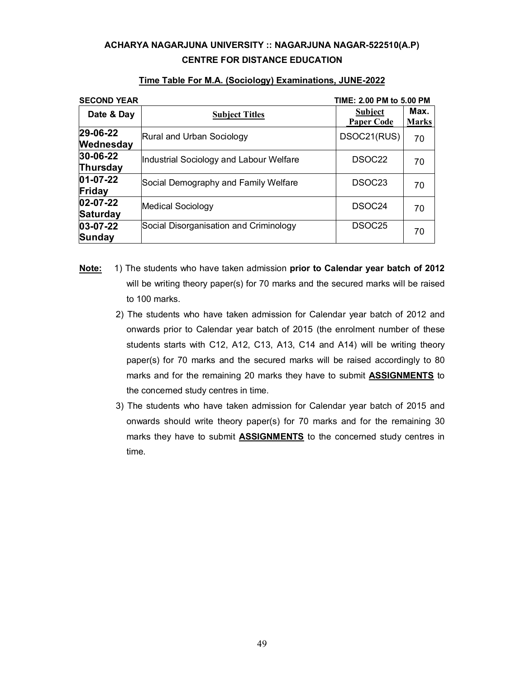| <b>SECOND YEAR</b>                  |                                         | TIME: 2.00 PM to 5.00 PM            |                      |
|-------------------------------------|-----------------------------------------|-------------------------------------|----------------------|
| Date & Day                          | <b>Subject Titles</b>                   | <b>Subject</b><br><b>Paper Code</b> | Max.<br><b>Marks</b> |
| 29-06-22<br>Wednesday               | Rural and Urban Sociology               | DSOC21(RUS)                         | 70                   |
| 30-06-22<br>Thursday                | Industrial Sociology and Labour Welfare | DSOC <sub>22</sub>                  | 70                   |
| $ 01 - 07 - 22 $<br>Friday          | Social Demography and Family Welfare    | DSOC <sub>23</sub>                  | 70                   |
| $ 02 - 07 - 22 $<br><b>Saturday</b> | <b>Medical Sociology</b>                | DSOC <sub>24</sub>                  | 70                   |
| 03-07-22<br>Sunday                  | Social Disorganisation and Criminology  | DSOC <sub>25</sub>                  | 70                   |

#### **Time Table For M.A. (Sociology) Examinations, JUNE-2022**

- **Note:** 1) The students who have taken admission **prior to Calendar year batch of 2012** will be writing theory paper(s) for 70 marks and the secured marks will be raised to 100 marks.
	- 2) The students who have taken admission for Calendar year batch of 2012 and onwards prior to Calendar year batch of 2015 (the enrolment number of these students starts with C12, A12, C13, A13, C14 and A14) will be writing theory paper(s) for 70 marks and the secured marks will be raised accordingly to 80 marks and for the remaining 20 marks they have to submit **ASSIGNMENTS** to the concerned study centres in time.
	- 3) The students who have taken admission for Calendar year batch of 2015 and onwards should write theory paper(s) for 70 marks and for the remaining 30 marks they have to submit **ASSIGNMENTS** to the concerned study centres in time.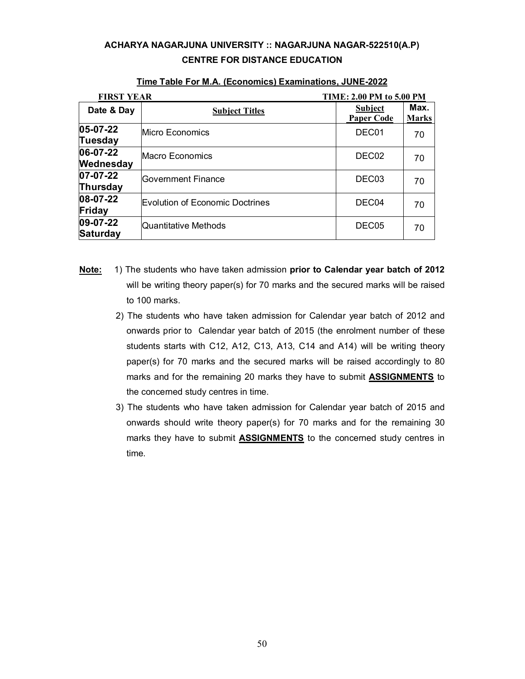| <b>FIRST YEAR</b>           |                                 | <b>TIME: 2.00 PM to 5.00 PM</b>     |                      |
|-----------------------------|---------------------------------|-------------------------------------|----------------------|
| Date & Day                  | <b>Subject Titles</b>           | <b>Subject</b><br><b>Paper Code</b> | Max.<br><b>Marks</b> |
| 05-07-22<br><b>Tuesday</b>  | Micro Economics                 | DEC01                               | 70                   |
| 06-07-22<br>Wednesday       | Macro Economics                 | DEC <sub>02</sub>                   | 70                   |
| 07-07-22<br><b>Thursday</b> | lGovernment Finance             | DEC <sub>03</sub>                   | 70                   |
| 08-07-22<br>Friday          | Evolution of Economic Doctrines | DEC <sub>04</sub>                   | 70                   |
| 09-07-22<br>Saturday        | Quantitative Methods            | DEC05                               | 70                   |

## **Time Table For M.A. (Economics) Examinations, JUNE-2022**

- **Note:** 1) The students who have taken admission **prior to Calendar year batch of 2012** will be writing theory paper(s) for 70 marks and the secured marks will be raised to 100 marks.
	- 2) The students who have taken admission for Calendar year batch of 2012 and onwards prior to Calendar year batch of 2015 (the enrolment number of these students starts with C12, A12, C13, A13, C14 and A14) will be writing theory paper(s) for 70 marks and the secured marks will be raised accordingly to 80 marks and for the remaining 20 marks they have to submit **ASSIGNMENTS** to the concerned study centres in time.
	- 3) The students who have taken admission for Calendar year batch of 2015 and onwards should write theory paper(s) for 70 marks and for the remaining 30 marks they have to submit **ASSIGNMENTS** to the concerned study centres in time.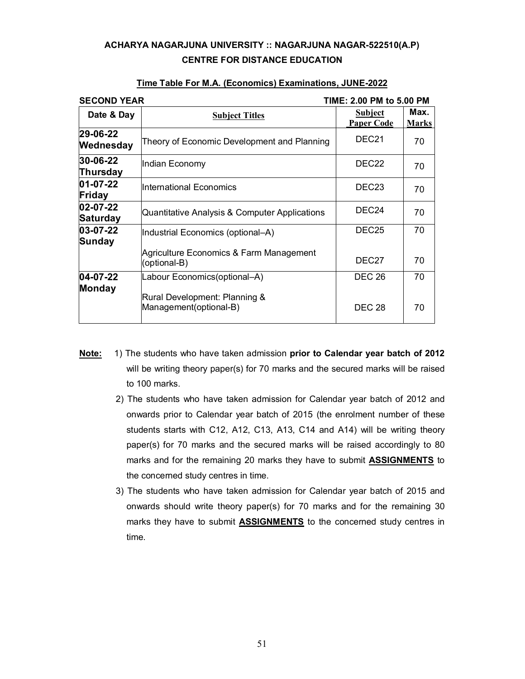| <b>SECOND YEAR</b>                  |                                                         | TIME: 2.00 PM to 5.00 PM            |                      |
|-------------------------------------|---------------------------------------------------------|-------------------------------------|----------------------|
| Date & Day                          | <b>Subject Titles</b>                                   | <b>Subject</b><br><b>Paper Code</b> | Max.<br><b>Marks</b> |
| 29-06-22<br>Wednesday               | Theory of Economic Development and Planning             | DEC <sub>21</sub>                   | 70                   |
| 30-06-22<br><b>Thursday</b>         | Indian Economy                                          | DEC <sub>22</sub>                   | 70                   |
| $ 01 - 07 - 22 $<br>Friday          | International Economics                                 | DEC <sub>23</sub>                   | 70                   |
| $ 02 - 07 - 22 $<br><b>Saturday</b> | Quantitative Analysis & Computer Applications           | DEC <sub>24</sub>                   | 70                   |
| $ 03-07-22 $<br>Sunday              | Industrial Economics (optional-A)                       | DEC <sub>25</sub>                   | 70                   |
|                                     | Agriculture Economics & Farm Management<br>(optional-B) | DEC <sub>27</sub>                   | 70                   |
| $ 04-07-22 $                        | Labour Economics (optional-A)                           | <b>DEC 26</b>                       | 70                   |
| Monday                              | Rural Development: Planning &<br>Management(optional-B) | <b>DEC 28</b>                       | 70                   |

## **Time Table For M.A. (Economics) Examinations, JUNE-2022**

- **Note:** 1) The students who have taken admission **prior to Calendar year batch of 2012** will be writing theory paper(s) for 70 marks and the secured marks will be raised to 100 marks.
	- 2) The students who have taken admission for Calendar year batch of 2012 and onwards prior to Calendar year batch of 2015 (the enrolment number of these students starts with C12, A12, C13, A13, C14 and A14) will be writing theory paper(s) for 70 marks and the secured marks will be raised accordingly to 80 marks and for the remaining 20 marks they have to submit **ASSIGNMENTS** to the concerned study centres in time.
	- 3) The students who have taken admission for Calendar year batch of 2015 and onwards should write theory paper(s) for 70 marks and for the remaining 30 marks they have to submit **ASSIGNMENTS** to the concerned study centres in time.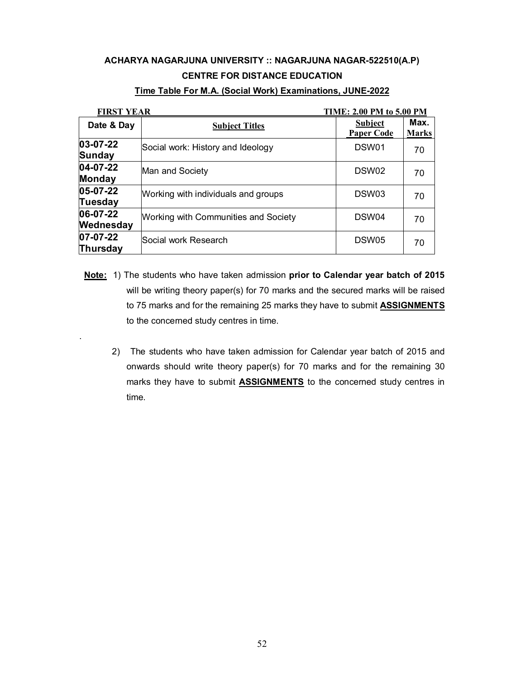| <b>FIRST YEAR</b><br><b>TIME: 2.00 PM to 5.00 PM</b> |                                             |                                     |                      |
|------------------------------------------------------|---------------------------------------------|-------------------------------------|----------------------|
| Date & Day                                           | <b>Subject Titles</b>                       | <b>Subject</b><br><b>Paper Code</b> | Max.<br><b>Marks</b> |
| 03-07-22<br>Sunday                                   | Social work: History and Ideology           | DSW01                               | 70                   |
| 04-07-22<br><b>Monday</b>                            | Man and Society                             | DSW02                               | 70                   |
| 05-07-22<br><b>Tuesday</b>                           | Working with individuals and groups         | DSW03                               | 70                   |
| 06-07-22<br>Wednesday                                | <b>Working with Communities and Society</b> | DSW04                               | 70                   |
| 07-07-22<br>Thursday                                 | Social work Research                        | DSW05                               | 70                   |

#### **Time Table For M.A. (Social Work) Examinations, JUNE-2022**

**Note:** 1) The students who have taken admission **prior to Calendar year batch of 2015** will be writing theory paper(s) for 70 marks and the secured marks will be raised to 75 marks and for the remaining 25 marks they have to submit **ASSIGNMENTS** to the concerned study centres in time.

.

2) The students who have taken admission for Calendar year batch of 2015 and onwards should write theory paper(s) for 70 marks and for the remaining 30 marks they have to submit **ASSIGNMENTS** to the concerned study centres in time.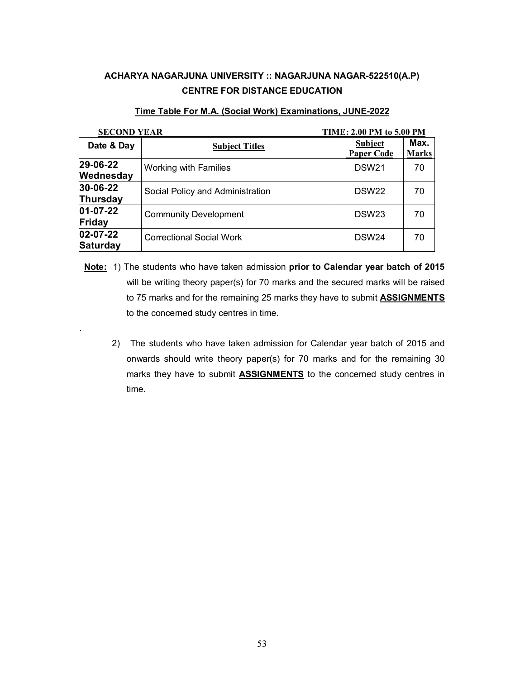| <b>SECOND YEAR</b>                |                                  | TIME: 2.00 PM to 5.00 PM            |                      |
|-----------------------------------|----------------------------------|-------------------------------------|----------------------|
| Date & Day                        | <b>Subject Titles</b>            | <b>Subject</b><br><b>Paper Code</b> | Max.<br><b>Marks</b> |
| 29-06-22<br>Wednesday             | Working with Families            | DSW <sub>21</sub>                   | 70                   |
| 30-06-22<br>Thursday              | Social Policy and Administration | DSW <sub>22</sub>                   | 70                   |
| $01 - 07 - 22$<br>Friday          | <b>Community Development</b>     | DSW <sub>23</sub>                   | 70                   |
| $02 - 07 - 22$<br><b>Saturday</b> | <b>Correctional Social Work</b>  | DSW <sub>24</sub>                   | 70                   |

#### **Time Table For M.A. (Social Work) Examinations, JUNE-2022**

**Note:** 1) The students who have taken admission **prior to Calendar year batch of 2015** will be writing theory paper(s) for 70 marks and the secured marks will be raised to 75 marks and for the remaining 25 marks they have to submit **ASSIGNMENTS** to the concerned study centres in time.

.

2) The students who have taken admission for Calendar year batch of 2015 and onwards should write theory paper(s) for 70 marks and for the remaining 30 marks they have to submit **ASSIGNMENTS** to the concerned study centres in time.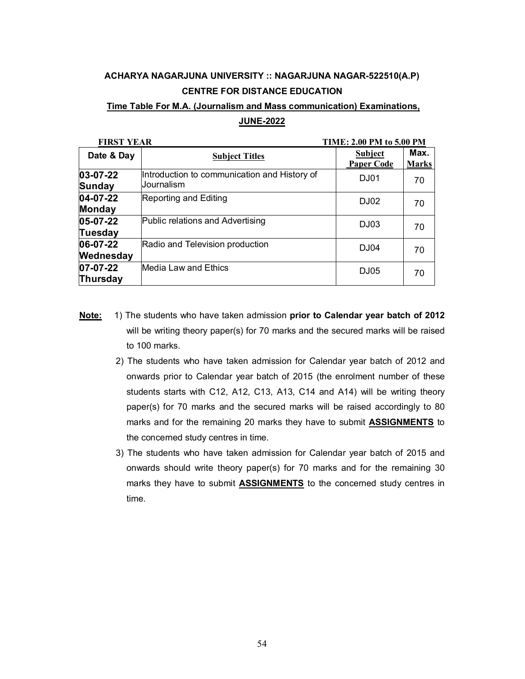#### **Time Table For M.A. (Journalism and Mass communication) Examinations,**

|  |  | <b>JUNE-2022</b> |
|--|--|------------------|
|  |  |                  |

| <b>FIRST YEAR</b>           |                                                             | <b>TIME: 2.00 PM to 5.00 PM</b>     |                      |
|-----------------------------|-------------------------------------------------------------|-------------------------------------|----------------------|
| Date & Day                  | <b>Subject Titles</b>                                       | <b>Subject</b><br><b>Paper Code</b> | Max.<br><b>Marks</b> |
| 03-07-22<br><b>Sunday</b>   | Introduction to communication and History of<br>IJournalism | DJ01                                | 70                   |
| $04-07-22$<br>Monday        | Reporting and Editing                                       | DJ02                                | 70                   |
| 05-07-22<br>Tuesday         | Public relations and Advertising                            | DJ03                                | 70                   |
| 06-07-22<br>Wednesday       | Radio and Television production                             | DJ04                                | 70                   |
| 07-07-22<br><b>Thursday</b> | Media Law and Ethics                                        | DJ05                                | 70                   |

- **Note:** 1) The students who have taken admission **prior to Calendar year batch of 2012** will be writing theory paper(s) for 70 marks and the secured marks will be raised to 100 marks.
	- 2) The students who have taken admission for Calendar year batch of 2012 and onwards prior to Calendar year batch of 2015 (the enrolment number of these students starts with C12, A12, C13, A13, C14 and A14) will be writing theory paper(s) for 70 marks and the secured marks will be raised accordingly to 80 marks and for the remaining 20 marks they have to submit **ASSIGNMENTS** to the concerned study centres in time.
	- 3) The students who have taken admission for Calendar year batch of 2015 and onwards should write theory paper(s) for 70 marks and for the remaining 30 marks they have to submit **ASSIGNMENTS** to the concerned study centres in time.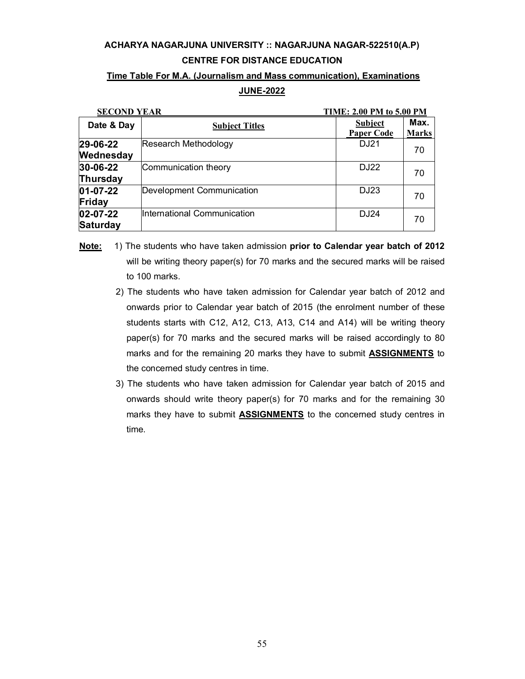## **Time Table For M.A. (Journalism and Mass communication), Examinations**

## **JUNE-2022**

| <b>SECOND YEAR</b>          |                             | <b>TIME: 2.00 PM to 5.00 PM</b>     |                      |
|-----------------------------|-----------------------------|-------------------------------------|----------------------|
| Date & Day                  | <b>Subject Titles</b>       | <b>Subject</b><br><b>Paper Code</b> | Max.<br><b>Marks</b> |
| 29-06-22<br>Wednesday       | Research Methodology        | <b>DJ21</b>                         | 70                   |
| 30-06-22<br><b>Thursday</b> | Communication theory        | DJ22                                | 70                   |
| $01 - 07 - 22$<br>Friday    | Development Communication   | DJ23                                | 70                   |
| 02-07-22<br><b>Saturday</b> | International Communication | DJ24                                | 70                   |

- **Note:** 1) The students who have taken admission **prior to Calendar year batch of 2012** will be writing theory paper(s) for 70 marks and the secured marks will be raised to 100 marks.
	- 2) The students who have taken admission for Calendar year batch of 2012 and onwards prior to Calendar year batch of 2015 (the enrolment number of these students starts with C12, A12, C13, A13, C14 and A14) will be writing theory paper(s) for 70 marks and the secured marks will be raised accordingly to 80 marks and for the remaining 20 marks they have to submit **ASSIGNMENTS** to the concerned study centres in time.
	- 3) The students who have taken admission for Calendar year batch of 2015 and onwards should write theory paper(s) for 70 marks and for the remaining 30 marks they have to submit **ASSIGNMENTS** to the concerned study centres in time.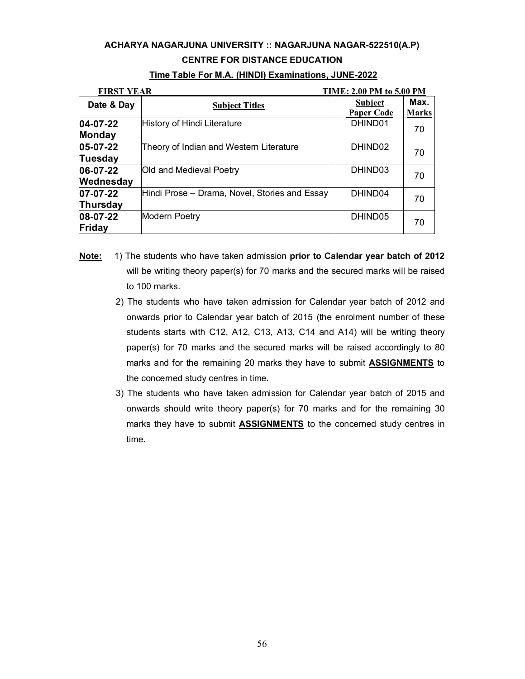|                                 | <b>TIME: 2.00 PM to 5.00 PM</b><br><b>FIRST YEAR</b> |                                     |                      |
|---------------------------------|------------------------------------------------------|-------------------------------------|----------------------|
| Date & Day                      | <b>Subject Titles</b>                                | <b>Subject</b><br><b>Paper Code</b> | Max.<br><b>Marks</b> |
| $04 - 07 - 22$<br><b>Monday</b> | History of Hindi Literature                          | DHIND01                             | 70                   |
| $05-07-22$<br>Tuesday           | Theory of Indian and Western Literature              | DHIND <sub>02</sub>                 | 70                   |
| 06-07-22<br>Wednesday           | Old and Medieval Poetry                              | DHIND03                             | 70                   |
| $07 - 07 - 22$<br>Thursday      | Hindi Prose - Drama, Novel, Stories and Essay        | DHIND04                             | 70                   |
| 08-07-22<br>Friday              | <b>Modern Poetry</b>                                 | DHIND05                             | 70                   |

## **Time Table For M.A. (HINDI) Examinations, JUNE-2022**

- **Note:** 1) The students who have taken admission **prior to Calendar year batch of 2012** will be writing theory paper(s) for 70 marks and the secured marks will be raised to 100 marks.
	- 2) The students who have taken admission for Calendar year batch of 2012 and onwards prior to Calendar year batch of 2015 (the enrolment number of these students starts with C12, A12, C13, A13, C14 and A14) will be writing theory paper(s) for 70 marks and the secured marks will be raised accordingly to 80 marks and for the remaining 20 marks they have to submit **ASSIGNMENTS** to the concerned study centres in time.
	- 3) The students who have taken admission for Calendar year batch of 2015 and onwards should write theory paper(s) for 70 marks and for the remaining 30 marks they have to submit **ASSIGNMENTS** to the concerned study centres in time.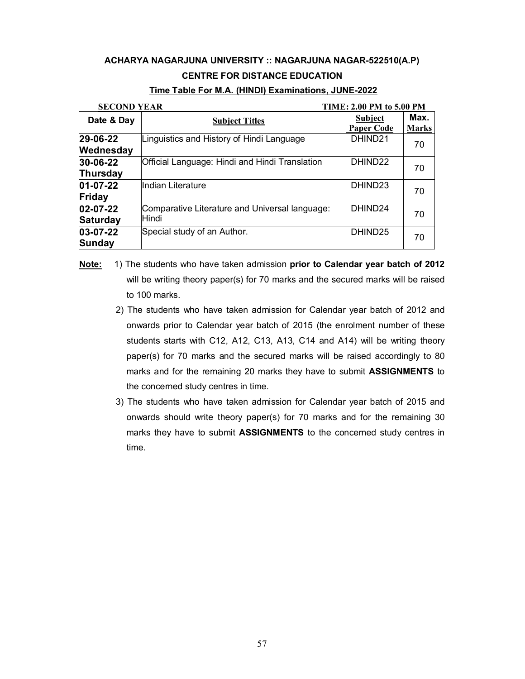| <b>SECOND YEAR</b>       |                                                         | <b>TIME: 2.00 PM to 5.00 PM</b>     |                      |
|--------------------------|---------------------------------------------------------|-------------------------------------|----------------------|
| Date & Day               | <b>Subject Titles</b>                                   | <b>Subject</b><br><b>Paper Code</b> | Max.<br><b>Marks</b> |
| 29-06-22<br>Wednesday    | Linguistics and History of Hindi Language               | DHIND <sub>21</sub>                 | 70                   |
| 30-06-22<br>Thursday     | Official Language: Hindi and Hindi Translation          | DHIND <sub>22</sub>                 | 70                   |
| $01 - 07 - 22$<br>Friday | llndian Literature                                      | DHIND <sub>23</sub>                 | 70                   |
| 02-07-22<br>Saturday     | Comparative Literature and Universal language:<br>Hindi | DHIND <sub>24</sub>                 | 70                   |
| 03-07-22<br>Sunday       | Special study of an Author.                             | DHIND25                             | 70                   |

## **Time Table For M.A. (HINDI) Examinations, JUNE-2022**

- **Note:** 1) The students who have taken admission **prior to Calendar year batch of 2012** will be writing theory paper(s) for 70 marks and the secured marks will be raised to 100 marks.
	- 2) The students who have taken admission for Calendar year batch of 2012 and onwards prior to Calendar year batch of 2015 (the enrolment number of these students starts with C12, A12, C13, A13, C14 and A14) will be writing theory paper(s) for 70 marks and the secured marks will be raised accordingly to 80 marks and for the remaining 20 marks they have to submit **ASSIGNMENTS** to the concerned study centres in time.
	- 3) The students who have taken admission for Calendar year batch of 2015 and onwards should write theory paper(s) for 70 marks and for the remaining 30 marks they have to submit **ASSIGNMENTS** to the concerned study centres in time.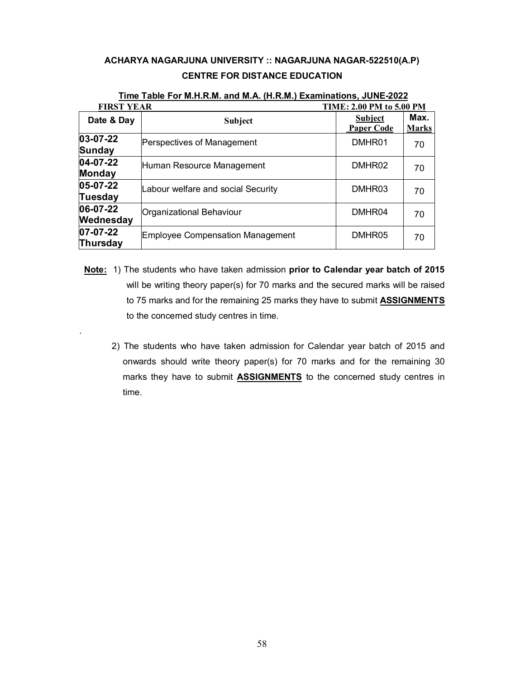| <b>FIRST YEAR</b>             |                                         | TIME: 2.00 PM to 5.00 PM            |                      |
|-------------------------------|-----------------------------------------|-------------------------------------|----------------------|
| Date & Day                    | <b>Subject</b>                          | <b>Subject</b><br><b>Paper Code</b> | Max.<br><b>Marks</b> |
| $ 03-07-22 $<br><b>Sunday</b> | Perspectives of Management              | DMHR01                              | 70                   |
| 04-07-22<br><b>Monday</b>     | Human Resource Management               | DMHR02                              | 70                   |
| 05-07-22<br><b>Tuesday</b>    | Labour welfare and social Security      | DMHR03                              | 70                   |
| 06-07-22<br>Wednesday         | Organizational Behaviour                | DMHR04                              | 70                   |
| $07 - 07 - 22$<br>Thursday    | <b>Employee Compensation Management</b> | DMHR05                              | 70                   |

# **Time Table For M.H.R.M. and M.A. (H.R.M.) Examinations, JUNE-2022**

**Note:** 1) The students who have taken admission **prior to Calendar year batch of 2015** will be writing theory paper(s) for 70 marks and the secured marks will be raised to 75 marks and for the remaining 25 marks they have to submit **ASSIGNMENTS** to the concerned study centres in time.

.

2) The students who have taken admission for Calendar year batch of 2015 and onwards should write theory paper(s) for 70 marks and for the remaining 30 marks they have to submit **ASSIGNMENTS** to the concerned study centres in time.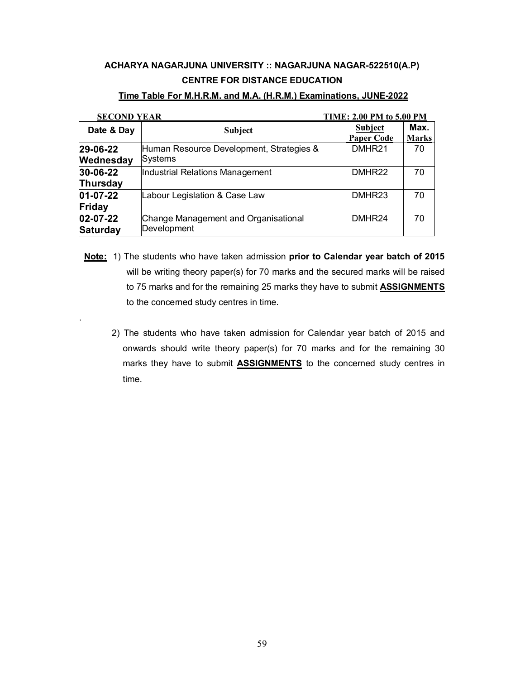| <b>SECOND YEAR</b>          |                                                     | <b>TIME: 2.00 PM to 5.00 PM</b>     |                      |
|-----------------------------|-----------------------------------------------------|-------------------------------------|----------------------|
| Date & Day                  | <b>Subject</b>                                      | <b>Subject</b><br><b>Paper Code</b> | Max.<br><b>Marks</b> |
| 29-06-22<br>Wednesday       | Human Resource Development, Strategies &<br>Systems | DMHR <sub>21</sub>                  | 70                   |
| 30-06-22<br><b>Thursday</b> | Industrial Relations Management                     | DMHR22                              | 70                   |
| $01 - 07 - 22$<br>Friday    | Labour Legislation & Case Law                       | DMHR23                              | 70                   |
| 02-07-22<br><b>Saturday</b> | Change Management and Organisational<br>Development | DMHR <sub>24</sub>                  | 70                   |

## **Time Table For M.H.R.M. and M.A. (H.R.M.) Examinations, JUNE-2022**

**Note:** 1) The students who have taken admission **prior to Calendar year batch of 2015** will be writing theory paper(s) for 70 marks and the secured marks will be raised to 75 marks and for the remaining 25 marks they have to submit **ASSIGNMENTS** to the concerned study centres in time.

.

2) The students who have taken admission for Calendar year batch of 2015 and onwards should write theory paper(s) for 70 marks and for the remaining 30 marks they have to submit **ASSIGNMENTS** to the concerned study centres in time.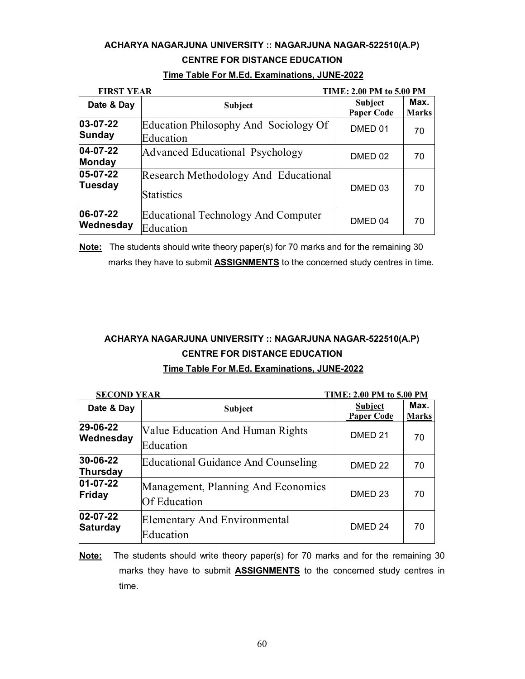| <b>FIRST YEAR</b>             |                                                                  | <b>TIME: 2.00 PM to 5.00 PM</b>     |                      |
|-------------------------------|------------------------------------------------------------------|-------------------------------------|----------------------|
| Date & Day                    | <b>Subject</b>                                                   | <b>Subject</b><br><b>Paper Code</b> | Max.<br><b>Marks</b> |
| $ 03-07-22 $<br><b>Sunday</b> | <b>Education Philosophy And Sociology Of</b><br>Education        | DMED 01                             | 70                   |
| $04-07-22$<br><b>Monday</b>   | <b>Advanced Educational Psychology</b>                           | DMED 02                             | 70                   |
| 05-07-22<br><b>Tuesday</b>    | <b>Research Methodology And Educational</b><br><b>Statistics</b> | DMED <sub>03</sub>                  | 70                   |
| 06-07-22<br>Wednesday         | <b>Educational Technology And Computer</b><br>Education          | DMED 04                             | 70                   |

## **Time Table For M.Ed. Examinations, JUNE-2022**

**Note:** The students should write theory paper(s) for 70 marks and for the remaining 30 marks they have to submit **ASSIGNMENTS** to the concerned study centres in time.

## **ACHARYA NAGARJUNA UNIVERSITY :: NAGARJUNA NAGAR-522510(A.P) CENTRE FOR DISTANCE EDUCATION Time Table For M.Ed. Examinations, JUNE-2022**

| <b>SECOND YEAR</b>          |                                                           | TIME: 2.00 PM to 5.00 PM            |                      |
|-----------------------------|-----------------------------------------------------------|-------------------------------------|----------------------|
| Date & Day                  | <b>Subject</b>                                            | <b>Subject</b><br><b>Paper Code</b> | Max.<br><b>Marks</b> |
| 29-06-22<br>Wednesday       | Value Education And Human Rights<br>Education             | DMED <sub>21</sub>                  | 70                   |
| 30-06-22<br><b>Thursday</b> | <b>Educational Guidance And Counseling</b>                | DMED <sub>22</sub>                  | 70                   |
| 01-07-22<br>Friday          | Management, Planning And Economics<br><b>Of Education</b> | DMED <sub>23</sub>                  | 70                   |
| 02-07-22<br><b>Saturday</b> | <b>Elementary And Environmental</b><br>Education          | DMED <sub>24</sub>                  | 70                   |

**Note:** The students should write theory paper(s) for 70 marks and for the remaining 30 marks they have to submit **ASSIGNMENTS** to the concerned study centres in time.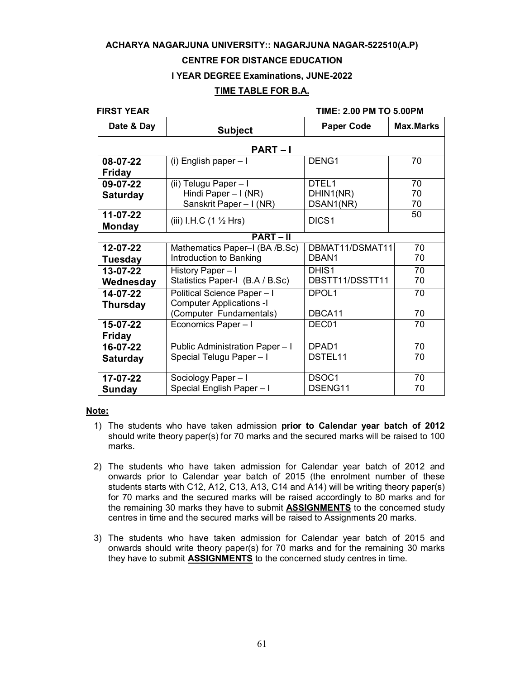## **ACHARYA NAGARJUNA UNIVERSITY:: NAGARJUNA NAGAR-522510(A.P)**

## **CENTRE FOR DISTANCE EDUCATION**

#### **I YEAR DEGREE Examinations, JUNE-2022**

## **TIME TABLE FOR B.A.**

| <b>FIRST YEAR</b>           | TIME: 2.00 PM TO 5.00PM                                                                 |                                      |                             |
|-----------------------------|-----------------------------------------------------------------------------------------|--------------------------------------|-----------------------------|
| Date & Day                  | <b>Subject</b>                                                                          | <b>Paper Code</b>                    | <b>Max.Marks</b>            |
|                             | $PART - I$                                                                              |                                      |                             |
| 08-07-22<br><b>Friday</b>   | (i) English paper $-1$                                                                  | DENG <sub>1</sub>                    | 70                          |
| 09-07-22<br><b>Saturday</b> | (ii) Telugu Paper - I<br>Hindi Paper $-1$ (NR)<br>Sanskrit Paper - I (NR)               | DTEL1<br>DHIN1(NR)<br>DSAN1(NR)      | $\overline{70}$<br>70<br>70 |
| 11-07-22<br><b>Monday</b>   | (iii) $I.H.C.$ (1 $\frac{1}{2}$ Hrs)                                                    | DICS <sub>1</sub>                    | 50                          |
| <b>PART-II</b>              |                                                                                         |                                      |                             |
| 12-07-22                    | Mathematics Paper-I (BA /B.Sc)<br>Introduction to Banking                               | DBMAT11/DSMAT11<br>DBAN <sub>1</sub> | $\overline{70}$<br>70       |
| <b>Tuesday</b>              |                                                                                         |                                      |                             |
| 13-07-22<br>Wednesday       | History Paper - I<br>Statistics Paper-I (B.A / B.Sc)                                    | DHIS <sub>1</sub><br>DBSTT11/DSSTT11 | $\overline{70}$<br>70       |
| 14-07-22<br><b>Thursday</b> | Political Science Paper-I<br><b>Computer Applications -I</b><br>(Computer Fundamentals) | DPOL <sub>1</sub><br>DBCA11          | 70<br>70                    |
| 15-07-22<br><b>Friday</b>   | Economics Paper - I                                                                     | DEC01                                | 70                          |
| 16-07-22<br><b>Saturday</b> | Public Administration Paper - I<br>Special Telugu Paper-I                               | DPAD1<br>DSTEL11                     | 70<br>70                    |
| 17-07-22<br><b>Sunday</b>   | Sociology Paper - I<br>Special English Paper - I                                        | DSOC <sub>1</sub><br>DSENG11         | 70<br>70                    |

#### **Note:**

- 1) The students who have taken admission **prior to Calendar year batch of 2012** should write theory paper(s) for 70 marks and the secured marks will be raised to 100 marks.
- 2) The students who have taken admission for Calendar year batch of 2012 and onwards prior to Calendar year batch of 2015 (the enrolment number of these students starts with C12, A12, C13, A13, C14 and A14) will be writing theory paper(s) for 70 marks and the secured marks will be raised accordingly to 80 marks and for the remaining 30 marks they have to submit **ASSIGNMENTS** to the concerned study centres in time and the secured marks will be raised to Assignments 20 marks.
- 3) The students who have taken admission for Calendar year batch of 2015 and onwards should write theory paper(s) for 70 marks and for the remaining 30 marks they have to submit **ASSIGNMENTS** to the concerned study centres in time.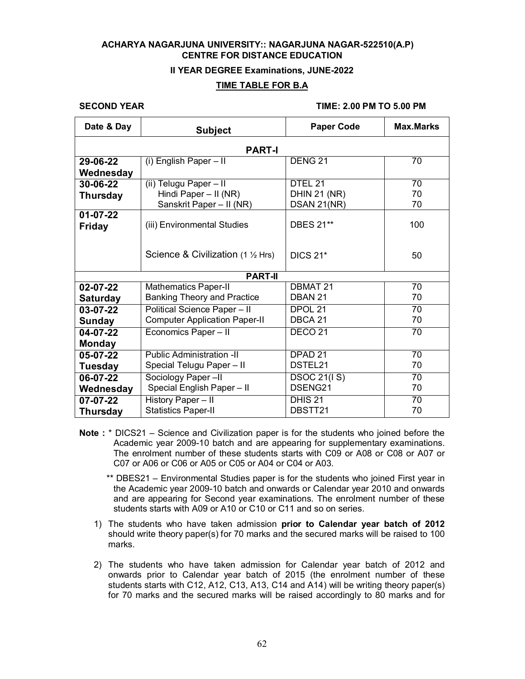#### **II YEAR DEGREE Examinations, JUNE-2022**

## **TIME TABLE FOR B.A**

#### **SECOND YEAR TIME: 2.00 PM TO 5.00 PM**

| Date & Day      | <b>Subject</b>                               | <b>Paper Code</b>   | <b>Max.Marks</b> |
|-----------------|----------------------------------------------|---------------------|------------------|
|                 | <b>PART-I</b>                                |                     |                  |
| 29-06-22        | (i) English Paper - II                       | DENG <sub>21</sub>  | $\overline{70}$  |
| Wednesday       |                                              |                     |                  |
| 30-06-22        | (ii) Telugu Paper - II                       | DTEL 21             | 70               |
| <b>Thursday</b> | Hindi Paper - II (NR)                        | <b>DHIN 21 (NR)</b> | 70               |
|                 | Sanskrit Paper - II (NR)                     | DSAN 21(NR)         | 70               |
| $01 - 07 - 22$  |                                              |                     |                  |
| <b>Friday</b>   | (iii) Environmental Studies                  | <b>DBES 21**</b>    | 100              |
|                 |                                              |                     |                  |
|                 | Science & Civilization $(1 \frac{1}{2} Hrs)$ | <b>DICS 21*</b>     | 50               |
|                 | <b>PART-II</b>                               |                     |                  |
| 02-07-22        | <b>Mathematics Paper-II</b>                  | <b>DBMAT 21</b>     | 70               |
| <b>Saturday</b> | <b>Banking Theory and Practice</b>           | DBAN <sub>21</sub>  | 70               |
| 03-07-22        | Political Science Paper - II                 | DPOL 21             | 70               |
| Sunday          | <b>Computer Application Paper-II</b>         | DBCA 21             | 70               |
| 04-07-22        | Economics Paper - II                         | DECO <sub>21</sub>  | 70               |
| <b>Monday</b>   |                                              |                     |                  |
| 05-07-22        | Public Administration -II                    | DPAD <sub>21</sub>  | 70               |
| <b>Tuesday</b>  | Special Telugu Paper - II                    | DSTEL21             | 70               |
| 06-07-22        | Sociology Paper-II                           | <b>DSOC 21(I S)</b> | 70               |
| Wednesday       | Special English Paper - II                   | DSENG21             | 70               |
| 07-07-22        | History Paper - II                           | <b>DHIS 21</b>      | 70               |
| <b>Thursday</b> | <b>Statistics Paper-II</b>                   | DBSTT21             | 70               |

- **Note :** \* DICS21 Science and Civilization paper is for the students who joined before the Academic year 2009-10 batch and are appearing for supplementary examinations. The enrolment number of these students starts with C09 or A08 or C08 or A07 or C07 or A06 or C06 or A05 or C05 or A04 or C04 or A03.
	- \*\* DBES21 Environmental Studies paper is for the students who joined First year in the Academic year 2009-10 batch and onwards or Calendar year 2010 and onwards and are appearing for Second year examinations. The enrolment number of these students starts with A09 or A10 or C10 or C11 and so on series.
	- 1) The students who have taken admission **prior to Calendar year batch of 2012** should write theory paper(s) for 70 marks and the secured marks will be raised to 100 marks.
	- 2) The students who have taken admission for Calendar year batch of 2012 and onwards prior to Calendar year batch of 2015 (the enrolment number of these students starts with C12, A12, C13, A13, C14 and A14) will be writing theory paper(s) for 70 marks and the secured marks will be raised accordingly to 80 marks and for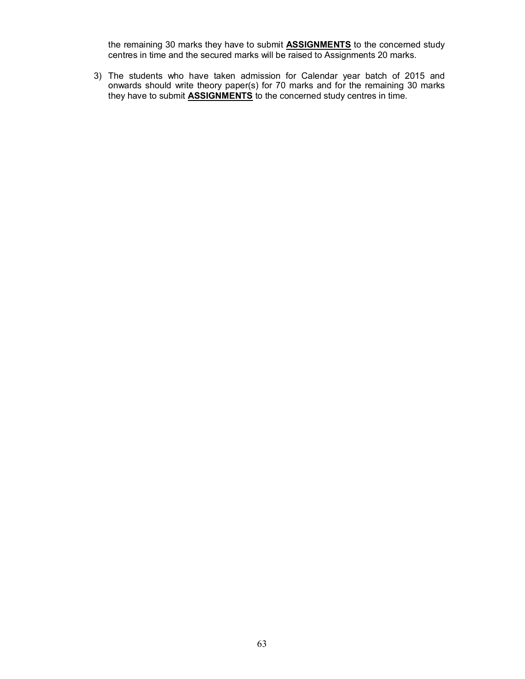the remaining 30 marks they have to submit **ASSIGNMENTS** to the concerned study centres in time and the secured marks will be raised to Assignments 20 marks.

3) The students who have taken admission for Calendar year batch of 2015 and onwards should write theory paper(s) for 70 marks and for the remaining 30 marks they have to submit **ASSIGNMENTS** to the concerned study centres in time.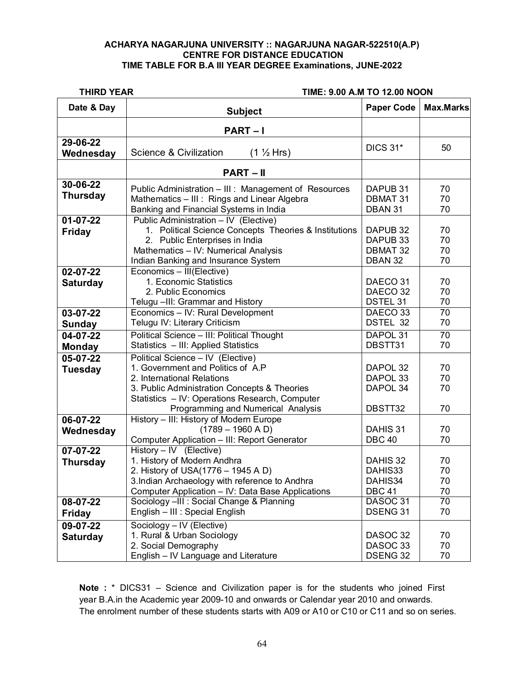#### **ACHARYA NAGARJUNA UNIVERSITY :: NAGARJUNA NAGAR-522510(A.P) CENTRE FOR DISTANCE EDUCATION TIME TABLE FOR B.A III YEAR DEGREE Examinations, JUNE-2022**

| <b>THIRD YEAR</b>                 | TIME: 9.00 A.M TO 12.00 NOON                                                                                                                                                                                                                 |                                                            |                       |
|-----------------------------------|----------------------------------------------------------------------------------------------------------------------------------------------------------------------------------------------------------------------------------------------|------------------------------------------------------------|-----------------------|
| Date & Day                        | <b>Subject</b>                                                                                                                                                                                                                               | <b>Paper Code</b>                                          | <b>Max.Marks</b>      |
|                                   | $PART - I$                                                                                                                                                                                                                                   |                                                            |                       |
| 29-06-22<br>Wednesday             | Science & Civilization<br>$(1 \frac{1}{2} Hrs)$                                                                                                                                                                                              | <b>DICS 31*</b>                                            | 50                    |
|                                   | $PART - II$                                                                                                                                                                                                                                  |                                                            |                       |
| 30-06-22<br><b>Thursday</b>       | Public Administration - III : Management of Resources<br>Mathematics - III : Rings and Linear Algebra<br>Banking and Financial Systems in India                                                                                              | DAPUB 31<br><b>DBMAT 31</b><br>DBAN 31                     | 70<br>70<br>70        |
| $01 - 07 - 22$<br><b>Friday</b>   | Public Administration - IV (Elective)<br>1. Political Science Concepts Theories & Institutions<br>2. Public Enterprises in India<br>Mathematics - IV: Numerical Analysis<br>Indian Banking and Insurance System                              | DAPUB 32<br>DAPUB 33<br>DBMAT 32<br>DBAN 32                | 70<br>70<br>70<br>70  |
| 02-07-22<br><b>Saturday</b>       | Economics - III(Elective)<br>1. Economic Statistics<br>2. Public Economics<br>Telugu - III: Grammar and History                                                                                                                              | DAECO <sub>31</sub><br>DAECO 32<br><b>DSTEL 31</b>         | 70<br>70<br>70        |
| 03-07-22<br><b>Sunday</b>         | Economics - IV: Rural Development<br>Telugu IV: Literary Criticism                                                                                                                                                                           | DAECO 33<br>DSTEL 32                                       | 70<br>70              |
| 04-07-22<br><b>Monday</b>         | Political Science - III: Political Thought<br>Statistics - III: Applied Statistics                                                                                                                                                           | DAPOL 31<br>DBSTT31                                        | $\overline{70}$<br>70 |
| $05 - 07 - 22$<br><b>Tuesday</b>  | Political Science - IV (Elective)<br>1. Government and Politics of A.P<br>2. International Relations<br>3. Public Administration Concepts & Theories<br>Statistics - IV: Operations Research, Computer<br>Programming and Numerical Analysis | DAPOL 32<br>DAPOL 33<br>DAPOL 34<br>DBSTT32                | 70<br>70<br>70<br>70  |
| 06-07-22<br>Wednesday             | History - III: History of Modern Europe<br>$(1789 - 1960 A D)$<br>Computer Application - III: Report Generator                                                                                                                               | DAHIS <sub>31</sub><br><b>DBC 40</b>                       | 70<br>70              |
| $07 - 07 - 22$<br><b>Thursday</b> | History - IV (Elective)<br>1. History of Modern Andhra<br>2. History of USA(1776 - 1945 A D)<br>3. Indian Archaeology with reference to Andhra<br>Computer Application - IV: Data Base Applications                                          | DAHIS <sub>32</sub><br>DAHIS33<br>DAHIS34<br><b>DBC 41</b> | 70<br>70<br>70<br>70  |
| 08-07-22<br><b>Friday</b>         | Sociology -III : Social Change & Planning<br>English - III : Special English                                                                                                                                                                 | DASOC <sub>31</sub><br>DSENG <sub>31</sub>                 | 70<br>70              |
| 09-07-22<br><b>Saturday</b>       | Sociology - IV (Elective)<br>1. Rural & Urban Sociology<br>2. Social Demography<br>English - IV Language and Literature                                                                                                                      | DASOC 32<br>DASOC 33<br>DSENG 32                           | 70<br>70<br>70        |

**Note :** \* DICS31 – Science and Civilization paper is for the students who joined First year B.A.in the Academic year 2009-10 and onwards or Calendar year 2010 and onwards. The enrolment number of these students starts with A09 or A10 or C10 or C11 and so on series.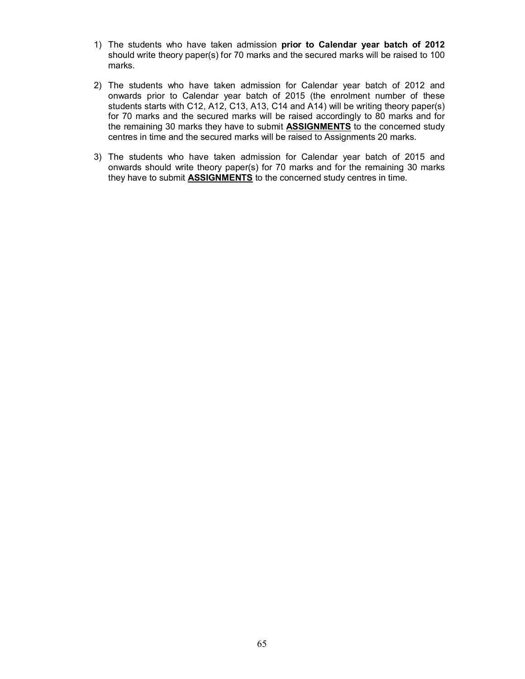- 1) The students who have taken admission **prior to Calendar year batch of 2012** should write theory paper(s) for 70 marks and the secured marks will be raised to 100 marks.
- 2) The students who have taken admission for Calendar year batch of 2012 and onwards prior to Calendar year batch of 2015 (the enrolment number of these students starts with C12, A12, C13, A13, C14 and A14) will be writing theory paper(s) for 70 marks and the secured marks will be raised accordingly to 80 marks and for the remaining 30 marks they have to submit **ASSIGNMENTS** to the concerned study centres in time and the secured marks will be raised to Assignments 20 marks.
- 3) The students who have taken admission for Calendar year batch of 2015 and onwards should write theory paper(s) for 70 marks and for the remaining 30 marks they have to submit **ASSIGNMENTS** to the concerned study centres in time.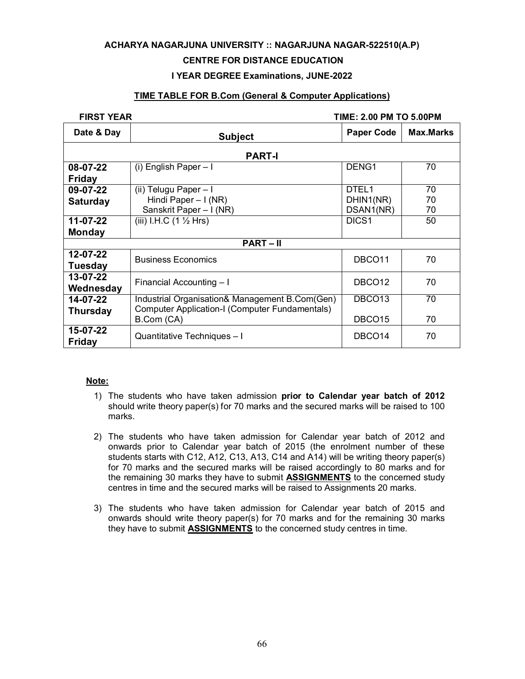## **ACHARYA NAGARJUNA UNIVERSITY :: NAGARJUNA NAGAR-522510(A.P)**

## **CENTRE FOR DISTANCE EDUCATION**

## **I YEAR DEGREE Examinations, JUNE-2022**

## **TIME TABLE FOR B.Com (General & Computer Applications)**

**FIRST YEAR TIME: 2.00 PM TO 5.00PM** 

| Date & Day                | <b>Subject</b>                                               | <b>Paper Code</b>  | <b>Max.Marks</b> |
|---------------------------|--------------------------------------------------------------|--------------------|------------------|
|                           | <b>PART-I</b>                                                |                    |                  |
| 08-07-22                  | $(i)$ English Paper $-1$                                     | DENG <sub>1</sub>  | 70               |
| Friday                    |                                                              |                    |                  |
| 09-07-22                  | (ii) Telugu Paper - I                                        | DTEL <sub>1</sub>  | 70               |
| <b>Saturday</b>           | Hindi Paper $-1$ (NR)                                        | DHIN1(NR)          | 70               |
|                           | Sanskrit Paper - I (NR)                                      | DSAN1(NR)          | 70               |
| 11-07-22                  | (iii) $I.H.C.$ (1 $\frac{1}{2}$ Hrs)                         | DICS <sub>1</sub>  | 50               |
| <b>Monday</b>             |                                                              |                    |                  |
| <b>PART-II</b>            |                                                              |                    |                  |
| 12-07-22                  | <b>Business Economics</b>                                    | DBCO <sub>11</sub> | 70               |
| <b>Tuesday</b>            |                                                              |                    |                  |
| 13-07-22                  |                                                              | DBCO <sub>12</sub> | 70               |
| Wednesday                 | Financial Accounting - I                                     |                    |                  |
| 14-07-22                  | Industrial Organisation& Management B.Com(Gen)               | DBCO <sub>13</sub> | 70               |
| <b>Thursday</b>           | Computer Application-I (Computer Fundamentals)<br>B.Com (CA) | DBCO <sub>15</sub> | 70               |
| 15-07-22<br><b>Friday</b> | Quantitative Techniques - I                                  | DBCO <sub>14</sub> | 70               |

## **Note:**

- 1) The students who have taken admission **prior to Calendar year batch of 2012** should write theory paper(s) for 70 marks and the secured marks will be raised to 100 marks.
- 2) The students who have taken admission for Calendar year batch of 2012 and onwards prior to Calendar year batch of 2015 (the enrolment number of these students starts with C12, A12, C13, A13, C14 and A14) will be writing theory paper(s) for 70 marks and the secured marks will be raised accordingly to 80 marks and for the remaining 30 marks they have to submit **ASSIGNMENTS** to the concerned study centres in time and the secured marks will be raised to Assignments 20 marks.
- 3) The students who have taken admission for Calendar year batch of 2015 and onwards should write theory paper(s) for 70 marks and for the remaining 30 marks they have to submit **ASSIGNMENTS** to the concerned study centres in time.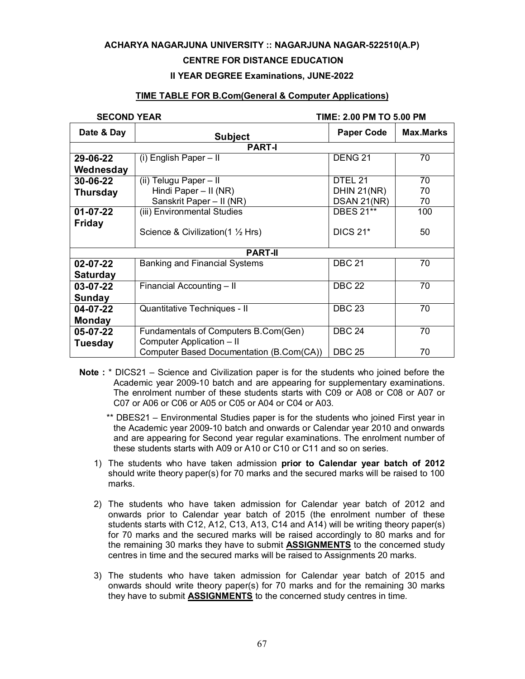## **ACHARYA NAGARJUNA UNIVERSITY :: NAGARJUNA NAGAR-522510(A.P)**

## **CENTRE FOR DISTANCE EDUCATION**

## **II YEAR DEGREE Examinations, JUNE-2022**

#### **TIME TABLE FOR B.Com(General & Computer Applications)**

 **SECOND YEAR TIME: 2.00 PM TO 5.00 PM** 

| Date & Day      | <b>Subject</b>                               | <b>Paper Code</b>  | <b>Max.Marks</b> |
|-----------------|----------------------------------------------|--------------------|------------------|
|                 | <b>PART-I</b>                                |                    |                  |
| 29-06-22        | (i) English Paper - II                       | DENG <sub>21</sub> | 70               |
| Wednesday       |                                              |                    |                  |
| 30-06-22        | (ii) Telugu Paper - II                       | DTEL 21            | 70               |
| <b>Thursday</b> | Hindi Paper - II (NR)                        | <b>DHIN 21(NR)</b> | 70               |
|                 | Sanskrit Paper - II (NR)                     | DSAN 21(NR)        | 70               |
| $01 - 07 - 22$  | (iii) Environmental Studies                  | <b>DBES 21**</b>   | 100              |
| <b>Friday</b>   |                                              |                    |                  |
|                 | Science & Civilization $(1 \frac{1}{2} Hrs)$ | <b>DICS 21*</b>    | 50               |
|                 |                                              |                    |                  |
|                 | <b>PART-II</b>                               |                    |                  |
| 02-07-22        | <b>Banking and Financial Systems</b>         | <b>DBC 21</b>      | 70               |
| Saturday        |                                              |                    |                  |
| 03-07-22        | Financial Accounting - II                    | <b>DBC 22</b>      | 70               |
| Sunday          |                                              |                    |                  |
| 04-07-22        | Quantitative Techniques - II                 | <b>DBC 23</b>      | 70               |
| <b>Monday</b>   |                                              |                    |                  |
| 05-07-22        | Fundamentals of Computers B.Com(Gen)         | <b>DBC 24</b>      | 70               |
| <b>Tuesday</b>  | Computer Application - II                    |                    |                  |
|                 | Computer Based Documentation (B.Com(CA))     | <b>DBC 25</b>      | 70               |

- **Note :** \* DICS21 Science and Civilization paper is for the students who joined before the Academic year 2009-10 batch and are appearing for supplementary examinations. The enrolment number of these students starts with C09 or A08 or C08 or A07 or C07 or A06 or C06 or A05 or C05 or A04 or C04 or A03.
	- \*\* DBES21 Environmental Studies paper is for the students who joined First year in the Academic year 2009-10 batch and onwards or Calendar year 2010 and onwards and are appearing for Second year regular examinations. The enrolment number of these students starts with A09 or A10 or C10 or C11 and so on series.
	- 1) The students who have taken admission **prior to Calendar year batch of 2012** should write theory paper(s) for 70 marks and the secured marks will be raised to 100 marks.
	- 2) The students who have taken admission for Calendar year batch of 2012 and onwards prior to Calendar year batch of 2015 (the enrolment number of these students starts with C12, A12, C13, A13, C14 and A14) will be writing theory paper(s) for 70 marks and the secured marks will be raised accordingly to 80 marks and for the remaining 30 marks they have to submit **ASSIGNMENTS** to the concerned study centres in time and the secured marks will be raised to Assignments 20 marks.
	- 3) The students who have taken admission for Calendar year batch of 2015 and onwards should write theory paper(s) for 70 marks and for the remaining 30 marks they have to submit **ASSIGNMENTS** to the concerned study centres in time.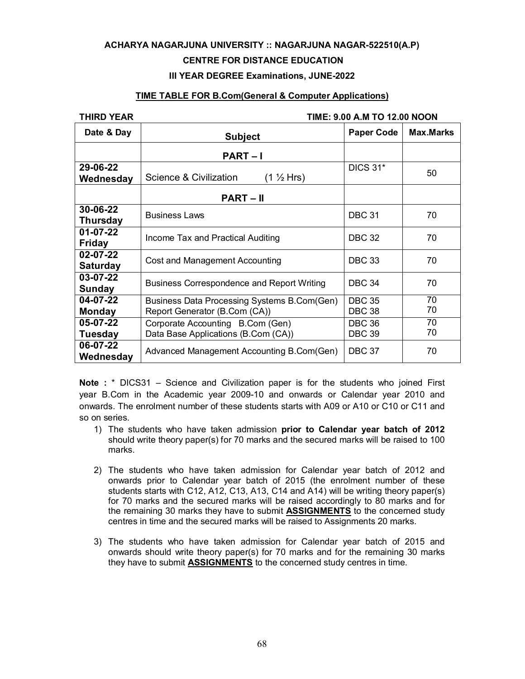## **III YEAR DEGREE Examinations, JUNE-2022**

## **TIME TABLE FOR B.Com(General & Computer Applications)**

| <b>THIRD YEAR</b> |
|-------------------|
|-------------------|

**THIRD YEAR TIME: 9.00 A.M TO 12.00 NOON** 

| Date & Day                  | <b>Subject</b>                                                               | <b>Paper Code</b>              | <b>Max.Marks</b>      |
|-----------------------------|------------------------------------------------------------------------------|--------------------------------|-----------------------|
|                             | $PART - I$                                                                   |                                |                       |
| 29-06-22<br>Wednesday       | Science & Civilization<br>$(1 \frac{1}{2} Hrs)$                              | DICS 31*                       | 50                    |
|                             | $PART - II$                                                                  |                                |                       |
| 30-06-22<br><b>Thursday</b> | <b>Business Laws</b>                                                         | <b>DBC 31</b>                  | 70                    |
| $01 - 07 - 22$<br>Friday    | Income Tax and Practical Auditing                                            | <b>DBC 32</b>                  | 70                    |
| 02-07-22<br><b>Saturday</b> | Cost and Management Accounting                                               | <b>DBC 33</b>                  | 70                    |
| 03-07-22<br>Sunday          | <b>Business Correspondence and Report Writing</b>                            | <b>DBC 34</b>                  | 70                    |
| 04-07-22<br><b>Monday</b>   | Business Data Processing Systems B.Com(Gen)<br>Report Generator (B.Com (CA)) | <b>DBC 35</b><br>DBC 38        | 70<br>70              |
| 05-07-22<br>Tuesday         | Corporate Accounting B.Com (Gen)<br>Data Base Applications (B.Com (CA))      | <b>DBC 36</b><br><b>DBC 39</b> | $\overline{70}$<br>70 |
| 06-07-22<br>Wednesday       | Advanced Management Accounting B.Com(Gen)                                    | <b>DBC 37</b>                  | 70                    |

**Note :** \* DICS31 – Science and Civilization paper is for the students who joined First year B.Com in the Academic year 2009-10 and onwards or Calendar year 2010 and onwards. The enrolment number of these students starts with A09 or A10 or C10 or C11 and so on series.

- 1) The students who have taken admission **prior to Calendar year batch of 2012** should write theory paper(s) for 70 marks and the secured marks will be raised to 100 marks.
- 2) The students who have taken admission for Calendar year batch of 2012 and onwards prior to Calendar year batch of 2015 (the enrolment number of these students starts with C12, A12, C13, A13, C14 and A14) will be writing theory paper(s) for 70 marks and the secured marks will be raised accordingly to 80 marks and for the remaining 30 marks they have to submit **ASSIGNMENTS** to the concerned study centres in time and the secured marks will be raised to Assignments 20 marks.
- 3) The students who have taken admission for Calendar year batch of 2015 and onwards should write theory paper(s) for 70 marks and for the remaining 30 marks they have to submit **ASSIGNMENTS** to the concerned study centres in time.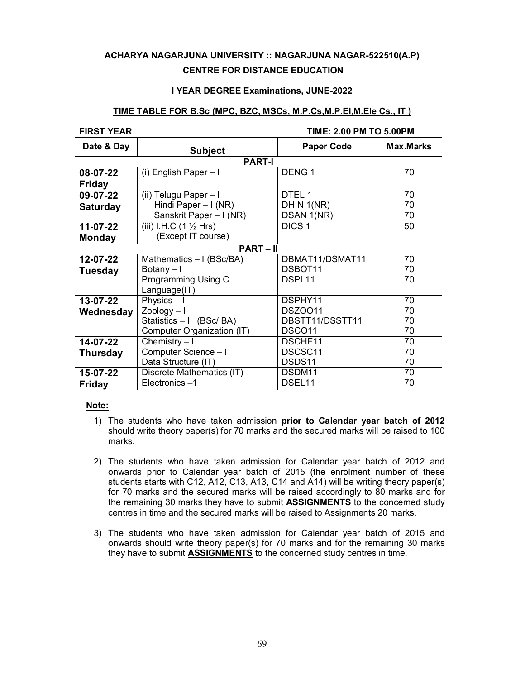## **I YEAR DEGREE Examinations, JUNE-2022**

#### **TIME TABLE FOR B.Sc (MPC, BZC, MSCs, M.P.Cs,M.P.El,M.Ele Cs., IT )**

**FIRST YEAR TIME: 2.00 PM TO 5.00PM** 

| Date & Day      | <b>Subject</b>                       | <b>Paper Code</b>   | Max.Marks |  |
|-----------------|--------------------------------------|---------------------|-----------|--|
|                 | <b>PART-I</b>                        |                     |           |  |
| 08-07-22        | $(i)$ English Paper $-1$             | DENG <sub>1</sub>   | 70        |  |
| <b>Friday</b>   |                                      |                     |           |  |
| 09-07-22        | (ii) Telugu Paper - I                | DTEL 1              | 70        |  |
| <b>Saturday</b> | Hindi Paper $-1$ (NR)                | DHIN 1(NR)          | 70        |  |
|                 | Sanskrit Paper - I (NR)              | DSAN 1(NR)          | 70        |  |
| 11-07-22        | (iii) $I.H.C.$ (1 $\frac{1}{2}$ Hrs) | DICS <sub>1</sub>   | 50        |  |
| Monday          | (Except IT course)                   |                     |           |  |
| $PART - II$     |                                      |                     |           |  |
| 12-07-22        | Mathematics - I (BSc/BA)             | DBMAT11/DSMAT11     | 70        |  |
| <b>Tuesday</b>  | Botany-I                             | DSBOT <sub>11</sub> | 70        |  |
|                 | Programming Using C                  | DSPL <sub>11</sub>  | 70        |  |
|                 | Language(IT)                         |                     |           |  |
| 13-07-22        | Physics $-1$                         | DSPHY11             | 70        |  |
| Wednesday       | $Zoology - I$                        | <b>DSZOO11</b>      | 70        |  |
|                 | Statistics - I (BSc/BA)              | DBSTT11/DSSTT11     | 70        |  |
|                 | Computer Organization (IT)           | DSCO11              | 70        |  |
| 14-07-22        | Chemistry $-1$                       | DSCHE11             | 70        |  |
| <b>Thursday</b> | Computer Science - I                 | DSCSC11             | 70        |  |
|                 | Data Structure (IT)                  | DSDS11              | 70        |  |
| 15-07-22        | Discrete Mathematics (IT)            | DSDM11              | 70        |  |
| Friday          | Electronics-1                        | DSEL11              | 70        |  |

#### **Note:**

- 1) The students who have taken admission **prior to Calendar year batch of 2012** should write theory paper(s) for 70 marks and the secured marks will be raised to 100 marks.
- 2) The students who have taken admission for Calendar year batch of 2012 and onwards prior to Calendar year batch of 2015 (the enrolment number of these students starts with C12, A12, C13, A13, C14 and A14) will be writing theory paper(s) for 70 marks and the secured marks will be raised accordingly to 80 marks and for the remaining 30 marks they have to submit **ASSIGNMENTS** to the concerned study centres in time and the secured marks will be raised to Assignments 20 marks.
- 3) The students who have taken admission for Calendar year batch of 2015 and onwards should write theory paper(s) for 70 marks and for the remaining 30 marks they have to submit **ASSIGNMENTS** to the concerned study centres in time.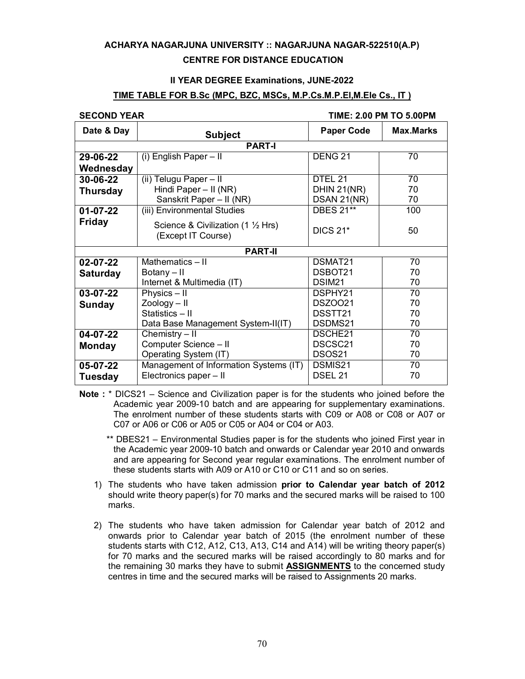## **II YEAR DEGREE Examinations, JUNE-2022**

## **TIME TABLE FOR B.Sc (MPC, BZC, MSCs, M.P.Cs.M.P.El,M.Ele Cs., IT )**

**SECOND YEAR TIME: 2.00 PM TO 5.00PM**

| Date & Day      | <b>Subject</b>                                                     | <b>Paper Code</b>   | <b>Max.Marks</b> |
|-----------------|--------------------------------------------------------------------|---------------------|------------------|
| <b>PART-I</b>   |                                                                    |                     |                  |
| 29-06-22        | (i) English Paper - II                                             | DENG <sub>21</sub>  | 70               |
| Wednesday       |                                                                    |                     |                  |
| 30-06-22        | (ii) Telugu Paper - II                                             | DTEL <sub>21</sub>  | 70               |
| <b>Thursday</b> | Hindi Paper - II (NR)                                              | <b>DHIN 21(NR)</b>  | 70               |
|                 | Sanskrit Paper - II (NR)                                           | DSAN 21(NR)         | 70               |
| $01-07-22$      | (iii) Environmental Studies                                        | <b>DBES 21**</b>    | 100              |
| <b>Friday</b>   | Science & Civilization (1 $\frac{1}{2}$ Hrs)<br>(Except IT Course) | <b>DICS 21*</b>     | 50               |
| <b>PART-II</b>  |                                                                    |                     |                  |
| 02-07-22        | Mathematics-II                                                     | DSMAT21             | 70               |
| <b>Saturday</b> | Botany - II                                                        | DSBOT <sub>21</sub> | 70               |
|                 | Internet & Multimedia (IT)                                         | DSIM <sub>21</sub>  | 70               |
| 03-07-22        | Physics - II                                                       | DSPHY21             | 70               |
| Sunday          | $Zoology - II$                                                     | <b>DSZ0021</b>      | 70               |
|                 | Statistics - II                                                    | DSSTT21             | 70               |
|                 | Data Base Management System-II(IT)                                 | DSDMS21             | 70               |
| 04-07-22        | Chemistry - II                                                     | DSCHE21             | 70               |
| <b>Monday</b>   | Computer Science - II                                              | DSCSC21             | 70               |
|                 | Operating System (IT)                                              | DSOS21              | 70               |
| 05-07-22        | Management of Information Systems (IT)                             | DSMIS21             | 70               |
| <b>Tuesday</b>  | Electronics paper - II                                             | DSEL <sub>21</sub>  | 70               |

**Note :** \* DICS21 – Science and Civilization paper is for the students who joined before the Academic year 2009-10 batch and are appearing for supplementary examinations. The enrolment number of these students starts with C09 or A08 or C08 or A07 or C07 or A06 or C06 or A05 or C05 or A04 or C04 or A03.

- \*\* DBES21 Environmental Studies paper is for the students who joined First year in the Academic year 2009-10 batch and onwards or Calendar year 2010 and onwards and are appearing for Second year regular examinations. The enrolment number of these students starts with A09 or A10 or C10 or C11 and so on series.
- 1) The students who have taken admission **prior to Calendar year batch of 2012** should write theory paper(s) for 70 marks and the secured marks will be raised to 100 marks.
- 2) The students who have taken admission for Calendar year batch of 2012 and onwards prior to Calendar year batch of 2015 (the enrolment number of these students starts with C12, A12, C13, A13, C14 and A14) will be writing theory paper(s) for 70 marks and the secured marks will be raised accordingly to 80 marks and for the remaining 30 marks they have to submit **ASSIGNMENTS** to the concerned study centres in time and the secured marks will be raised to Assignments 20 marks.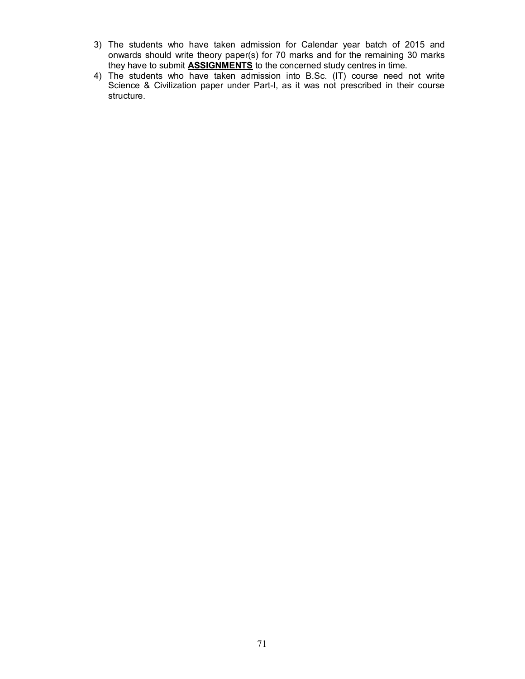- 3) The students who have taken admission for Calendar year batch of 2015 and onwards should write theory paper(s) for 70 marks and for the remaining 30 marks they have to submit **ASSIGNMENTS** to the concerned study centres in time.
- 4) The students who have taken admission into B.Sc. (IT) course need not write Science & Civilization paper under Part-I, as it was not prescribed in their course structure.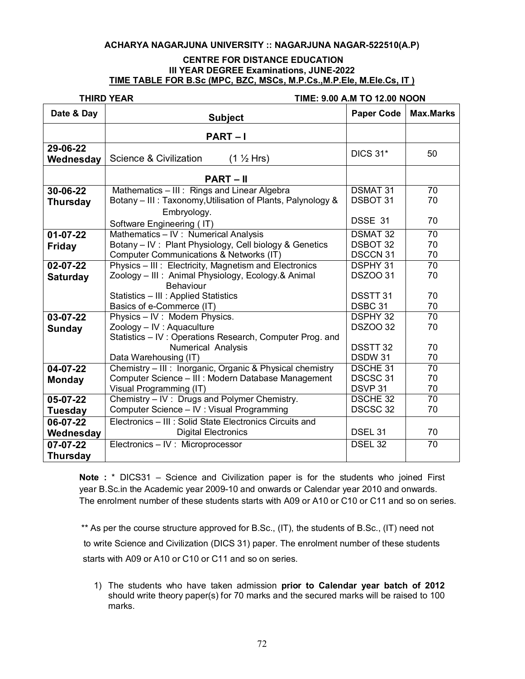#### **ACHARYA NAGARJUNA UNIVERSITY :: NAGARJUNA NAGAR-522510(A.P)**

#### **CENTRE FOR DISTANCE EDUCATION III YEAR DEGREE Examinations, JUNE-2022 TIME TABLE FOR B.Sc (MPC, BZC, MSCs, M.P.Cs.,M.P.Ele, M.Ele.Cs, IT )**

| <b>THIRD YEAR</b>               |                                                                                                                                             | TIME: 9.00 A.M TO 12.00 NOON                      |                             |
|---------------------------------|---------------------------------------------------------------------------------------------------------------------------------------------|---------------------------------------------------|-----------------------------|
| Date & Day                      | <b>Subject</b>                                                                                                                              | <b>Paper Code</b>                                 | <b>Max.Marks</b>            |
|                                 | $PART - I$                                                                                                                                  |                                                   |                             |
| 29-06-22<br>Wednesday           | Science & Civilization<br>$(1 \frac{1}{2} Hrs)$                                                                                             | <b>DICS 31*</b>                                   | 50                          |
|                                 | $PART - II$                                                                                                                                 |                                                   |                             |
| 30-06-22<br><b>Thursday</b>     | Mathematics - III : Rings and Linear Algebra<br>Botany - III : Taxonomy, Utilisation of Plants, Palynology &<br>Embryology.                 | <b>DSMAT 31</b><br>DSBOT 31                       | 70<br>70                    |
|                                 | Software Engineering (IT)                                                                                                                   | DSSE 31                                           | 70                          |
| $01 - 07 - 22$<br><b>Friday</b> | Mathematics - IV : Numerical Analysis<br>Botany - IV: Plant Physiology, Cell biology & Genetics<br>Computer Communications & Networks (IT)  | <b>DSMAT 32</b><br>DSBOT 32<br><b>DSCCN 31</b>    | $\overline{70}$<br>70<br>70 |
| 02-07-22<br><b>Saturday</b>     | Physics - III: Electricity, Magnetism and Electronics<br>Zoology - III : Animal Physiology, Ecology.& Animal<br><b>Behaviour</b>            | DSPHY 31<br><b>DSZOO 31</b>                       | 70<br>70                    |
|                                 | Statistics - III : Applied Statistics<br>Basics of e-Commerce (IT)                                                                          | DSSTT <sub>31</sub><br>DSBC 31                    | 70<br>70                    |
| 03-07-22<br><b>Sunday</b>       | Physics - IV : Modern Physics.<br>Zoology - IV : Aquaculture<br>Statistics - IV: Operations Research, Computer Prog. and                    | <b>DSPHY 32</b><br><b>DSZOO 32</b>                | $\overline{70}$<br>70       |
|                                 | <b>Numerical Analysis</b><br>Data Warehousing (IT)                                                                                          | DSSTT 32<br>DSDW 31                               | 70<br>70                    |
| 04-07-22<br><b>Monday</b>       | Chemistry - III : Inorganic, Organic & Physical chemistry<br>Computer Science - III : Modern Database Management<br>Visual Programming (IT) | <b>DSCHE 31</b><br>DSCSC <sub>31</sub><br>DSVP 31 | 70<br>70<br>70              |
| 05-07-22<br><b>Tuesday</b>      | Chemistry - IV: Drugs and Polymer Chemistry.<br>Computer Science - IV : Visual Programming                                                  | <b>DSCHE 32</b><br><b>DSCSC 32</b>                | $\overline{70}$<br>70       |
| 06-07-22<br>Wednesday           | Electronics - III : Solid State Electronics Circuits and<br><b>Digital Electronics</b>                                                      | DSEL 31                                           | 70                          |
| 07-07-22<br><b>Thursday</b>     | Electronics - IV : Microprocessor                                                                                                           | DSEL 32                                           | $\overline{70}$             |

**Note :** \* DICS31 – Science and Civilization paper is for the students who joined First year B.Sc.in the Academic year 2009-10 and onwards or Calendar year 2010 and onwards. The enrolment number of these students starts with A09 or A10 or C10 or C11 and so on series.

\*\* As per the course structure approved for B.Sc., (IT), the students of B.Sc., (IT) need not to write Science and Civilization (DICS 31) paper. The enrolment number of these students starts with A09 or A10 or C10 or C11 and so on series.

1) The students who have taken admission **prior to Calendar year batch of 2012** should write theory paper(s) for 70 marks and the secured marks will be raised to 100 marks.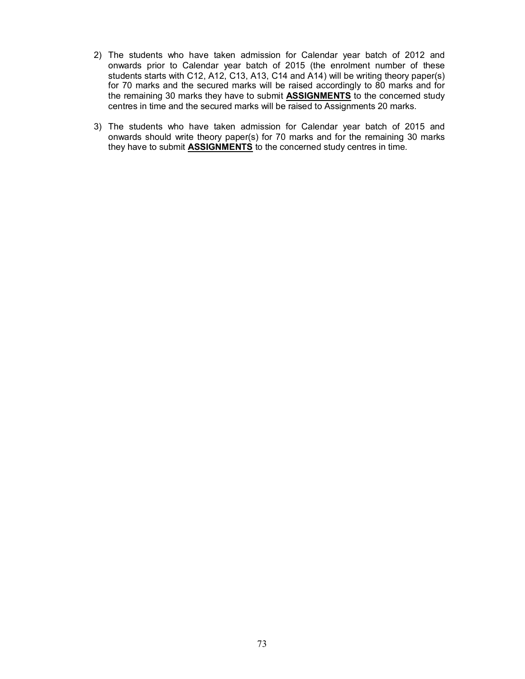- 2) The students who have taken admission for Calendar year batch of 2012 and onwards prior to Calendar year batch of 2015 (the enrolment number of these students starts with C12, A12, C13, A13, C14 and A14) will be writing theory paper(s) for 70 marks and the secured marks will be raised accordingly to 80 marks and for the remaining 30 marks they have to submit **ASSIGNMENTS** to the concerned study centres in time and the secured marks will be raised to Assignments 20 marks.
- 3) The students who have taken admission for Calendar year batch of 2015 and onwards should write theory paper(s) for 70 marks and for the remaining 30 marks they have to submit **ASSIGNMENTS** to the concerned study centres in time.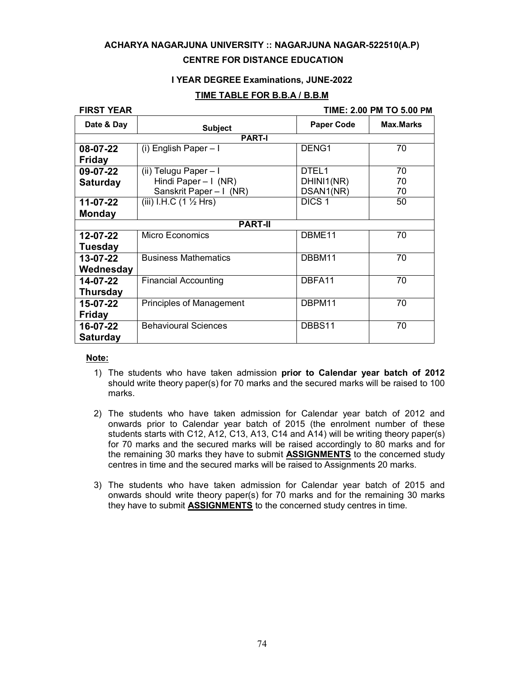# **I YEAR DEGREE Examinations, JUNE-2022**

# **TIME TABLE FOR B.B.A / B.B.M**

| <b>FIRST YEAR</b> | TIME: 2.00 PM TO 5.00 PM             |                    |           |
|-------------------|--------------------------------------|--------------------|-----------|
| Date & Day        | <b>Subject</b>                       | <b>Paper Code</b>  | Max.Marks |
|                   | <b>PART-I</b>                        |                    |           |
| 08-07-22          | $(i)$ English Paper $-1$             | DENG1              | 70        |
| Friday            |                                      |                    |           |
| 09-07-22          | (ii) Telugu Paper - I                | DTEL <sub>1</sub>  | 70        |
| <b>Saturday</b>   | Hindi Paper $-1$ (NR)                | DHINI1(NR)         | 70        |
|                   | Sanskrit Paper - I (NR)              | DSAN1(NR)          | 70        |
| 11-07-22          | (iii) $I.H.C.$ (1 $\frac{1}{2}$ Hrs) | DICS <sub>1</sub>  | 50        |
| <b>Monday</b>     |                                      |                    |           |
|                   | <b>PART-II</b>                       |                    |           |
| 12-07-22          | Micro Economics                      | DBME <sub>11</sub> | 70        |
| Tuesday           |                                      |                    |           |
| 13-07-22          | <b>Business Mathematics</b>          | DBBM11             | 70        |
| Wednesday         |                                      |                    |           |
| 14-07-22          | <b>Financial Accounting</b>          | DBFA11             | 70        |
| Thursday          |                                      |                    |           |
| 15-07-22          | Principles of Management             | DBPM11             | 70        |
| Friday            |                                      |                    |           |
| 16-07-22          | <b>Behavioural Sciences</b>          | DBBS11             | 70        |
| <b>Saturday</b>   |                                      |                    |           |

# **Note:**

- 1) The students who have taken admission **prior to Calendar year batch of 2012** should write theory paper(s) for 70 marks and the secured marks will be raised to 100 marks.
- 2) The students who have taken admission for Calendar year batch of 2012 and onwards prior to Calendar year batch of 2015 (the enrolment number of these students starts with C12, A12, C13, A13, C14 and A14) will be writing theory paper(s) for 70 marks and the secured marks will be raised accordingly to 80 marks and for the remaining 30 marks they have to submit **ASSIGNMENTS** to the concerned study centres in time and the secured marks will be raised to Assignments 20 marks.
- 3) The students who have taken admission for Calendar year batch of 2015 and onwards should write theory paper(s) for 70 marks and for the remaining 30 marks they have to submit **ASSIGNMENTS** to the concerned study centres in time.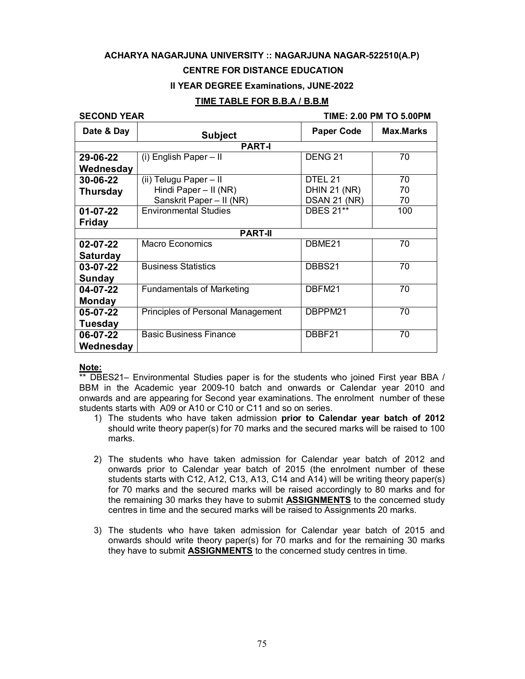## **ACHARYA NAGARJUNA UNIVERSITY :: NAGARJUNA NAGAR-522510(A.P)**

# **CENTRE FOR DISTANCE EDUCATION**

#### **II YEAR DEGREE Examinations, JUNE-2022**

# **TIME TABLE FOR B.B.A / B.B.M**

**SECOND YEAR TIME: 2.00 PM TO 5.00PM** 

| Date & Day      | <b>Subject</b>                           | <b>Paper Code</b>   | Max.Marks |
|-----------------|------------------------------------------|---------------------|-----------|
|                 | <b>PART-I</b>                            |                     |           |
| 29-06-22        | $(i)$ English Paper – II                 | DENG <sub>21</sub>  | 70        |
| Wednesday       |                                          |                     |           |
| 30-06-22        | (ii) Telugu Paper - II                   | DTEL <sub>21</sub>  | 70        |
| <b>Thursday</b> | Hindi Paper - II (NR)                    | <b>DHIN 21 (NR)</b> | 70        |
|                 | Sanskrit Paper - II (NR)                 | DSAN 21 (NR)        | 70        |
| $01-07-22$      | <b>Environmental Studies</b>             | <b>DBES 21**</b>    | 100       |
| <b>Friday</b>   |                                          |                     |           |
|                 | <b>PART-II</b>                           |                     |           |
| $02 - 07 - 22$  | <b>Macro Economics</b>                   | DBME21              | 70        |
| <b>Saturday</b> |                                          |                     |           |
| 03-07-22        | <b>Business Statistics</b>               | DBBS21              | 70        |
| Sunday          |                                          |                     |           |
| 04-07-22        | <b>Fundamentals of Marketing</b>         | DBFM21              | 70        |
| <b>Monday</b>   |                                          |                     |           |
| 05-07-22        | <b>Principles of Personal Management</b> | DBPPM21             | 70        |
| <b>Tuesday</b>  |                                          |                     |           |
| 06-07-22        | <b>Basic Business Finance</b>            | DBBF21              | 70        |
| Wednesday       |                                          |                     |           |

# **Note:**

DBES21– Environmental Studies paper is for the students who joined First year BBA / BBM in the Academic year 2009-10 batch and onwards or Calendar year 2010 and onwards and are appearing for Second year examinations. The enrolment number of these students starts with A09 or A10 or C10 or C11 and so on series.

- 1) The students who have taken admission **prior to Calendar year batch of 2012** should write theory paper(s) for 70 marks and the secured marks will be raised to 100 marks.
- 2) The students who have taken admission for Calendar year batch of 2012 and onwards prior to Calendar year batch of 2015 (the enrolment number of these students starts with C12, A12, C13, A13, C14 and A14) will be writing theory paper(s) for 70 marks and the secured marks will be raised accordingly to 80 marks and for the remaining 30 marks they have to submit **ASSIGNMENTS** to the concerned study centres in time and the secured marks will be raised to Assignments 20 marks.
- 3) The students who have taken admission for Calendar year batch of 2015 and onwards should write theory paper(s) for 70 marks and for the remaining 30 marks they have to submit **ASSIGNMENTS** to the concerned study centres in time.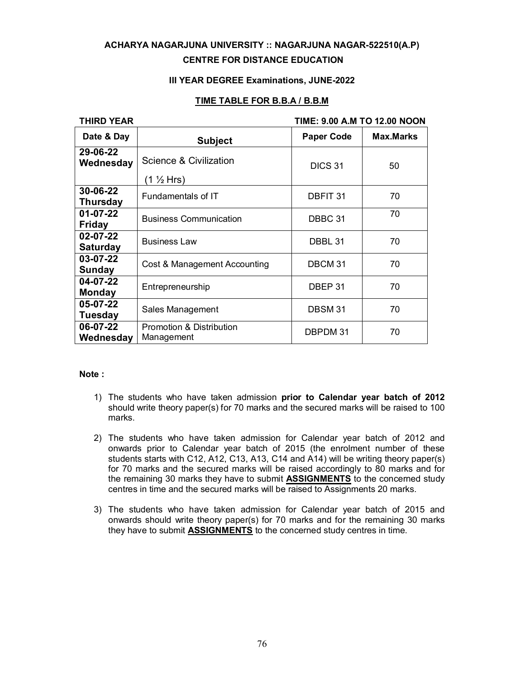# **III YEAR DEGREE Examinations, JUNE-2022**

# **TIME TABLE FOR B.B.A / B.B.M**

| THIRD YEAR                  |                                        | TIME: 9.00 A.M TO 12.00 NOON |                  |
|-----------------------------|----------------------------------------|------------------------------|------------------|
| Date & Day                  | <b>Subject</b>                         | <b>Paper Code</b>            | <b>Max.Marks</b> |
| 29-06-22<br>Wednesday       | Science & Civilization<br>(1 ½ Hrs)    | DICS <sub>31</sub>           | 50               |
| 30-06-22<br>Thursday        | Fundamentals of IT                     | <b>DBFIT 31</b>              | 70               |
| $01 - 07 - 22$<br>Friday    | <b>Business Communication</b>          | DBBC 31                      | 70               |
| 02-07-22<br><b>Saturday</b> | <b>Business Law</b>                    | DBBL 31                      | 70               |
| 03-07-22<br>Sunday          | Cost & Management Accounting           | DBCM 31                      | 70               |
| 04-07-22<br><b>Monday</b>   | Entrepreneurship                       | DBEP 31                      | 70               |
| 05-07-22<br>Tuesday         | Sales Management                       | DBSM 31                      | 70               |
| 06-07-22<br>Wednesday       | Promotion & Distribution<br>Management | DBPDM 31                     | 70               |

# **Note :**

- 1) The students who have taken admission **prior to Calendar year batch of 2012** should write theory paper(s) for 70 marks and the secured marks will be raised to 100 marks.
- 2) The students who have taken admission for Calendar year batch of 2012 and onwards prior to Calendar year batch of 2015 (the enrolment number of these students starts with C12, A12, C13, A13, C14 and A14) will be writing theory paper(s) for 70 marks and the secured marks will be raised accordingly to 80 marks and for the remaining 30 marks they have to submit **ASSIGNMENTS** to the concerned study centres in time and the secured marks will be raised to Assignments 20 marks.
- 3) The students who have taken admission for Calendar year batch of 2015 and onwards should write theory paper(s) for 70 marks and for the remaining 30 marks they have to submit **ASSIGNMENTS** to the concerned study centres in time.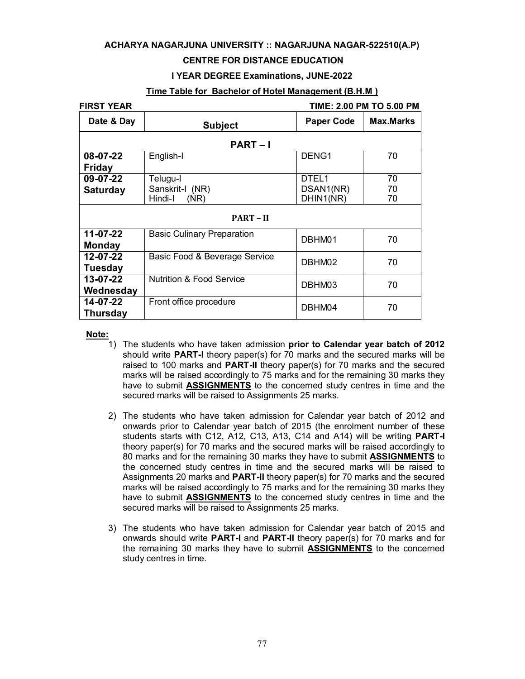#### **ACHARYA NAGARJUNA UNIVERSITY :: NAGARJUNA NAGAR-522510(A.P)**

### **CENTRE FOR DISTANCE EDUCATION**

#### **I YEAR DEGREE Examinations, JUNE-2022**

#### **Time Table for Bachelor of Hotel Management (B.H.M )**

| <b>FIRST YEAR</b>           | TIME: 2.00 PM TO 5.00 PM                       |                                             |                |
|-----------------------------|------------------------------------------------|---------------------------------------------|----------------|
| Date & Day                  | <b>Subject</b>                                 | <b>Paper Code</b>                           | Max.Marks      |
|                             | $PART - I$                                     |                                             |                |
| 08-07-22<br>Friday          | English-I                                      | DENG <sub>1</sub>                           | 70             |
| 09-07-22<br><b>Saturday</b> | Telugu-l<br>Sanskrit-I (NR)<br>Hindi-l<br>(NR) | DTEL <sub>1</sub><br>DSAN1(NR)<br>DHIN1(NR) | 70<br>70<br>70 |
|                             | <b>PART-II</b>                                 |                                             |                |
| 11-07-22<br><b>Monday</b>   | <b>Basic Culinary Preparation</b>              | DBHM01                                      | 70             |
| 12-07-22<br>Tuesday         | Basic Food & Beverage Service                  | DBHM02                                      | 70             |
| 13-07-22<br>Wednesday       | <b>Nutrition &amp; Food Service</b>            | DBHM03                                      | 70             |
| 14-07-22<br>Thursday        | Front office procedure                         | DBHM04                                      | 70             |

#### **Note:**

- 1) The students who have taken admission **prior to Calendar year batch of 2012** should write **PART-I** theory paper(s) for 70 marks and the secured marks will be raised to 100 marks and **PART-II** theory paper(s) for 70 marks and the secured marks will be raised accordingly to 75 marks and for the remaining 30 marks they have to submit **ASSIGNMENTS** to the concerned study centres in time and the secured marks will be raised to Assignments 25 marks.
- 2) The students who have taken admission for Calendar year batch of 2012 and onwards prior to Calendar year batch of 2015 (the enrolment number of these students starts with C12, A12, C13, A13, C14 and A14) will be writing **PART-I** theory paper(s) for 70 marks and the secured marks will be raised accordingly to 80 marks and for the remaining 30 marks they have to submit **ASSIGNMENTS** to the concerned study centres in time and the secured marks will be raised to Assignments 20 marks and **PART-II** theory paper(s) for 70 marks and the secured marks will be raised accordingly to 75 marks and for the remaining 30 marks they have to submit **ASSIGNMENTS** to the concerned study centres in time and the secured marks will be raised to Assignments 25 marks.
- 3) The students who have taken admission for Calendar year batch of 2015 and onwards should write **PART-I** and **PART-II** theory paper(s) for 70 marks and for the remaining 30 marks they have to submit **ASSIGNMENTS** to the concerned study centres in time.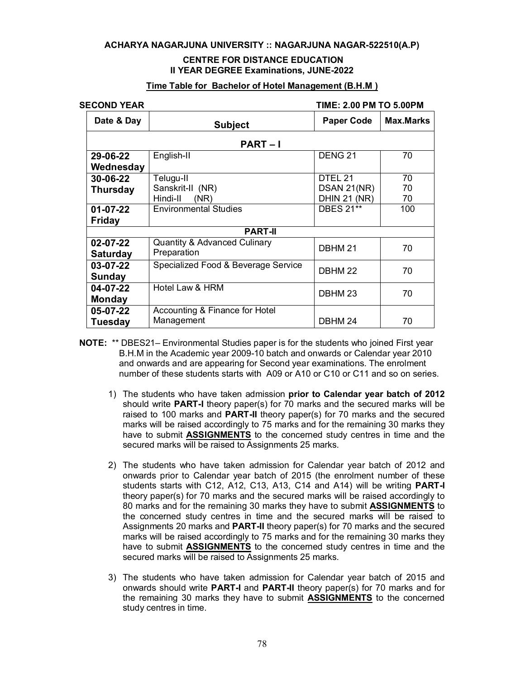#### **ACHARYA NAGARJUNA UNIVERSITY :: NAGARJUNA NAGAR-522510(A.P)**

#### **CENTRE FOR DISTANCE EDUCATION II YEAR DEGREE Examinations, JUNE-2022**

#### **Time Table for Bachelor of Hotel Management (B.H.M )**

**SECOND YEAR TIME: 2.00 PM TO 5.00PM**

| Date & Day      | <b>Subject</b>                      | <b>Paper Code</b>   | <b>Max.Marks</b> |
|-----------------|-------------------------------------|---------------------|------------------|
|                 | <b>PART-I</b>                       |                     |                  |
| 29-06-22        | English-II                          | DENG <sub>21</sub>  | 70               |
| Wednesday       |                                     |                     |                  |
| 30-06-22        | Telugu-II                           | DTEL 21             | 70               |
| <b>Thursday</b> | Sanskrit-II (NR)                    | DSAN 21(NR)         | 70               |
|                 | Hindi-II<br>(NR)                    | <b>DHIN 21 (NR)</b> | 70               |
| 01-07-22        | <b>Environmental Studies</b>        | <b>DBES 21**</b>    | 100              |
| <b>Friday</b>   |                                     |                     |                  |
|                 | <b>PART-II</b>                      |                     |                  |
| 02-07-22        | Quantity & Advanced Culinary        | DBHM <sub>21</sub>  | 70               |
| <b>Saturday</b> | Preparation                         |                     |                  |
| 03-07-22        | Specialized Food & Beverage Service | DBHM 22             | 70               |
| <b>Sunday</b>   |                                     |                     |                  |
| 04-07-22        | Hotel Law & HRM                     |                     |                  |
| <b>Monday</b>   |                                     | DBHM 23             | 70               |
| 05-07-22        | Accounting & Finance for Hotel      |                     |                  |
| <b>Tuesday</b>  | Management                          | DBHM 24             | 70               |

- **NOTE:** \*\* DBES21– Environmental Studies paper is for the students who joined First year B.H.M in the Academic year 2009-10 batch and onwards or Calendar year 2010 and onwards and are appearing for Second year examinations. The enrolment number of these students starts with A09 or A10 or C10 or C11 and so on series.
	- 1) The students who have taken admission **prior to Calendar year batch of 2012** should write **PART-I** theory paper(s) for 70 marks and the secured marks will be raised to 100 marks and **PART-II** theory paper(s) for 70 marks and the secured marks will be raised accordingly to 75 marks and for the remaining 30 marks they have to submit **ASSIGNMENTS** to the concerned study centres in time and the secured marks will be raised to Assignments 25 marks.
	- 2) The students who have taken admission for Calendar year batch of 2012 and onwards prior to Calendar year batch of 2015 (the enrolment number of these students starts with C12, A12, C13, A13, C14 and A14) will be writing **PART-I** theory paper(s) for 70 marks and the secured marks will be raised accordingly to 80 marks and for the remaining 30 marks they have to submit **ASSIGNMENTS** to the concerned study centres in time and the secured marks will be raised to Assignments 20 marks and **PART-II** theory paper(s) for 70 marks and the secured marks will be raised accordingly to 75 marks and for the remaining 30 marks they have to submit **ASSIGNMENTS** to the concerned study centres in time and the secured marks will be raised to Assignments 25 marks.
	- 3) The students who have taken admission for Calendar year batch of 2015 and onwards should write **PART-I** and **PART-II** theory paper(s) for 70 marks and for the remaining 30 marks they have to submit **ASSIGNMENTS** to the concerned study centres in time.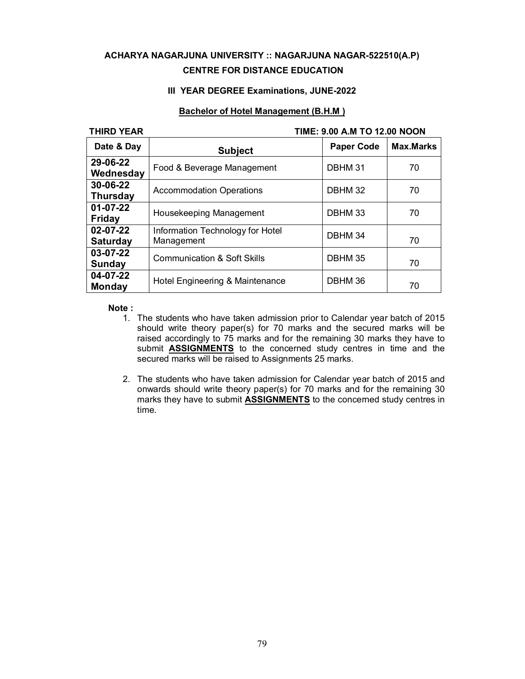### **III YEAR DEGREE Examinations, JUNE-2022**

#### **Bachelor of Hotel Management (B.H.M )**

| <b>THIRD YEAR</b>           | TIME: 9.00 A.M TO 12.00 NOON                   |                   |                  |
|-----------------------------|------------------------------------------------|-------------------|------------------|
| Date & Day                  | <b>Subject</b>                                 | <b>Paper Code</b> | <b>Max.Marks</b> |
| 29-06-22<br>Wednesday       | Food & Beverage Management                     | DBHM 31           | 70               |
| 30-06-22<br><b>Thursday</b> | <b>Accommodation Operations</b>                | DBHM 32           | 70               |
| 01-07-22<br><b>Friday</b>   | Housekeeping Management                        | DBHM 33           | 70               |
| 02-07-22<br><b>Saturday</b> | Information Technology for Hotel<br>Management | DBHM 34           | 70               |
| 03-07-22<br>Sunday          | <b>Communication &amp; Soft Skills</b>         | DBHM 35           | 70               |
| 04-07-22<br><b>Monday</b>   | Hotel Engineering & Maintenance                | DBHM 36           | 70               |

#### **Note :**

- 1. The students who have taken admission prior to Calendar year batch of 2015 should write theory paper(s) for 70 marks and the secured marks will be raised accordingly to 75 marks and for the remaining 30 marks they have to submit **ASSIGNMENTS** to the concerned study centres in time and the secured marks will be raised to Assignments 25 marks.
- 2. The students who have taken admission for Calendar year batch of 2015 and onwards should write theory paper(s) for 70 marks and for the remaining 30 marks they have to submit **ASSIGNMENTS** to the concerned study centres in time.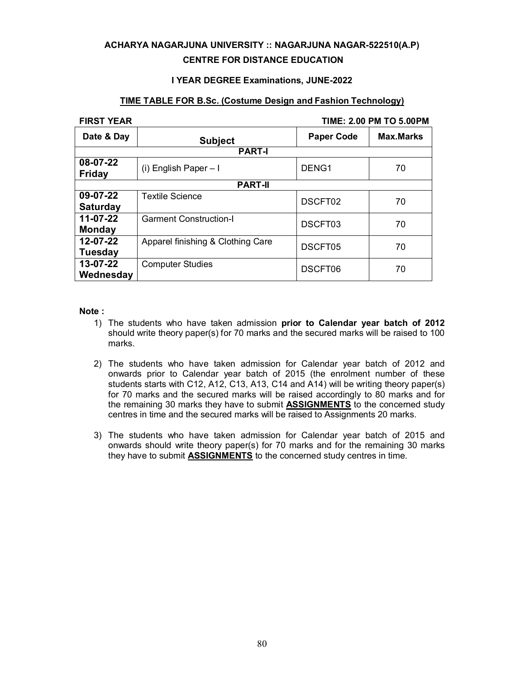# **I YEAR DEGREE Examinations, JUNE-2022**

# **TIME TABLE FOR B.Sc. (Costume Design and Fashion Technology)**

| <b>FIRST YEAR</b>                       | <b>TIME: 2.00 PM TO 5.00PM</b>    |                   |                  |
|-----------------------------------------|-----------------------------------|-------------------|------------------|
| Date & Day                              | <b>Subject</b>                    | <b>Paper Code</b> | <b>Max.Marks</b> |
|                                         | <b>PART-I</b>                     |                   |                  |
| 08-07-22<br><b>Friday</b>               | $(i)$ English Paper $-1$          | DENG1             | 70               |
|                                         | <b>PART-II</b>                    |                   |                  |
| 09-07-22<br><b>Saturday</b>             | <b>Textile Science</b>            | DSCFT02           | 70               |
| 11-07-22                                | <b>Garment Construction-I</b>     | DSCFT03           | 70               |
| <b>Monday</b><br>12-07-22               | Apparel finishing & Clothing Care | DSCFT05           | 70               |
| <b>Tuesday</b><br>13-07-22<br>Wednesday | <b>Computer Studies</b>           | DSCFT06           | 70               |

#### **Note :**

- 1) The students who have taken admission **prior to Calendar year batch of 2012** should write theory paper(s) for 70 marks and the secured marks will be raised to 100 marks.
- 2) The students who have taken admission for Calendar year batch of 2012 and onwards prior to Calendar year batch of 2015 (the enrolment number of these students starts with C12, A12, C13, A13, C14 and A14) will be writing theory paper(s) for 70 marks and the secured marks will be raised accordingly to 80 marks and for the remaining 30 marks they have to submit **ASSIGNMENTS** to the concerned study centres in time and the secured marks will be raised to Assignments 20 marks.
- 3) The students who have taken admission for Calendar year batch of 2015 and onwards should write theory paper(s) for 70 marks and for the remaining 30 marks they have to submit **ASSIGNMENTS** to the concerned study centres in time.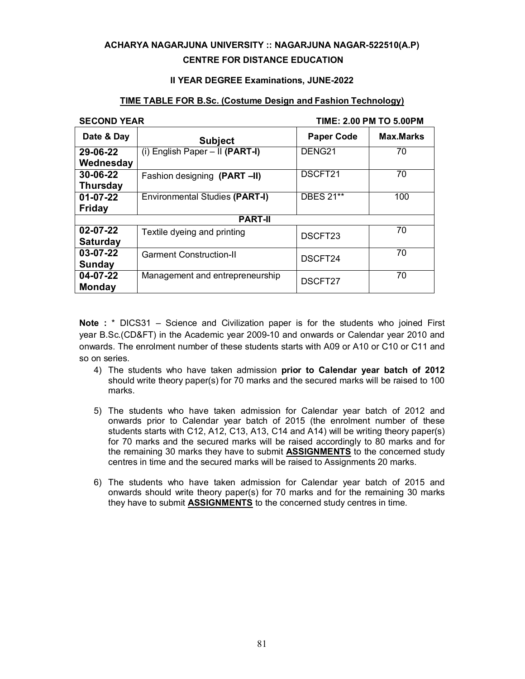# **II YEAR DEGREE Examinations, JUNE-2022**

# **TIME TABLE FOR B.Sc. (Costume Design and Fashion Technology)**

| <b>SECOND YEAR</b> |                                       |                   | TIME: 2.00 PM TO 5.00PM |
|--------------------|---------------------------------------|-------------------|-------------------------|
| Date & Day         | <b>Subject</b>                        | <b>Paper Code</b> | <b>Max.Marks</b>        |
| 29-06-22           | (i) English Paper $-$ II (PART-I)     | DENG21            | 70                      |
| Wednesday          |                                       |                   |                         |
| 30-06-22           | Fashion designing (PART -II)          | DSCFT21           | 70                      |
| <b>Thursday</b>    |                                       |                   |                         |
| $01 - 07 - 22$     | <b>Environmental Studies (PART-I)</b> | <b>DBES 21**</b>  | 100                     |
| <b>Friday</b>      |                                       |                   |                         |
|                    | <b>PART-II</b>                        |                   |                         |
| 02-07-22           | Textile dyeing and printing           | DSCFT23           | 70                      |
| <b>Saturday</b>    |                                       |                   |                         |
| 03-07-22           | <b>Garment Construction-II</b>        | DSCFT24           | 70                      |
| Sunday             |                                       |                   |                         |
| 04-07-22           | Management and entrepreneurship       | DSCFT27           | 70                      |
| <b>Monday</b>      |                                       |                   |                         |

**Note :** \* DICS31 – Science and Civilization paper is for the students who joined First year B.Sc.(CD&FT) in the Academic year 2009-10 and onwards or Calendar year 2010 and onwards. The enrolment number of these students starts with A09 or A10 or C10 or C11 and so on series.

- 4) The students who have taken admission **prior to Calendar year batch of 2012** should write theory paper(s) for 70 marks and the secured marks will be raised to 100 marks.
- 5) The students who have taken admission for Calendar year batch of 2012 and onwards prior to Calendar year batch of 2015 (the enrolment number of these students starts with C12, A12, C13, A13, C14 and A14) will be writing theory paper(s) for 70 marks and the secured marks will be raised accordingly to 80 marks and for the remaining 30 marks they have to submit **ASSIGNMENTS** to the concerned study centres in time and the secured marks will be raised to Assignments 20 marks.
- 6) The students who have taken admission for Calendar year batch of 2015 and onwards should write theory paper(s) for 70 marks and for the remaining 30 marks they have to submit **ASSIGNMENTS** to the concerned study centres in time.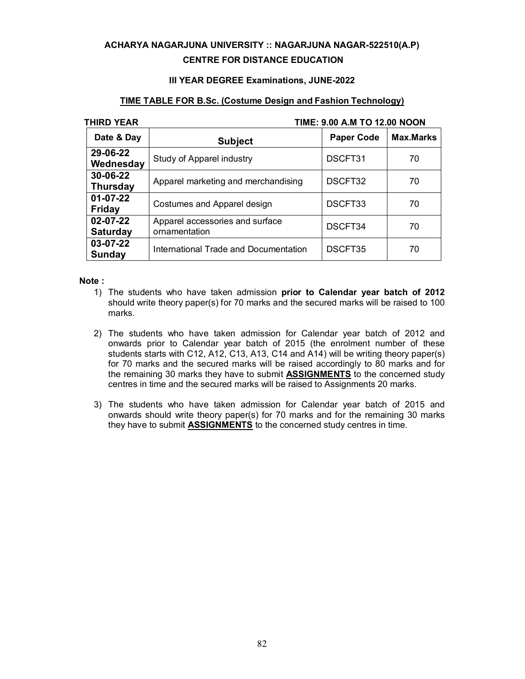# **III YEAR DEGREE Examinations, JUNE-2022**

# **TIME TABLE FOR B.Sc. (Costume Design and Fashion Technology)**

#### **THIRD YEAR TIME: 9.00 A.M TO 12.00 NOON**

| Date & Day                  | <b>Subject</b>                                   | <b>Paper Code</b> | Max.Marks |
|-----------------------------|--------------------------------------------------|-------------------|-----------|
| 29-06-22<br>Wednesday       | Study of Apparel industry                        | DSCFT31           | 70        |
| 30-06-22<br><b>Thursday</b> | Apparel marketing and merchandising              | DSCFT32           | 70        |
| 01-07-22<br><b>Friday</b>   | Costumes and Apparel design                      | DSCFT33           | 70        |
| 02-07-22<br><b>Saturday</b> | Apparel accessories and surface<br>ornamentation | DSCFT34           | 70        |
| 03-07-22<br><b>Sunday</b>   | International Trade and Documentation            | DSCFT35           | 70        |

#### **Note :**

- 1) The students who have taken admission **prior to Calendar year batch of 2012** should write theory paper(s) for 70 marks and the secured marks will be raised to 100 marks.
- 2) The students who have taken admission for Calendar year batch of 2012 and onwards prior to Calendar year batch of 2015 (the enrolment number of these students starts with C12, A12, C13, A13, C14 and A14) will be writing theory paper(s) for 70 marks and the secured marks will be raised accordingly to 80 marks and for the remaining 30 marks they have to submit **ASSIGNMENTS** to the concerned study centres in time and the secured marks will be raised to Assignments 20 marks.
- 3) The students who have taken admission for Calendar year batch of 2015 and onwards should write theory paper(s) for 70 marks and for the remaining 30 marks they have to submit **ASSIGNMENTS** to the concerned study centres in time.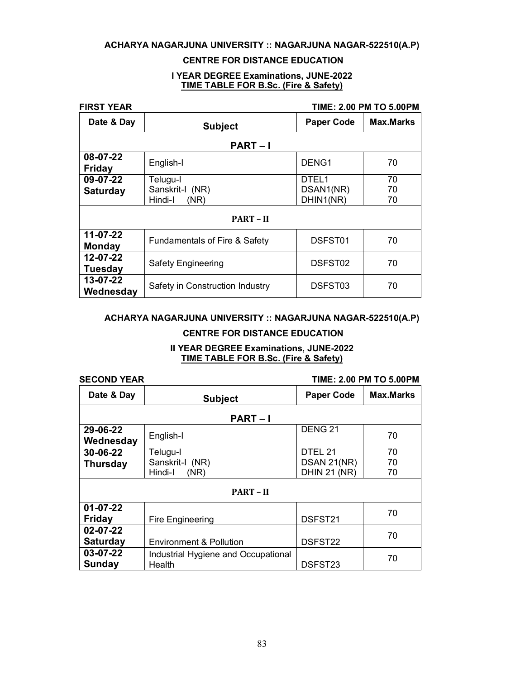### **ACHARYA NAGARJUNA UNIVERSITY :: NAGARJUNA NAGAR-522510(A.P)**

# **CENTRE FOR DISTANCE EDUCATION**

#### **I YEAR DEGREE Examinations, JUNE-2022 TIME TABLE FOR B.Sc. (Fire & Safety)**

| <b>FIRST YEAR</b>           | TIME: 2.00 PM TO 5.00PM                        |                                 |                |
|-----------------------------|------------------------------------------------|---------------------------------|----------------|
| Date & Day                  | <b>Subject</b>                                 | <b>Paper Code</b>               | Max.Marks      |
|                             | <b>PART-I</b>                                  |                                 |                |
| 08-07-22<br><b>Friday</b>   | English-I                                      | DENG <sub>1</sub>               | 70             |
| 09-07-22<br><b>Saturday</b> | Telugu-l<br>Sanskrit-I (NR)<br>Hindi-l<br>(NR) | DTEL1<br>DSAN1(NR)<br>DHIN1(NR) | 70<br>70<br>70 |
|                             | <b>PART-II</b>                                 |                                 |                |
| 11-07-22<br><b>Monday</b>   | Fundamentals of Fire & Safety                  | DSFST01                         | 70             |
| 12-07-22<br><b>Tuesday</b>  | <b>Safety Engineering</b>                      | DSFST02                         | 70             |
| 13-07-22<br>Wednesday       | Safety in Construction Industry                | DSFST03                         | 70             |

#### **ACHARYA NAGARJUNA UNIVERSITY :: NAGARJUNA NAGAR-522510(A.P)**

### **CENTRE FOR DISTANCE EDUCATION**

# **II YEAR DEGREE Examinations, JUNE-2022 TIME TABLE FOR B.Sc. (Fire & Safety)**

| <b>SECOND YEAR</b>          |                                                |                                               | <b>TIME: 2.00 PM TO 5.00PM</b> |
|-----------------------------|------------------------------------------------|-----------------------------------------------|--------------------------------|
| Date & Day                  | <b>Subject</b>                                 | <b>Paper Code</b>                             | <b>Max.Marks</b>               |
|                             | $PART - I$                                     |                                               |                                |
| 29-06-22<br>Wednesday       | English-I                                      | DENG <sub>21</sub>                            | 70                             |
| 30-06-22<br><b>Thursday</b> | Telugu-l<br>Sanskrit-I (NR)<br>Hindi-l<br>(NR) | DTEL 21<br>DSAN 21(NR)<br><b>DHIN 21 (NR)</b> | 70<br>70<br>70                 |
|                             | <b>PART - II</b>                               |                                               |                                |
| $01 - 07 - 22$<br>Friday    | Fire Engineering                               | DSFST21                                       | 70                             |
| 02-07-22<br><b>Saturday</b> | Environment & Pollution                        | DSFST22                                       | 70                             |
| 03-07-22<br><b>Sunday</b>   | Industrial Hygiene and Occupational<br>Health  | DSFST23                                       | 70                             |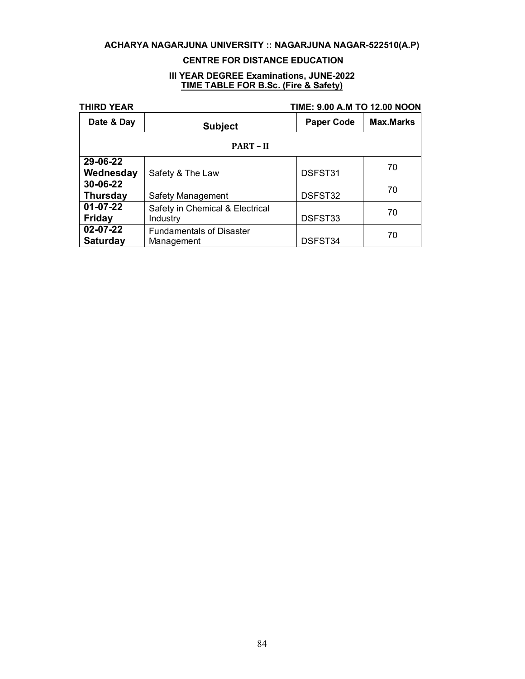# **ACHARYA NAGARJUNA UNIVERSITY :: NAGARJUNA NAGAR-522510(A.P)**

# **CENTRE FOR DISTANCE EDUCATION**

#### **III YEAR DEGREE Examinations, JUNE-2022 TIME TABLE FOR B.Sc. (Fire & Safety)**

| <b>THIRD YEAR</b> | TIME: 9.00 A.M TO 12.00 NOON    |                   |                  |
|-------------------|---------------------------------|-------------------|------------------|
| Date & Day        | <b>Subject</b>                  | <b>Paper Code</b> | <b>Max.Marks</b> |
|                   | <b>PART-II</b>                  |                   |                  |
| 29-06-22          |                                 |                   | 70               |
| Wednesday         | Safety & The Law                | DSFST31           |                  |
| 30-06-22          |                                 |                   | 70               |
| <b>Thursday</b>   | Safety Management               | DSFST32           |                  |
| $01 - 07 - 22$    | Safety in Chemical & Electrical |                   | 70               |
| <b>Friday</b>     | Industry                        | DSFST33           |                  |
| 02-07-22          | <b>Fundamentals of Disaster</b> |                   | 70               |
| <b>Saturday</b>   | Management                      | DSFST34           |                  |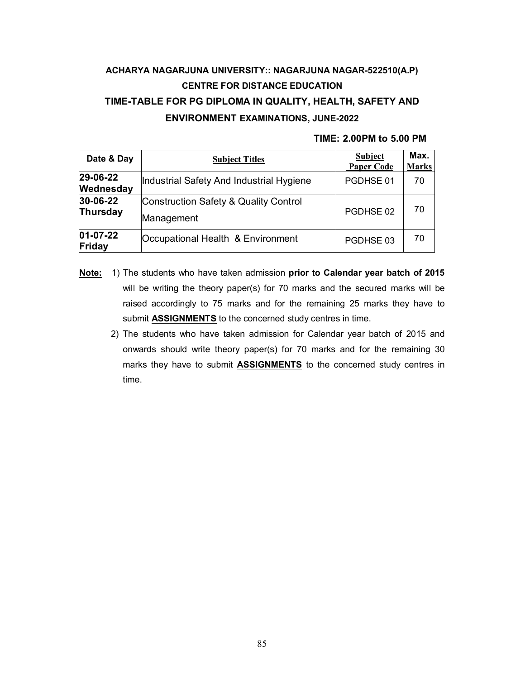# **ACHARYA NAGARJUNA UNIVERSITY:: NAGARJUNA NAGAR-522510(A.P) CENTRE FOR DISTANCE EDUCATION TIME-TABLE FOR PG DIPLOMA IN QUALITY, HEALTH, SAFETY AND ENVIRONMENT EXAMINATIONS, JUNE-2022**

# **TIME: 2.00PM to 5.00 PM**

| Date & Day             | <b>Subject Titles</b>                               | <b>Subject</b><br><b>Paper Code</b> | Max.<br><b>Marks</b> |
|------------------------|-----------------------------------------------------|-------------------------------------|----------------------|
| 29-06-22<br>Wednesday  | Industrial Safety And Industrial Hygiene            | PGDHSE 01                           | 70                   |
| 30-06-22<br>Thursday   | Construction Safety & Quality Control<br>Management | PGDHSE 02                           | 70                   |
| $ 01-07-22 $<br>Friday | Occupational Health & Environment                   | PGDHSE 03                           | 70                   |

- **Note:** 1) The students who have taken admission **prior to Calendar year batch of 2015**  will be writing the theory paper(s) for 70 marks and the secured marks will be raised accordingly to 75 marks and for the remaining 25 marks they have to submit **ASSIGNMENTS** to the concerned study centres in time.
	- 2) The students who have taken admission for Calendar year batch of 2015 and onwards should write theory paper(s) for 70 marks and for the remaining 30 marks they have to submit **ASSIGNMENTS** to the concerned study centres in time.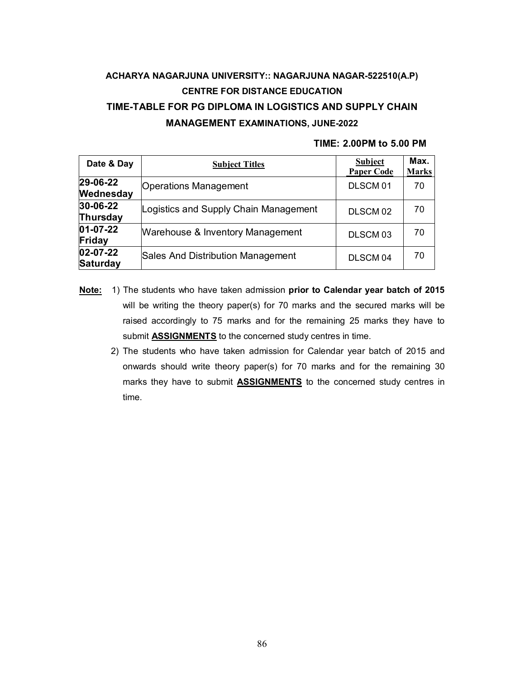# **ACHARYA NAGARJUNA UNIVERSITY:: NAGARJUNA NAGAR-522510(A.P) CENTRE FOR DISTANCE EDUCATION TIME-TABLE FOR PG DIPLOMA IN LOGISTICS AND SUPPLY CHAIN MANAGEMENT EXAMINATIONS, JUNE-2022**

#### **TIME: 2.00PM to 5.00 PM**

| Date & Day                          | <b>Subject Titles</b>                 | <b>Subject</b><br><b>Paper Code</b> | Max.<br><b>Marks</b> |
|-------------------------------------|---------------------------------------|-------------------------------------|----------------------|
| 29-06-22<br>Wednesday               | <b>Operations Management</b>          | DLSCM <sub>01</sub>                 | 70                   |
| 30-06-22<br>Thursday                | Logistics and Supply Chain Management | DLSCM <sub>02</sub>                 | 70                   |
| $ 01-07-22 $<br>Friday              | Warehouse & Inventory Management      | DLSCM <sub>03</sub>                 | 70                   |
| $ 02 - 07 - 22 $<br><b>Saturday</b> | Sales And Distribution Management     | DLSCM 04                            | 70                   |

- **Note:** 1) The students who have taken admission **prior to Calendar year batch of 2015**  will be writing the theory paper(s) for 70 marks and the secured marks will be raised accordingly to 75 marks and for the remaining 25 marks they have to submit **ASSIGNMENTS** to the concerned study centres in time.
	- 2) The students who have taken admission for Calendar year batch of 2015 and onwards should write theory paper(s) for 70 marks and for the remaining 30 marks they have to submit **ASSIGNMENTS** to the concerned study centres in time.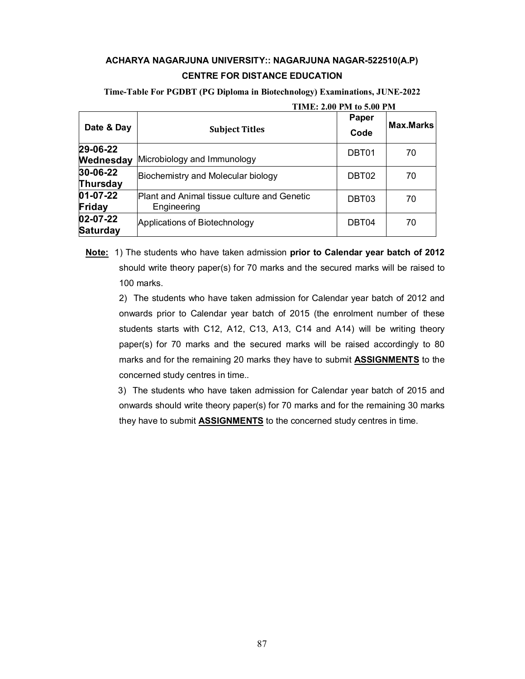**Time-Table For PGDBT (PG Diploma in Biotechnology) Examinations, JUNE-2022** 

| Date & Day                        | <b>Subject Titles</b>                                      | Paper<br>Code | Max.Marks |
|-----------------------------------|------------------------------------------------------------|---------------|-----------|
| 29-06-22<br>Wednesday             | Microbiology and Immunology                                | DBT01         | 70        |
| 30-06-22<br><b>Thursday</b>       | Biochemistry and Molecular biology                         | DBT02         | 70        |
| $01 - 07 - 22$<br>Friday          | Plant and Animal tissue culture and Genetic<br>Engineering | DBT03         | 70        |
| $02 - 07 - 22$<br><b>Saturday</b> | Applications of Biotechnology                              | DBT04         | 70        |

 **TIME: 2.00 PM to 5.00 PM** 

 **Note:** 1) The students who have taken admission **prior to Calendar year batch of 2012** should write theory paper(s) for 70 marks and the secured marks will be raised to 100 marks.

2) The students who have taken admission for Calendar year batch of 2012 and onwards prior to Calendar year batch of 2015 (the enrolment number of these students starts with C12, A12, C13, A13, C14 and A14) will be writing theory paper(s) for 70 marks and the secured marks will be raised accordingly to 80 marks and for the remaining 20 marks they have to submit **ASSIGNMENTS** to the concerned study centres in time..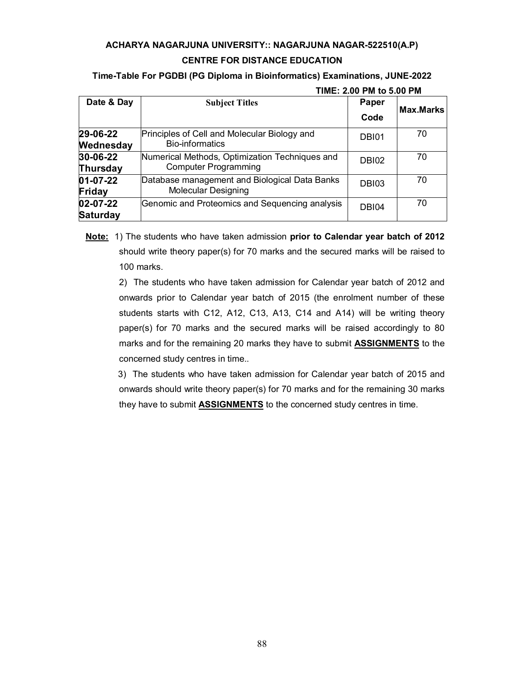**Time-Table For PGDBI (PG Diploma in Bioinformatics) Examinations, JUNE-2022** 

| Date & Day                          | <b>Subject Titles</b>                                                         | <b>Paper</b><br>Code | Max.Marks |
|-------------------------------------|-------------------------------------------------------------------------------|----------------------|-----------|
| 29-06-22<br>Wednesday               | Principles of Cell and Molecular Biology and<br><b>Bio-informatics</b>        | DBI01                | 70        |
| 30-06-22<br><b>Thursday</b>         | Numerical Methods, Optimization Techniques and<br><b>Computer Programming</b> | DBI02                | 70        |
| $01 - 07 - 22$<br>Friday            | Database management and Biological Data Banks<br><b>Molecular Designing</b>   | DBI03                | 70        |
| $ 02 - 07 - 22 $<br><b>Saturday</b> | Genomic and Proteomics and Sequencing analysis                                | DBI04                | 70        |

 **TIME: 2.00 PM to 5.00 PM**

 **Note:** 1) The students who have taken admission **prior to Calendar year batch of 2012** should write theory paper(s) for 70 marks and the secured marks will be raised to 100 marks.

2) The students who have taken admission for Calendar year batch of 2012 and onwards prior to Calendar year batch of 2015 (the enrolment number of these students starts with C12, A12, C13, A13, C14 and A14) will be writing theory paper(s) for 70 marks and the secured marks will be raised accordingly to 80 marks and for the remaining 20 marks they have to submit **ASSIGNMENTS** to the concerned study centres in time..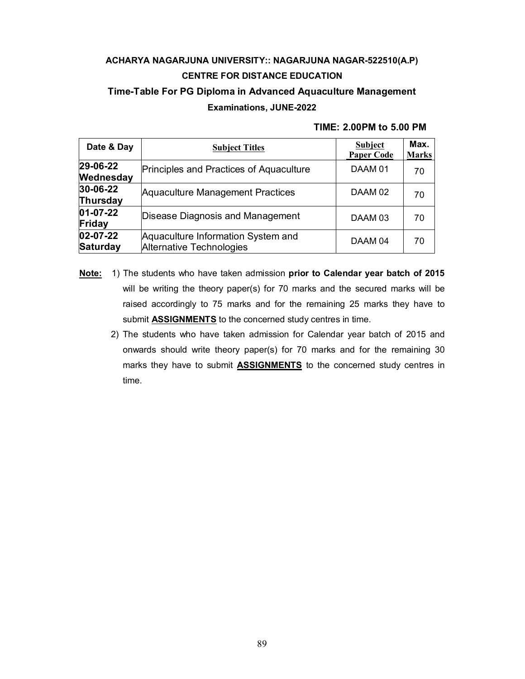# **ACHARYA NAGARJUNA UNIVERSITY:: NAGARJUNA NAGAR-522510(A.P) CENTRE FOR DISTANCE EDUCATION Time-Table For PG Diploma in Advanced Aquaculture Management Examinations, JUNE-2022**

# **TIME: 2.00PM to 5.00 PM**

| Date & Day                      | <b>Subject Titles</b>                                          | <b>Subject</b><br><b>Paper Code</b> | Max.<br><b>Marks</b> |
|---------------------------------|----------------------------------------------------------------|-------------------------------------|----------------------|
| 29-06-22<br>Wednesday           | Principles and Practices of Aquaculture                        | DAAM 01                             | 70                   |
| 30-06-22<br><b>Thursday</b>     | Aquaculture Management Practices                               | DAAM 02                             | 70                   |
| $01 - 07 - 22$<br><b>Friday</b> | Disease Diagnosis and Management                               | DAAM 03                             | 70                   |
| 02-07-22<br><b>Saturday</b>     | Aquaculture Information System and<br>Alternative Technologies | DAAM 04                             | 70                   |

- **Note:** 1) The students who have taken admission **prior to Calendar year batch of 2015**  will be writing the theory paper(s) for 70 marks and the secured marks will be raised accordingly to 75 marks and for the remaining 25 marks they have to submit **ASSIGNMENTS** to the concerned study centres in time.
	- 2) The students who have taken admission for Calendar year batch of 2015 and onwards should write theory paper(s) for 70 marks and for the remaining 30 marks they have to submit **ASSIGNMENTS** to the concerned study centres in time.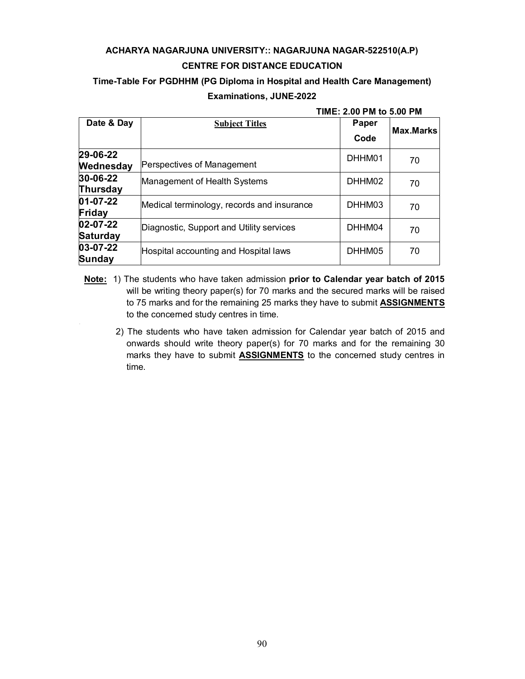# **ACHARYA NAGARJUNA UNIVERSITY:: NAGARJUNA NAGAR-522510(A.P)**

# **CENTRE FOR DISTANCE EDUCATION**

**Time-Table For PGDHHM (PG Diploma in Hospital and Health Care Management)** 

# **Examinations, JUNE-2022**

| Date & Day                  | <b>Subject Titles</b>                      | Paper  |           |
|-----------------------------|--------------------------------------------|--------|-----------|
|                             |                                            | Code   | Max.Marks |
| 29-06-22<br>Wednesday       | <b>Perspectives of Management</b>          | DHHM01 | 70        |
| 30-06-22<br><b>Thursday</b> | Management of Health Systems               | DHHM02 | 70        |
| $01 - 07 - 22$<br>Friday    | Medical terminology, records and insurance | DHHM03 | 70        |
| 02-07-22<br><b>Saturday</b> | Diagnostic, Support and Utility services   | DHHM04 | 70        |
| 03-07-22<br>Sunday          | Hospital accounting and Hospital laws      | DHHM05 | 70        |

#### **TIME: 2.00 PM to 5.00 PM**

**Note:** 1) The students who have taken admission **prior to Calendar year batch of 2015** will be writing theory paper(s) for 70 marks and the secured marks will be raised to 75 marks and for the remaining 25 marks they have to submit **ASSIGNMENTS** to the concerned study centres in time.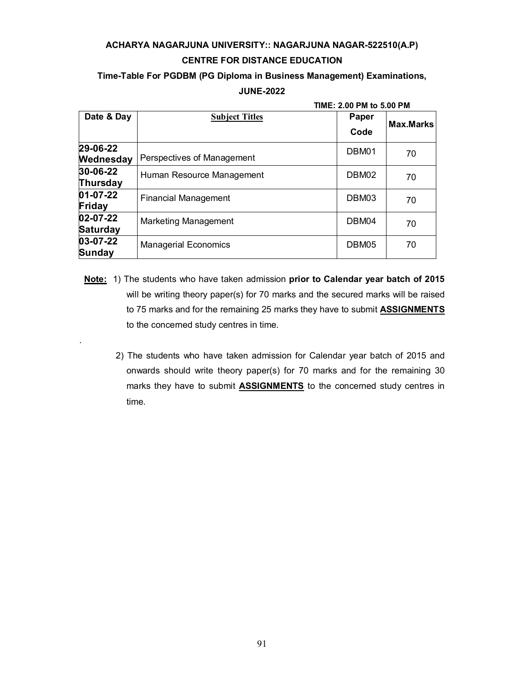# **Time-Table For PGDBM (PG Diploma in Business Management) Examinations,**

# **JUNE-2022**

|                                 | TIME: 2.00 PM to 5.00 PM    |               |           |  |
|---------------------------------|-----------------------------|---------------|-----------|--|
| Date & Day                      | <b>Subject Titles</b>       | Paper<br>Code | Max.Marks |  |
| 29-06-22<br>Wednesday           | Perspectives of Management  | DBM01         | 70        |  |
| 30-06-22<br><b>Thursday</b>     | Human Resource Management   | DBM02         | 70        |  |
| $01 - 07 - 22$<br><b>Friday</b> | <b>Financial Management</b> | DBM03         | 70        |  |
| 02-07-22<br><b>Saturday</b>     | <b>Marketing Management</b> | DBM04         | 70        |  |
| 03-07-22<br><b>Sunday</b>       | <b>Managerial Economics</b> | DBM05         | 70        |  |

**Note:** 1) The students who have taken admission **prior to Calendar year batch of 2015** will be writing theory paper(s) for 70 marks and the secured marks will be raised to 75 marks and for the remaining 25 marks they have to submit **ASSIGNMENTS** to the concerned study centres in time.

.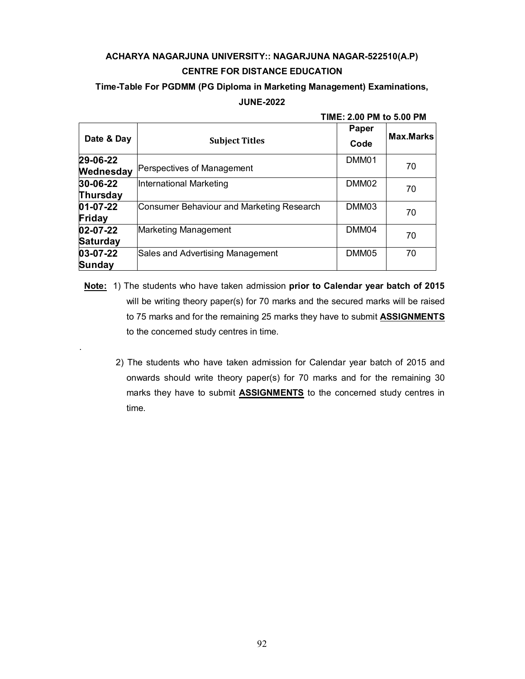**Time-Table For PGDMM (PG Diploma in Marketing Management) Examinations, JUNE-2022** 

| Date & Day                        | <b>Subject Titles</b>                     | Paper<br>Code     | <b>Max.Marks</b> |
|-----------------------------------|-------------------------------------------|-------------------|------------------|
| 29-06-22<br>Wednesday             | Perspectives of Management                | DMM <sub>01</sub> | 70               |
| 30-06-22                          | International Marketing                   | DMM <sub>02</sub> | 70               |
| <b>Thursday</b><br>$01 - 07 - 22$ | Consumer Behaviour and Marketing Research | DMM03             |                  |
| Friday                            |                                           |                   | 70               |
| $02 - 07 - 22$<br><b>Saturday</b> | Marketing Management                      | DMM04             | 70               |
| $03 - 07 - 22$<br>Sunday          | Sales and Advertising Management          | DMM05             | 70               |

 **TIME: 2.00 PM to 5.00 PM**

# **Note:** 1) The students who have taken admission **prior to Calendar year batch of 2015** will be writing theory paper(s) for 70 marks and the secured marks will be raised to 75 marks and for the remaining 25 marks they have to submit **ASSIGNMENTS** to the concerned study centres in time.

.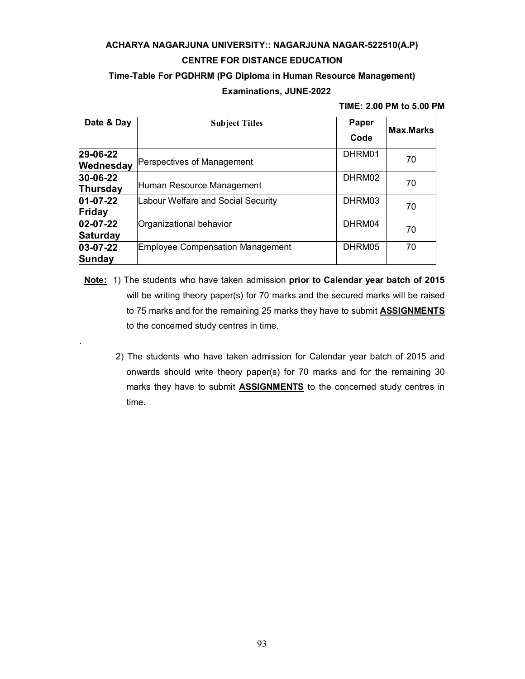### **Time-Table For PGDHRM (PG Diploma in Human Resource Management)**

# **Examinations, JUNE-2022**

#### **TIME: 2.00 PM to 5.00 PM**

| Date & Day                  | <b>Subject Titles</b>                   | Paper  |                  |
|-----------------------------|-----------------------------------------|--------|------------------|
|                             |                                         | Code   | <b>Max.Marks</b> |
| 29-06-22<br>Wednesday       | Perspectives of Management              | DHRM01 | 70               |
| 30-06-22<br><b>Thursday</b> | Human Resource Management               | DHRM02 | 70               |
| $01 - 07 - 22$<br>Friday    | Labour Welfare and Social Security      | DHRM03 | 70               |
| 02-07-22<br><b>Saturday</b> | Organizational behavior                 | DHRM04 | 70               |
| 03-07-22<br><b>Sunday</b>   | <b>Employee Compensation Management</b> | DHRM05 | 70               |

**Note:** 1) The students who have taken admission **prior to Calendar year batch of 2015** will be writing theory paper(s) for 70 marks and the secured marks will be raised to 75 marks and for the remaining 25 marks they have to submit **ASSIGNMENTS** to the concerned study centres in time.

.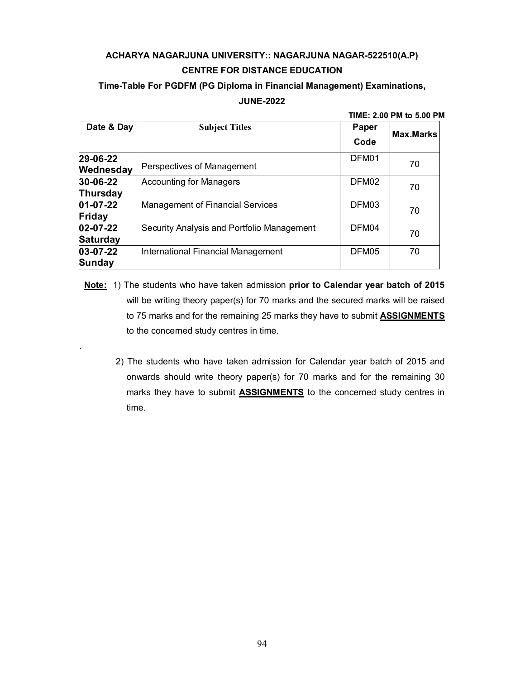**Time-Table For PGDFM (PG Diploma in Financial Management) Examinations, JUNE-2022** 

|                 |                                            |       | TIME: 2.00 PM to 5.00 PM |
|-----------------|--------------------------------------------|-------|--------------------------|
| Date & Day      | <b>Subject Titles</b>                      | Paper | <b>Max.Marks</b>         |
|                 |                                            | Code  |                          |
| 29-06-22        |                                            | DFM01 | 70                       |
| Wednesday       | Perspectives of Management                 |       |                          |
| 30-06-22        | <b>Accounting for Managers</b>             | DFM02 | 70                       |
| <b>Thursday</b> |                                            |       |                          |
| $01 - 07 - 22$  | Management of Financial Services           | DFM03 | 70                       |
| Friday          |                                            |       |                          |
| $02 - 07 - 22$  | Security Analysis and Portfolio Management | DFM04 | 70                       |
| <b>Saturday</b> |                                            |       |                          |
| $03-07-22$      | International Financial Management         | DFM05 | 70                       |
| Sunday          |                                            |       |                          |

**Note:** 1) The students who have taken admission **prior to Calendar year batch of 2015** will be writing theory paper(s) for 70 marks and the secured marks will be raised to 75 marks and for the remaining 25 marks they have to submit **ASSIGNMENTS** to the concerned study centres in time.

.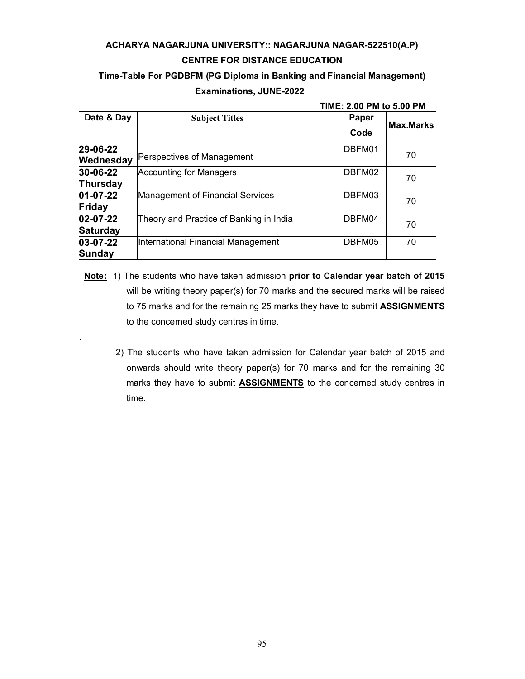# **Time-Table For PGDBFM (PG Diploma in Banking and Financial Management)**

### **Examinations, JUNE-2022**

|                  |                                           | TIME: 2.00 PM to 5.00 PM |           |
|------------------|-------------------------------------------|--------------------------|-----------|
| Date & Day       | <b>Subject Titles</b>                     | Paper                    | Max.Marks |
|                  |                                           | Code                     |           |
| 29-06-22         |                                           | DBFM01                   | 70        |
| Wednesday        | Perspectives of Management                |                          |           |
| 30-06-22         | <b>Accounting for Managers</b>            | DBFM02                   | 70        |
| <b>Thursday</b>  |                                           |                          |           |
| $01 - 07 - 22$   | Management of Financial Services          | DBFM03                   | 70        |
| Friday           |                                           |                          |           |
| $ 02 - 07 - 22 $ | Theory and Practice of Banking in India   | DBFM04                   | 70        |
| <b>Saturday</b>  |                                           |                          |           |
| $ 03-07-22 $     | <b>International Financial Management</b> | DBFM05                   | 70        |
| Sunday           |                                           |                          |           |

# **Note:** 1) The students who have taken admission **prior to Calendar year batch of 2015** will be writing theory paper(s) for 70 marks and the secured marks will be raised to 75 marks and for the remaining 25 marks they have to submit **ASSIGNMENTS** to the concerned study centres in time.

.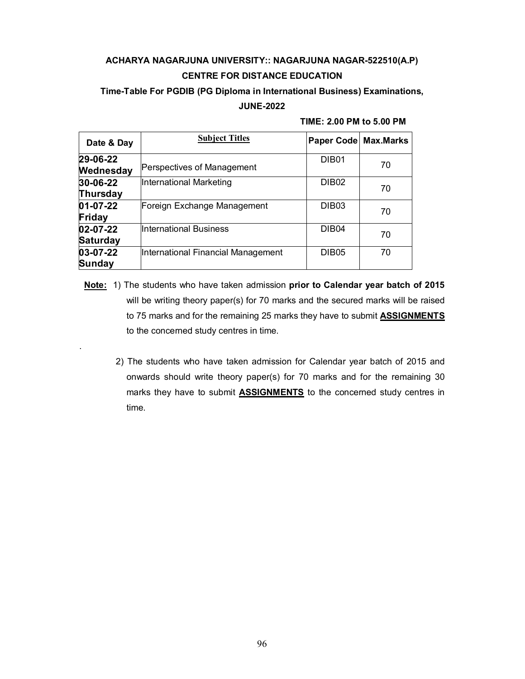**Time-Table For PGDIB (PG Diploma in International Business) Examinations, JUNE-2022** 

| Date & Day                      | <b>Subject Titles</b>              | <b>Paper Code   Max.Marks</b> |    |
|---------------------------------|------------------------------------|-------------------------------|----|
| 29-06-22<br>Wednesday           | Perspectives of Management         | DIB <sub>01</sub>             | 70 |
| 30-06-22<br>Thursday            | International Marketing            | DIB <sub>02</sub>             | 70 |
| $01 - 07 - 22$<br><b>Friday</b> | Foreign Exchange Management        | DIB <sub>03</sub>             | 70 |
| 02-07-22<br><b>Saturday</b>     | International Business             | DIB <sub>04</sub>             | 70 |
| 03-07-22<br>Sunday              | International Financial Management | DIB <sub>05</sub>             | 70 |

**Note:** 1) The students who have taken admission **prior to Calendar year batch of 2015** will be writing theory paper(s) for 70 marks and the secured marks will be raised to 75 marks and for the remaining 25 marks they have to submit **ASSIGNMENTS** to the concerned study centres in time.

.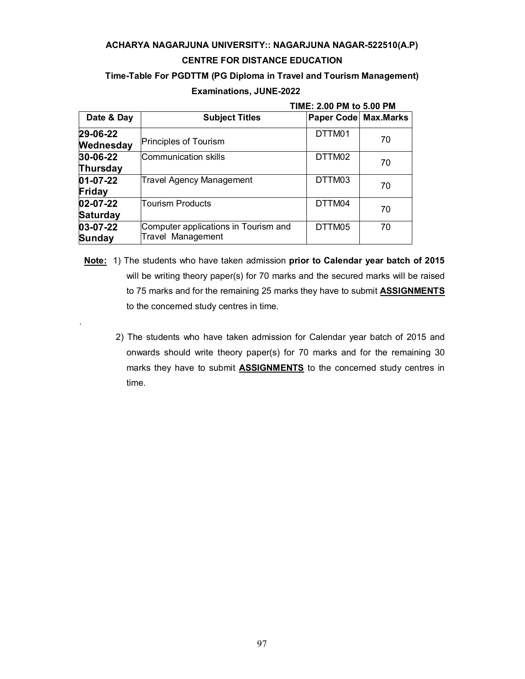# **Time-Table For PGDTTM (PG Diploma in Travel and Tourism Management)**

|                             |                                                           | TIME: 2.00 PM to 5.00 PM    |    |  |
|-----------------------------|-----------------------------------------------------------|-----------------------------|----|--|
| Date & Day                  | <b>Subject Titles</b>                                     | <b>Paper Code Max.Marks</b> |    |  |
| 29-06-22<br>Wednesday       | Principles of Tourism                                     | DTTM01                      | 70 |  |
| 30-06-22<br>Thursday        | Communication skills                                      | DTTM02                      | 70 |  |
| 01-07-22<br>Friday          | <b>Travel Agency Management</b>                           | DTTM03                      | 70 |  |
| 02-07-22<br><b>Saturday</b> | Tourism Products                                          | DTTM04                      | 70 |  |
| 03-07-22<br>Sunday          | Computer applications in Tourism and<br>Travel Management | DTTM05                      | 70 |  |

# **Examinations, JUNE-2022**

**Note:** 1) The students who have taken admission **prior to Calendar year batch of 2015** will be writing theory paper(s) for 70 marks and the secured marks will be raised to 75 marks and for the remaining 25 marks they have to submit **ASSIGNMENTS** to the concerned study centres in time.

.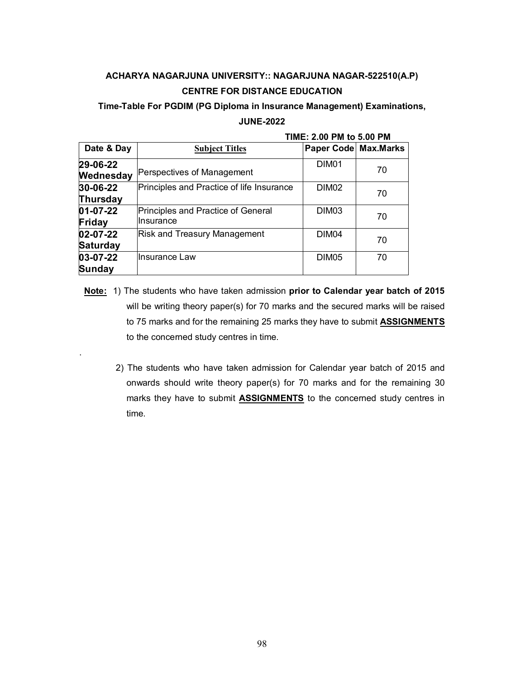**Time-Table For PGDIM (PG Diploma in Insurance Management) Examinations,** 

#### **JUNE-2022**

 **TIME: 2.00 PM to 5.00 PM** 

|                                 | $1101L.$ $2.00$ five to J.00 fm.                 |                             |    |  |
|---------------------------------|--------------------------------------------------|-----------------------------|----|--|
| Date & Day                      | <b>Subject Titles</b>                            | <b>Paper Code Max.Marks</b> |    |  |
| 29-06-22<br>Wednesday           | Perspectives of Management                       | DIM <sub>01</sub>           | 70 |  |
| 30-06-22<br><b>Thursday</b>     | Principles and Practice of life Insurance        | DIM <sub>02</sub>           | 70 |  |
| $01 - 07 - 22$<br><b>Friday</b> | Principles and Practice of General<br>llnsurance | DIM <sub>03</sub>           | 70 |  |
| 02-07-22<br><b>Saturday</b>     | <b>Risk and Treasury Management</b>              | DIM <sub>04</sub>           | 70 |  |
| 03-07-22<br>Sunday              | Insurance Law                                    | <b>DIM05</b>                | 70 |  |

.

**Note:** 1) The students who have taken admission **prior to Calendar year batch of 2015** will be writing theory paper(s) for 70 marks and the secured marks will be raised to 75 marks and for the remaining 25 marks they have to submit **ASSIGNMENTS** to the concerned study centres in time.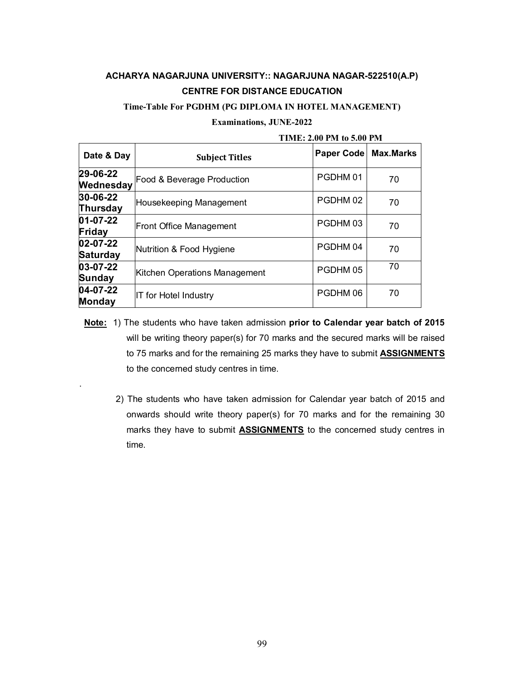**Time-Table For PGDHM (PG DIPLOMA IN HOTEL MANAGEMENT)** 

**Examinations, JUNE-2022** 

 **TIME: 2.00 PM to 5.00 PM** 

|                                 | 1 11/112. 2.00 1 1/1 to 3.00 1 1/1 |            |                  |  |
|---------------------------------|------------------------------------|------------|------------------|--|
| Date & Day                      | <b>Subject Titles</b>              | Paper Code | <b>Max.Marks</b> |  |
| 29-06-22<br>Wednesday           | Food & Beverage Production         | PGDHM 01   | 70               |  |
| 30-06-22<br>Thursday            | Housekeeping Management            | PGDHM 02   | 70               |  |
| $01 - 07 - 22$<br>Friday        | Front Office Management            | PGDHM 03   | 70               |  |
| 02-07-22<br><b>Saturday</b>     | Nutrition & Food Hygiene           | PGDHM 04   | 70               |  |
| 03-07-22<br>Sunday              | Kitchen Operations Management      | PGDHM 05   | 70               |  |
| $04 - 07 - 22$<br><b>Monday</b> | IT for Hotel Industry              | PGDHM 06   | 70               |  |

**Note:** 1) The students who have taken admission **prior to Calendar year batch of 2015** will be writing theory paper(s) for 70 marks and the secured marks will be raised to 75 marks and for the remaining 25 marks they have to submit **ASSIGNMENTS**

to the concerned study centres in time.

.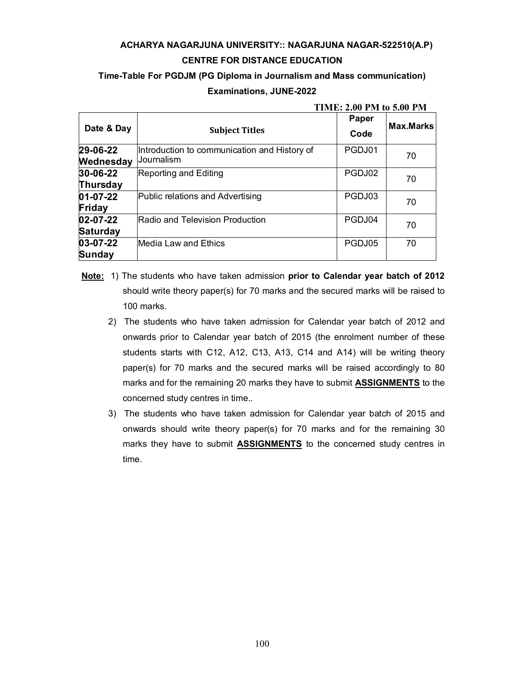# **Time-Table For PGDJM (PG Diploma in Journalism and Mass communication)**

# **Examinations, JUNE-2022**

|                                   | <b>TIME: 2.00 PM to 5.00 PM</b>                            |               |           |  |  |
|-----------------------------------|------------------------------------------------------------|---------------|-----------|--|--|
| Date & Day                        | <b>Subject Titles</b>                                      | Paper<br>Code | Max.Marks |  |  |
| 29-06-22<br>Wednesday             | Introduction to communication and History of<br>Journalism | PGDJ01        | 70        |  |  |
| 30-06-22<br><b>Thursday</b>       | Reporting and Editing                                      | PGDJ02        | 70        |  |  |
| $01 - 07 - 22$<br>Friday          | Public relations and Advertising                           | PGDJ03        | 70        |  |  |
| $02 - 07 - 22$<br><b>Saturday</b> | Radio and Television Production                            | PGDJ04        | 70        |  |  |
| 03-07-22<br><b>Sunday</b>         | lMedia Law and Ethics                                      | PGDJ05        | 70        |  |  |

- **Note:** 1) The students who have taken admission **prior to Calendar year batch of 2012** should write theory paper(s) for 70 marks and the secured marks will be raised to
	- 100 marks. 2) The students who have taken admission for Calendar year batch of 2012 and onwards prior to Calendar year batch of 2015 (the enrolment number of these students starts with C12, A12, C13, A13, C14 and A14) will be writing theory paper(s) for 70 marks and the secured marks will be raised accordingly to 80 marks and for the remaining 20 marks they have to submit **ASSIGNMENTS** to the concerned study centres in time..
	- 3) The students who have taken admission for Calendar year batch of 2015 and onwards should write theory paper(s) for 70 marks and for the remaining 30 marks they have to submit **ASSIGNMENTS** to the concerned study centres in time.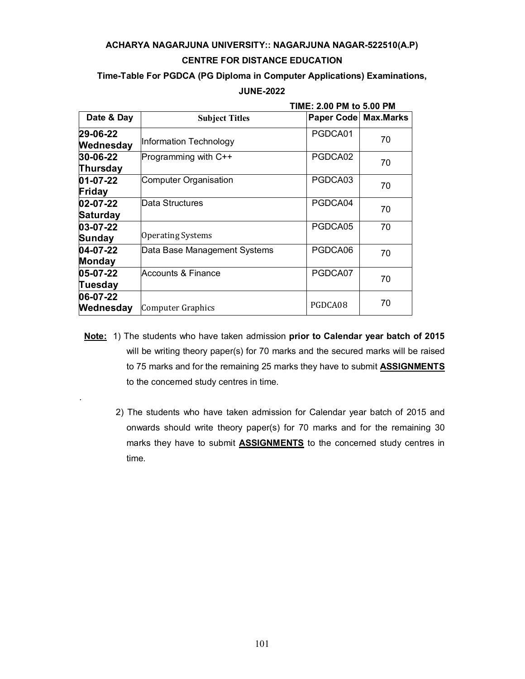# **Time-Table For PGDCA (PG Diploma in Computer Applications) Examinations,**

| <b>JUNE-2022</b> |
|------------------|
|------------------|

|                                 | TIME: 2.00 PM to 5.00 PM      |                      |    |
|---------------------------------|-------------------------------|----------------------|----|
| Date & Day                      | <b>Subject Titles</b>         | Paper Code Max.Marks |    |
| 29-06-22<br>Wednesday           | Information Technology        | PGDCA01              | 70 |
| 30-06-22<br>Thursday            | Programming with C++          | PGDCA02              | 70 |
| $01 - 07 - 22$<br><b>Friday</b> | <b>Computer Organisation</b>  | PGDCA03              | 70 |
| 02-07-22<br><b>Saturday</b>     | Data Structures               | PGDCA04              | 70 |
| $ 03-07-22 $<br>Sunday          | <b>Operating Systems</b>      | PGDCA05              | 70 |
| $04 - 07 - 22$<br>Monday        | Data Base Management Systems  | PGDCA06              | 70 |
| $ 05-07-22 $<br><b>Tuesday</b>  | <b>Accounts &amp; Finance</b> | PGDCA07              | 70 |
| 06-07-22<br>Wednesday           | Computer Graphics             | PGDCA08              | 70 |

**Note:** 1) The students who have taken admission **prior to Calendar year batch of 2015** will be writing theory paper(s) for 70 marks and the secured marks will be raised to 75 marks and for the remaining 25 marks they have to submit **ASSIGNMENTS** to the concerned study centres in time.

.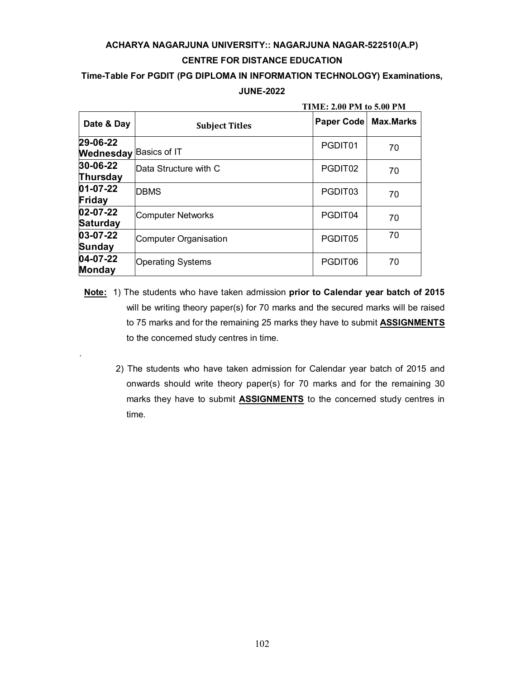# **Time-Table For PGDIT (PG DIPLOMA IN INFORMATION TECHNOLOGY) Examinations, JUNE-2022**

|                                   | <b>TIME: 2.00 PM to 5.00 PM</b> |                     |                  |  |
|-----------------------------------|---------------------------------|---------------------|------------------|--|
| Date & Day                        | <b>Subject Titles</b>           | Paper Code          | <b>Max.Marks</b> |  |
| 29-06-22<br>Wednesday             | Basics of IT                    | PGDIT01             | 70               |  |
| 30-06-22<br><b>Thursday</b>       | Data Structure with C           | PGDIT <sub>02</sub> | 70               |  |
| $01 - 07 - 22$<br>Friday          | <b>DBMS</b>                     | PGDIT03             | 70               |  |
| $02 - 07 - 22$<br><b>Saturday</b> | Computer Networks               | PGDIT04             | 70               |  |
| 03-07-22<br>Sunday                | Computer Organisation           | PGDIT05             | 70               |  |
| 04-07-22<br><b>Monday</b>         | <b>Operating Systems</b>        | PGDIT06             | 70               |  |

**Note:** 1) The students who have taken admission **prior to Calendar year batch of 2015** will be writing theory paper(s) for 70 marks and the secured marks will be raised to 75 marks and for the remaining 25 marks they have to submit **ASSIGNMENTS** to the concerned study centres in time.

.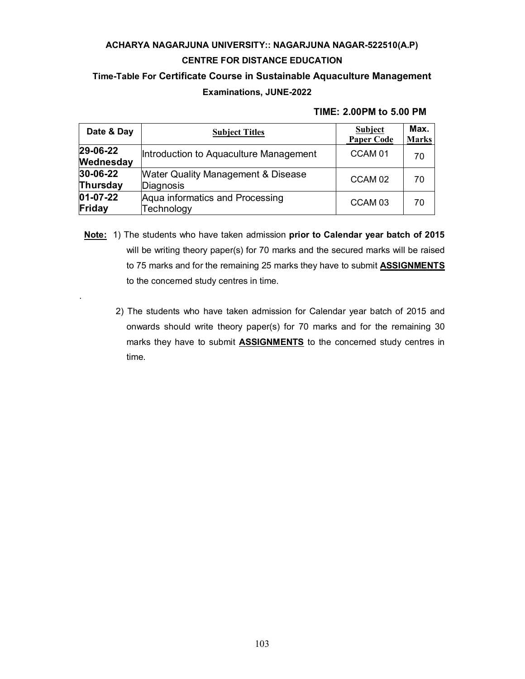# **Time-Table For Certificate Course in Sustainable Aquaculture Management Examinations, JUNE-2022**

# **TIME: 2.00PM to 5.00 PM**

| Date & Day               | <b>Subject Titles</b>                                             | <b>Subject</b><br><b>Paper Code</b> | Max.<br><b>Marks</b> |
|--------------------------|-------------------------------------------------------------------|-------------------------------------|----------------------|
| 29-06-22<br>Wednesday    | Introduction to Aquaculture Management                            | CCAM <sub>01</sub>                  | 70                   |
| 30-06-22<br>Thursday     | <b>Water Quality Management &amp; Disease</b><br><b>Diagnosis</b> | CCAM <sub>02</sub>                  | 70                   |
| $01 - 07 - 22$<br>Friday | Aqua informatics and Processing<br>Technology                     | CCAM <sub>03</sub>                  | 70                   |

**Note:** 1) The students who have taken admission **prior to Calendar year batch of 2015** will be writing theory paper(s) for 70 marks and the secured marks will be raised to 75 marks and for the remaining 25 marks they have to submit **ASSIGNMENTS** to the concerned study centres in time.

.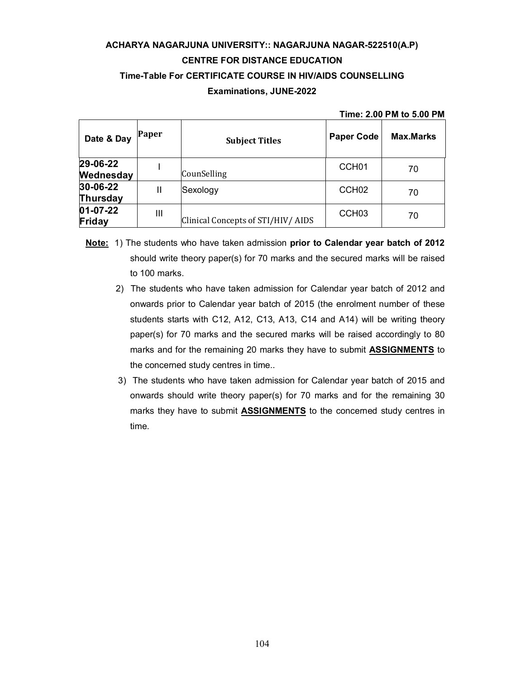# **ACHARYA NAGARJUNA UNIVERSITY:: NAGARJUNA NAGAR-522510(A.P) CENTRE FOR DISTANCE EDUCATION Time-Table For CERTIFICATE COURSE IN HIV/AIDS COUNSELLING Examinations, JUNE-2022**

| Time: 2.00 PM to 5.00 PM |  |  |  |  |  |
|--------------------------|--|--|--|--|--|
|--------------------------|--|--|--|--|--|

| Date & Day                   | <b>Paper</b> | <b>Subject Titles</b>              | <b>Paper Code</b> | <b>Max.Marks</b> |
|------------------------------|--------------|------------------------------------|-------------------|------------------|
| 29-06-22<br>Wednesday        |              | CounSelling                        | CCH <sub>01</sub> | 70               |
| $ 30 - 06 - 22 $<br>Thursday | Ш            | Sexology                           | CCH <sub>02</sub> | 70               |
| $ 01-07-22 $<br>Friday       | Ш            | Clinical Concepts of STI/HIV/ AIDS | CCH <sub>03</sub> | 70               |

- **Note:** 1) The students who have taken admission **prior to Calendar year batch of 2012** should write theory paper(s) for 70 marks and the secured marks will be raised to 100 marks.
	- 2) The students who have taken admission for Calendar year batch of 2012 and onwards prior to Calendar year batch of 2015 (the enrolment number of these students starts with C12, A12, C13, A13, C14 and A14) will be writing theory paper(s) for 70 marks and the secured marks will be raised accordingly to 80 marks and for the remaining 20 marks they have to submit **ASSIGNMENTS** to the concerned study centres in time..
	- 3) The students who have taken admission for Calendar year batch of 2015 and onwards should write theory paper(s) for 70 marks and for the remaining 30 marks they have to submit **ASSIGNMENTS** to the concerned study centres in time.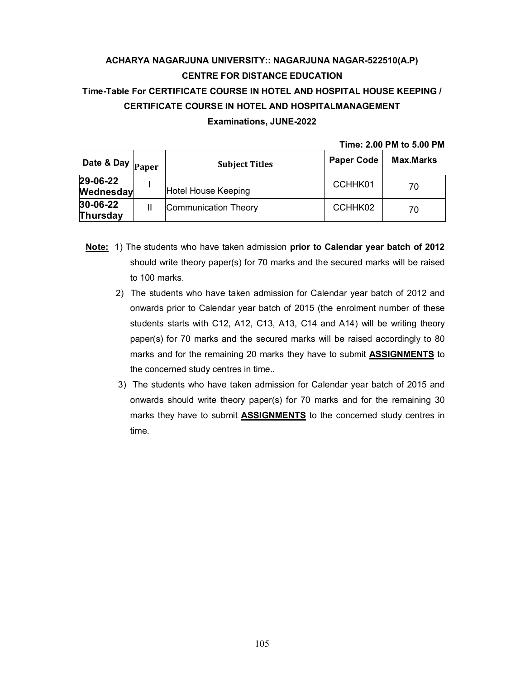# **ACHARYA NAGARJUNA UNIVERSITY:: NAGARJUNA NAGAR-522510(A.P) CENTRE FOR DISTANCE EDUCATION Time-Table For CERTIFICATE COURSE IN HOTEL AND HOSPITAL HOUSE KEEPING / CERTIFICATE COURSE IN HOTEL AND HOSPITALMANAGEMENT Examinations, JUNE-2022**

#### **Time: 2.00 PM to 5.00 PM**

| Date & Day Paper         | <b>Subject Titles</b> | <b>Paper Code</b> | <b>Max.Marks</b> |
|--------------------------|-----------------------|-------------------|------------------|
| 29-06-22<br>Wednesday    | Hotel House Keeping   | CCHHK01           | 70               |
| $ 30-06-22 $<br>Thursday | Communication Theory  | CCHHK02           | 70               |

- **Note:** 1) The students who have taken admission **prior to Calendar year batch of 2012** should write theory paper(s) for 70 marks and the secured marks will be raised to 100 marks.
	- 2) The students who have taken admission for Calendar year batch of 2012 and onwards prior to Calendar year batch of 2015 (the enrolment number of these students starts with C12, A12, C13, A13, C14 and A14) will be writing theory paper(s) for 70 marks and the secured marks will be raised accordingly to 80 marks and for the remaining 20 marks they have to submit **ASSIGNMENTS** to the concerned study centres in time..
	- 3) The students who have taken admission for Calendar year batch of 2015 and onwards should write theory paper(s) for 70 marks and for the remaining 30 marks they have to submit **ASSIGNMENTS** to the concerned study centres in time.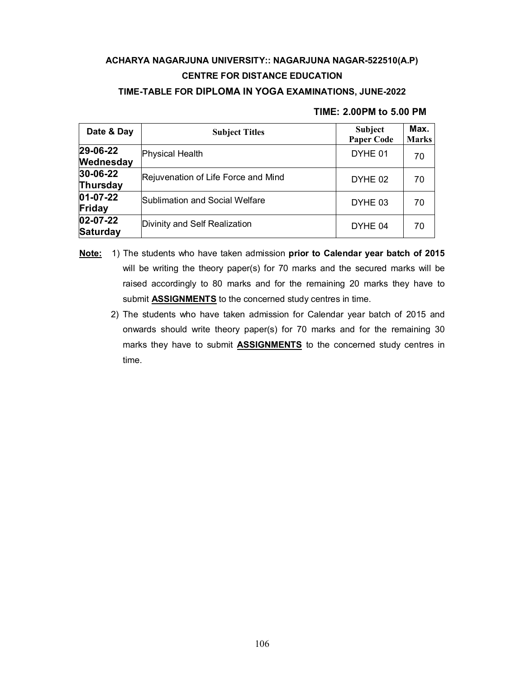# **TIME-TABLE FOR DIPLOMA IN YOGA EXAMINATIONS, JUNE-2022**

#### **TIME: 2.00PM to 5.00 PM**

| Date & Day                          | <b>Subject Titles</b>               | <b>Subject</b><br><b>Paper Code</b> | Max.<br><b>Marks</b> |
|-------------------------------------|-------------------------------------|-------------------------------------|----------------------|
| 29-06-22<br>Wednesday               | <b>Physical Health</b>              | DYHE 01                             | 70                   |
| 30-06-22<br>Thursday                | Rejuvenation of Life Force and Mind | DYHE 02                             | 70                   |
| $ 01-07-22 $<br>Friday              | Sublimation and Social Welfare      | DYHE 03                             | 70                   |
| $ 02 - 07 - 22 $<br><b>Saturday</b> | Divinity and Self Realization       | DYHE 04                             | 70                   |

- **Note:** 1) The students who have taken admission **prior to Calendar year batch of 2015**  will be writing the theory paper(s) for 70 marks and the secured marks will be raised accordingly to 80 marks and for the remaining 20 marks they have to submit **ASSIGNMENTS** to the concerned study centres in time.
	- 2) The students who have taken admission for Calendar year batch of 2015 and onwards should write theory paper(s) for 70 marks and for the remaining 30 marks they have to submit **ASSIGNMENTS** to the concerned study centres in time.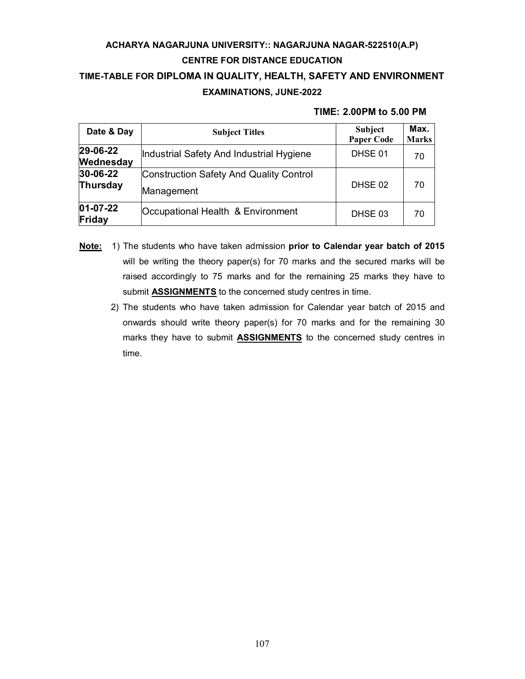# **ACHARYA NAGARJUNA UNIVERSITY:: NAGARJUNA NAGAR-522510(A.P) CENTRE FOR DISTANCE EDUCATION TIME-TABLE FOR DIPLOMA IN QUALITY, HEALTH, SAFETY AND ENVIRONMENT EXAMINATIONS, JUNE-2022**

### **TIME: 2.00PM to 5.00 PM**

| Date & Day               | <b>Subject Titles</b>                                 | <b>Subject</b><br><b>Paper Code</b> | Max.<br><b>Marks</b> |
|--------------------------|-------------------------------------------------------|-------------------------------------|----------------------|
| 29-06-22<br>Wednesday    | Industrial Safety And Industrial Hygiene              | DHSE 01                             | 70                   |
| $ 30-06-22 $<br>Thursday | Construction Safety And Quality Control<br>Management | DHSE 02                             | 70                   |
| $ 01-07-22 $<br>Friday   | Occupational Health & Environment                     | DHSE 03                             | 70                   |

- **Note:** 1) The students who have taken admission **prior to Calendar year batch of 2015**  will be writing the theory paper(s) for 70 marks and the secured marks will be raised accordingly to 75 marks and for the remaining 25 marks they have to submit **ASSIGNMENTS** to the concerned study centres in time.
	- 2) The students who have taken admission for Calendar year batch of 2015 and onwards should write theory paper(s) for 70 marks and for the remaining 30 marks they have to submit **ASSIGNMENTS** to the concerned study centres in time.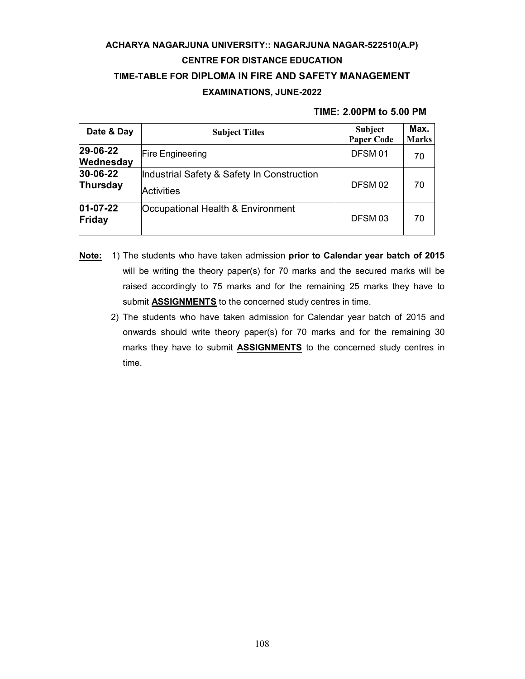## **ACHARYA NAGARJUNA UNIVERSITY:: NAGARJUNA NAGAR-522510(A.P) CENTRE FOR DISTANCE EDUCATION TIME-TABLE FOR DIPLOMA IN FIRE AND SAFETY MANAGEMENT EXAMINATIONS, JUNE-2022**

#### **TIME: 2.00PM to 5.00 PM**

| Date & Day                  | <b>Subject Titles</b>                                           | <b>Subject</b><br><b>Paper Code</b> | Max.<br><b>Marks</b> |
|-----------------------------|-----------------------------------------------------------------|-------------------------------------|----------------------|
| 29-06-22<br>Wednesday       | <b>Fire Engineering</b>                                         | DFSM 01                             | 70                   |
| 30-06-22<br><b>Thursday</b> | Industrial Safety & Safety In Construction<br><b>Activities</b> | DFSM 02                             | 70                   |
| $01 - 07 - 22$<br>Friday    | Occupational Health & Environment                               | DFSM <sub>03</sub>                  | 70                   |

- **Note:** 1) The students who have taken admission **prior to Calendar year batch of 2015**  will be writing the theory paper(s) for 70 marks and the secured marks will be raised accordingly to 75 marks and for the remaining 25 marks they have to submit **ASSIGNMENTS** to the concerned study centres in time.
	- 2) The students who have taken admission for Calendar year batch of 2015 and onwards should write theory paper(s) for 70 marks and for the remaining 30 marks they have to submit **ASSIGNMENTS** to the concerned study centres in time.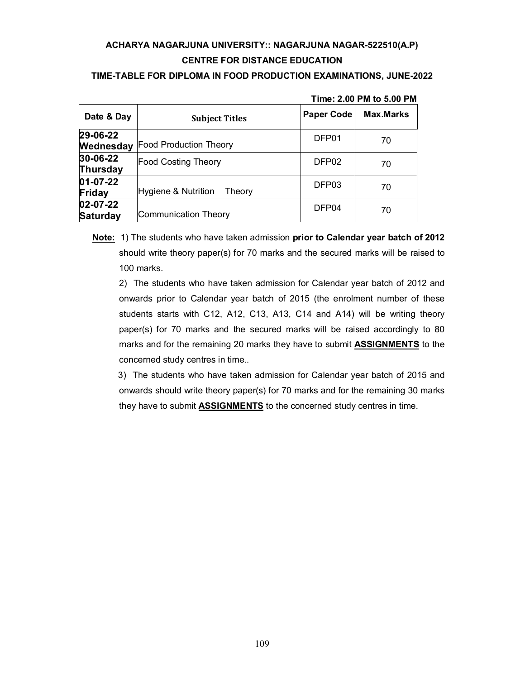#### **ACHARYA NAGARJUNA UNIVERSITY:: NAGARJUNA NAGAR-522510(A.P) CENTRE FOR DISTANCE EDUCATION**

**TIME-TABLE FOR DIPLOMA IN FOOD PRODUCTION EXAMINATIONS, JUNE-2022** 

|                             |                               | $11116.$ $2.0011$ IVI LO 0.00 1 IVI |                  |  |
|-----------------------------|-------------------------------|-------------------------------------|------------------|--|
| Date & Day                  | <b>Subject Titles</b>         | <b>Paper Code</b>                   | <b>Max.Marks</b> |  |
| 29-06-22<br>Wednesday       | <b>Food Production Theory</b> | DFP01                               | 70               |  |
| 30-06-22<br><b>Thursday</b> | <b>Food Costing Theory</b>    | DFP <sub>02</sub>                   | 70               |  |
| $01 - 07 - 22$<br>Friday    | Hygiene & Nutrition<br>Theory | DFP03                               | 70               |  |
| 02-07-22<br><b>Saturday</b> | Communication Theory          | DFP04                               | 70               |  |

**Time: 2.00 PM to 5.00 PM** 

 **Note:** 1) The students who have taken admission **prior to Calendar year batch of 2012** should write theory paper(s) for 70 marks and the secured marks will be raised to 100 marks.

2) The students who have taken admission for Calendar year batch of 2012 and onwards prior to Calendar year batch of 2015 (the enrolment number of these students starts with C12, A12, C13, A13, C14 and A14) will be writing theory paper(s) for 70 marks and the secured marks will be raised accordingly to 80 marks and for the remaining 20 marks they have to submit **ASSIGNMENTS** to the concerned study centres in time..

 3) The students who have taken admission for Calendar year batch of 2015 and onwards should write theory paper(s) for 70 marks and for the remaining 30 marks they have to submit **ASSIGNMENTS** to the concerned study centres in time.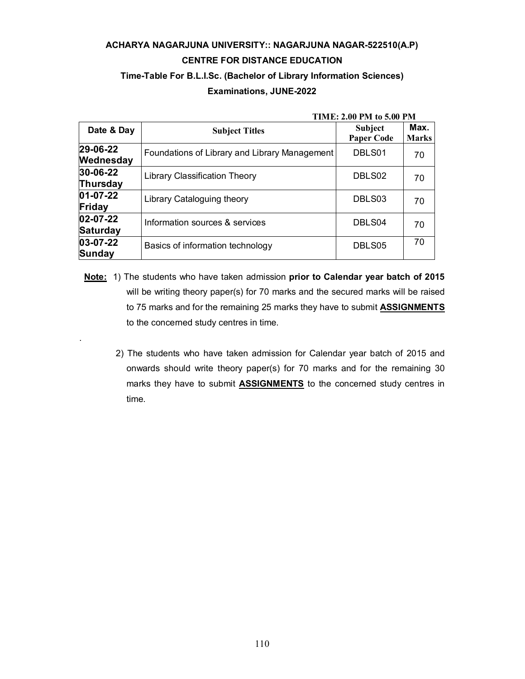### **ACHARYA NAGARJUNA UNIVERSITY:: NAGARJUNA NAGAR-522510(A.P) CENTRE FOR DISTANCE EDUCATION Time-Table For B.L.I.Sc. (Bachelor of Library Information Sciences) Examinations, JUNE-2022**

|                          |                                               | <b>TIME: 2.00 PM to 5.00 PM</b>     |                      |
|--------------------------|-----------------------------------------------|-------------------------------------|----------------------|
| Date & Day               | <b>Subject Titles</b>                         | <b>Subject</b><br><b>Paper Code</b> | Max.<br><b>Marks</b> |
| 29-06-22<br>Wednesday    | Foundations of Library and Library Management | DBLS01                              | 70                   |
| 30-06-22<br>Thursday     | Library Classification Theory                 | DBLS02                              | 70                   |
| $01 - 07 - 22$<br>Friday | Library Cataloguing theory                    | DBLS03                              | 70                   |
| 02-07-22<br>Saturday     | Information sources & services                | DBLS04                              | 70                   |
| 03-07-22<br>Sunday       | Basics of information technology              | DBLS05                              | 70                   |

**Note:** 1) The students who have taken admission **prior to Calendar year batch of 2015** will be writing theory paper(s) for 70 marks and the secured marks will be raised to 75 marks and for the remaining 25 marks they have to submit **ASSIGNMENTS** to the concerned study centres in time.

.

 2) The students who have taken admission for Calendar year batch of 2015 and onwards should write theory paper(s) for 70 marks and for the remaining 30 marks they have to submit **ASSIGNMENTS** to the concerned study centres in time.